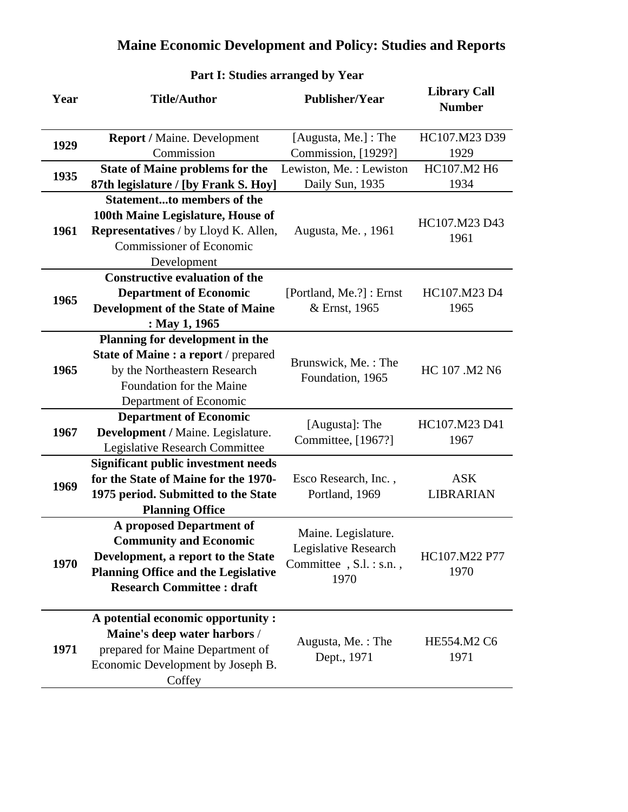| Year | <b>Title/Author</b>                         | <b>Publisher/Year</b>    | <b>Library Call</b><br><b>Number</b> |
|------|---------------------------------------------|--------------------------|--------------------------------------|
| 1929 | <b>Report / Maine. Development</b>          | [Augusta, Me.] : The     | HC107.M23 D39                        |
|      | Commission                                  | Commission, [1929?]      | 1929                                 |
| 1935 | <b>State of Maine problems for the</b>      | Lewiston, Me.: Lewiston  | HC107.M2 H6                          |
|      | 87th legislature / [by Frank S. Hoy]        | Daily Sun, 1935          | 1934                                 |
|      | <b>Statementto members of the</b>           |                          |                                      |
|      | 100th Maine Legislature, House of           |                          | HC107.M23 D43                        |
| 1961 | <b>Representatives</b> / by Lloyd K. Allen, | Augusta, Me., 1961       | 1961                                 |
|      | <b>Commissioner of Economic</b>             |                          |                                      |
|      | Development                                 |                          |                                      |
|      | <b>Constructive evaluation of the</b>       |                          |                                      |
| 1965 | <b>Department of Economic</b>               | [Portland, Me.?] : Ernst | HC107.M23 D4                         |
|      | <b>Development of the State of Maine</b>    | & Ernst, 1965            | 1965                                 |
|      | : May 1, 1965                               |                          |                                      |
|      | Planning for development in the             |                          |                                      |
|      | State of Maine : a report / prepared        | Brunswick, Me.: The      |                                      |
| 1965 | by the Northeastern Research                | Foundation, 1965         | HC 107 .M2 N6                        |
|      | Foundation for the Maine                    |                          |                                      |
|      | Department of Economic                      |                          |                                      |
|      | <b>Department of Economic</b>               | [Augusta]: The           | HC107.M23 D41                        |
| 1967 | Development / Maine. Legislature.           | Committee, [1967?]       | 1967                                 |
|      | <b>Legislative Research Committee</b>       |                          |                                      |
|      | <b>Significant public investment needs</b>  |                          |                                      |
| 1969 | for the State of Maine for the 1970-        | Esco Research, Inc.,     | <b>ASK</b>                           |
|      | 1975 period. Submitted to the State         | Portland, 1969           | LIBRARIAN                            |
|      | <b>Planning Office</b>                      |                          |                                      |
|      | A proposed Department of                    | Maine. Legislature.      |                                      |
|      | <b>Community and Economic</b>               | Legislative Research     |                                      |
| 1970 | Development, a report to the State          | Committee, S.l. : s.n.,  | HC107.M22 P77                        |
|      | <b>Planning Office and the Legislative</b>  | 1970                     | 1970                                 |
|      | <b>Research Committee : draft</b>           |                          |                                      |
|      | A potential economic opportunity :          |                          |                                      |
|      | Maine's deep water harbors /                |                          |                                      |
| 1971 | prepared for Maine Department of            | Augusta, Me.: The        | HE554.M2 C6                          |
|      | Economic Development by Joseph B.           | Dept., 1971              | 1971                                 |
|      | Coffey                                      |                          |                                      |

#### **Part I: Studies arranged by Year**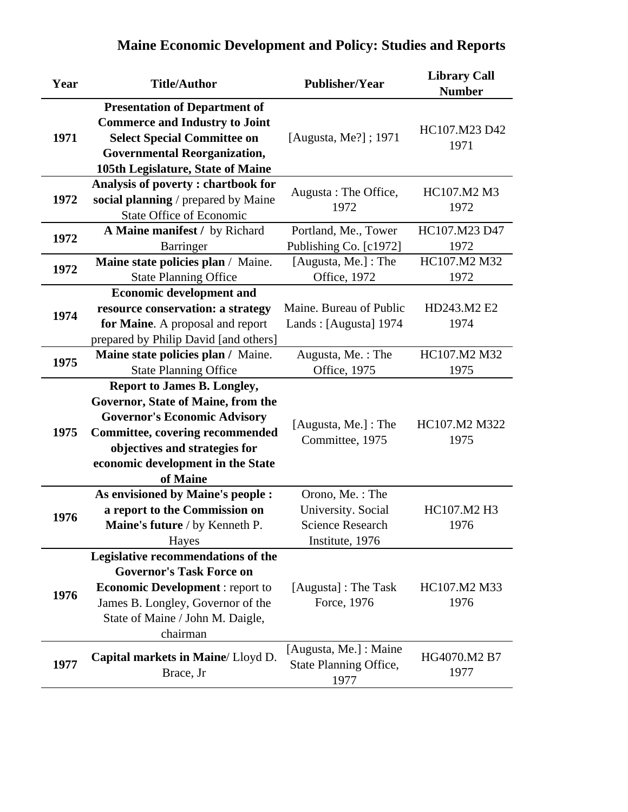|  |  |  | <b>Maine Economic Development and Policy: Studies and Reports</b> |
|--|--|--|-------------------------------------------------------------------|
|  |  |  |                                                                   |

| Year | <b>Title/Author</b>                                                                                                                                                                                                                         | <b>Publisher/Year</b>                                                               | <b>Library Call</b><br><b>Number</b> |
|------|---------------------------------------------------------------------------------------------------------------------------------------------------------------------------------------------------------------------------------------------|-------------------------------------------------------------------------------------|--------------------------------------|
| 1971 | <b>Presentation of Department of</b><br><b>Commerce and Industry to Joint</b><br><b>Select Special Committee on</b><br><b>Governmental Reorganization,</b><br>105th Legislature, State of Maine                                             | [Augusta, Me?]; 1971                                                                | HC107.M23 D42<br>1971                |
| 1972 | Analysis of poverty: chartbook for<br>social planning / prepared by Maine<br><b>State Office of Economic</b>                                                                                                                                | Augusta: The Office,<br>1972                                                        | HC107.M2 M3<br>1972                  |
| 1972 | A Maine manifest / by Richard<br>Barringer                                                                                                                                                                                                  | Portland, Me., Tower<br>Publishing Co. [c1972]                                      | HC107.M23 D47<br>1972                |
| 1972 | Maine state policies plan / Maine.<br><b>State Planning Office</b>                                                                                                                                                                          | [Augusta, Me.] : The<br>Office, 1972                                                | HC107.M2 M32<br>1972                 |
| 1974 | <b>Economic development and</b><br>resource conservation: a strategy<br>for Maine. A proposal and report<br>prepared by Philip David [and others]                                                                                           | Maine. Bureau of Public<br>Lands: [Augusta] 1974                                    | HD243.M2 E2<br>1974                  |
| 1975 | Maine state policies plan / Maine.<br><b>State Planning Office</b>                                                                                                                                                                          | Augusta, Me.: The<br>Office, 1975                                                   | HC107.M2 M32<br>1975                 |
| 1975 | <b>Report to James B. Longley,</b><br>Governor, State of Maine, from the<br><b>Governor's Economic Advisory</b><br><b>Committee, covering recommended</b><br>objectives and strategies for<br>economic development in the State<br>of Maine | [Augusta, Me.] : The<br>Committee, 1975                                             | HC107.M2 M322<br>1975                |
| 1976 | As envisioned by Maine's people :<br>a report to the Commission on<br>Maine's future / by Kenneth P.<br>Hayes                                                                                                                               | Orono, Me.: The<br>University. Social<br><b>Science Research</b><br>Institute, 1976 | HC107.M2 H3<br>1976                  |
| 1976 | Legislative recommendations of the<br><b>Governor's Task Force on</b><br><b>Economic Development:</b> report to<br>James B. Longley, Governor of the<br>State of Maine / John M. Daigle,<br>chairman                                        | [Augusta] : The Task<br>Force, 1976                                                 | HC107.M2 M33<br>1976                 |
| 1977 | Capital markets in Maine/Lloyd D.<br>Brace, Jr                                                                                                                                                                                              | [Augusta, Me.] : Maine<br>State Planning Office,<br>1977                            | HG4070.M2 B7<br>1977                 |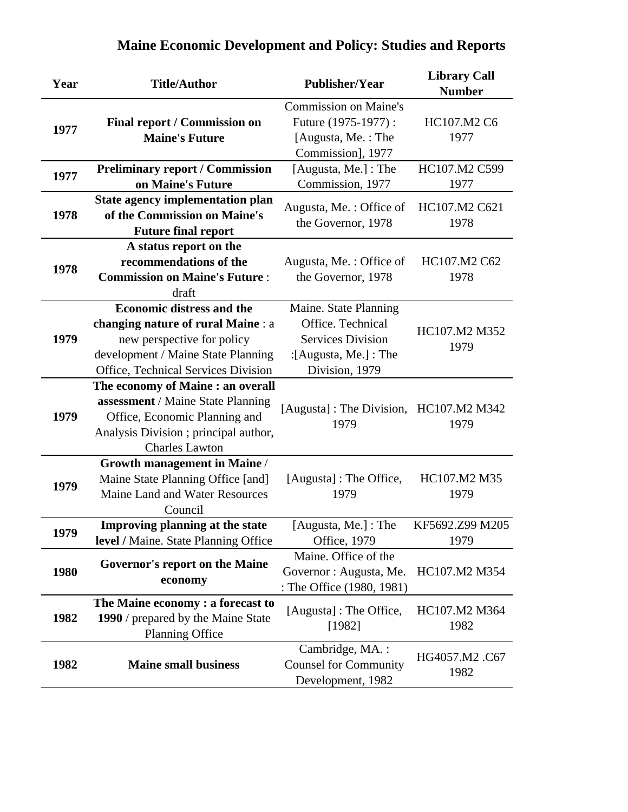| Year | <b>Title/Author</b>                                                                                                                                                               | <b>Publisher/Year</b>                                                                                             | <b>Library Call</b><br><b>Number</b> |
|------|-----------------------------------------------------------------------------------------------------------------------------------------------------------------------------------|-------------------------------------------------------------------------------------------------------------------|--------------------------------------|
| 1977 | <b>Final report / Commission on</b><br><b>Maine's Future</b>                                                                                                                      | <b>Commission on Maine's</b><br>Future (1975-1977):<br>[Augusta, Me.: The<br>Commission], 1977                    | HC107.M2 C6<br>1977                  |
| 1977 | <b>Preliminary report / Commission</b><br>on Maine's Future                                                                                                                       | [Augusta, Me.] : The<br>Commission, 1977                                                                          | HC107.M2 C599<br>1977                |
| 1978 | <b>State agency implementation plan</b><br>of the Commission on Maine's<br><b>Future final report</b>                                                                             | Augusta, Me.: Office of<br>the Governor, 1978                                                                     | HC107.M2 C621<br>1978                |
| 1978 | A status report on the<br>recommendations of the<br><b>Commission on Maine's Future:</b><br>draft                                                                                 | Augusta, Me.: Office of<br>the Governor, 1978                                                                     | HC107.M2 C62<br>1978                 |
| 1979 | <b>Economic distress and the</b><br>changing nature of rural Maine : a<br>new perspective for policy<br>development / Maine State Planning<br>Office, Technical Services Division | Maine. State Planning<br>Office. Technical<br><b>Services Division</b><br>:[Augusta, Me.] : The<br>Division, 1979 | HC107.M2 M352<br>1979                |
| 1979 | The economy of Maine : an overall<br>assessment / Maine State Planning<br>Office, Economic Planning and<br>Analysis Division; principal author,<br><b>Charles Lawton</b>          | [Augusta]: The Division, HC107.M2 M342<br>1979                                                                    | 1979                                 |
| 1979 | <b>Growth management in Maine /</b><br>Maine State Planning Office [and]<br>Maine Land and Water Resources<br>Council                                                             | [Augusta] : The Office,<br>1979                                                                                   | HC107.M2 M35<br>1979                 |
| 1979 | Improving planning at the state<br>level / Maine. State Planning Office                                                                                                           | [Augusta, Me.] : The<br>Office, 1979                                                                              | KF5692.Z99 M205<br>1979              |
| 1980 | Governor's report on the Maine<br>economy                                                                                                                                         | Maine. Office of the<br>Governor : Augusta, Me.<br>: The Office (1980, 1981)                                      | HC107.M2 M354                        |
| 1982 | The Maine economy: a forecast to<br>1990 / prepared by the Maine State<br><b>Planning Office</b>                                                                                  | [Augusta] : The Office,<br>[1982]                                                                                 | HC107.M2 M364<br>1982                |
| 1982 | <b>Maine small business</b>                                                                                                                                                       | Cambridge, MA.:<br><b>Counsel for Community</b><br>Development, 1982                                              | HG4057.M2.C67<br>1982                |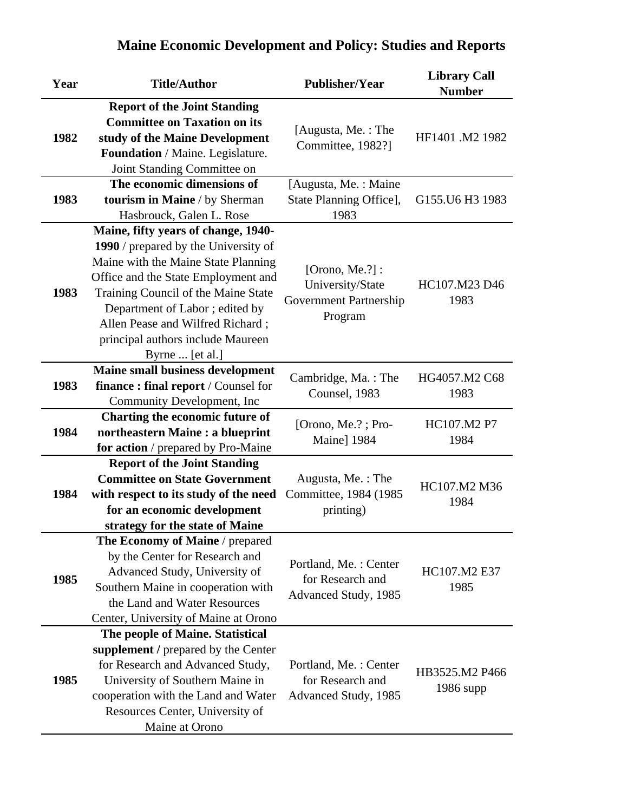| Year | <b>Title/Author</b>                                                                                                                                                                                                                                                                                                            | <b>Publisher/Year</b>                                                   | <b>Library Call</b><br><b>Number</b> |
|------|--------------------------------------------------------------------------------------------------------------------------------------------------------------------------------------------------------------------------------------------------------------------------------------------------------------------------------|-------------------------------------------------------------------------|--------------------------------------|
| 1982 | <b>Report of the Joint Standing</b><br><b>Committee on Taxation on its</b><br>study of the Maine Development<br>Foundation / Maine. Legislature.<br>Joint Standing Committee on                                                                                                                                                | [Augusta, Me.: The<br>Committee, 1982?]                                 | HF1401 .M2 1982                      |
| 1983 | The economic dimensions of<br>tourism in Maine / by Sherman<br>Hasbrouck, Galen L. Rose                                                                                                                                                                                                                                        | [Augusta, Me.: Maine<br>State Planning Office],<br>1983                 | G155.U6 H3 1983                      |
| 1983 | Maine, fifty years of change, 1940-<br>1990 / prepared by the University of<br>Maine with the Maine State Planning<br>Office and the State Employment and<br>Training Council of the Maine State<br>Department of Labor; edited by<br>Allen Pease and Wilfred Richard;<br>principal authors include Maureen<br>Byrne  [et al.] | [Orono, Me.?]:<br>University/State<br>Government Partnership<br>Program | HC107.M23 D46<br>1983                |
| 1983 | Maine small business development<br><b>finance: final report</b> / Counsel for<br>Community Development, Inc                                                                                                                                                                                                                   | Cambridge, Ma.: The<br>Counsel, 1983                                    | HG4057.M2 C68<br>1983                |
| 1984 | Charting the economic future of<br>northeastern Maine : a blueprint<br>for action / prepared by Pro-Maine                                                                                                                                                                                                                      | [Orono, Me.?; Pro-<br>Maine] 1984                                       | HC107.M2 P7<br>1984                  |
| 1984 | <b>Report of the Joint Standing</b><br><b>Committee on State Government</b><br>with respect to its study of the need<br>for an economic development<br>strategy for the state of Maine                                                                                                                                         | Augusta, Me.: The<br>Committee, 1984 (1985<br>printing)                 | HC107.M2 M36<br>1984                 |
| 1985 | The Economy of Maine / prepared<br>by the Center for Research and<br>Advanced Study, University of<br>Southern Maine in cooperation with<br>the Land and Water Resources<br>Center, University of Maine at Orono                                                                                                               | Portland, Me.: Center<br>for Research and<br>Advanced Study, 1985       | HC107.M2 E37<br>1985                 |
| 1985 | The people of Maine. Statistical<br>supplement / prepared by the Center<br>for Research and Advanced Study,<br>University of Southern Maine in<br>cooperation with the Land and Water<br>Resources Center, University of<br>Maine at Orono                                                                                     | Portland, Me.: Center<br>for Research and<br>Advanced Study, 1985       | HB3525.M2 P466<br>$1986$ supp        |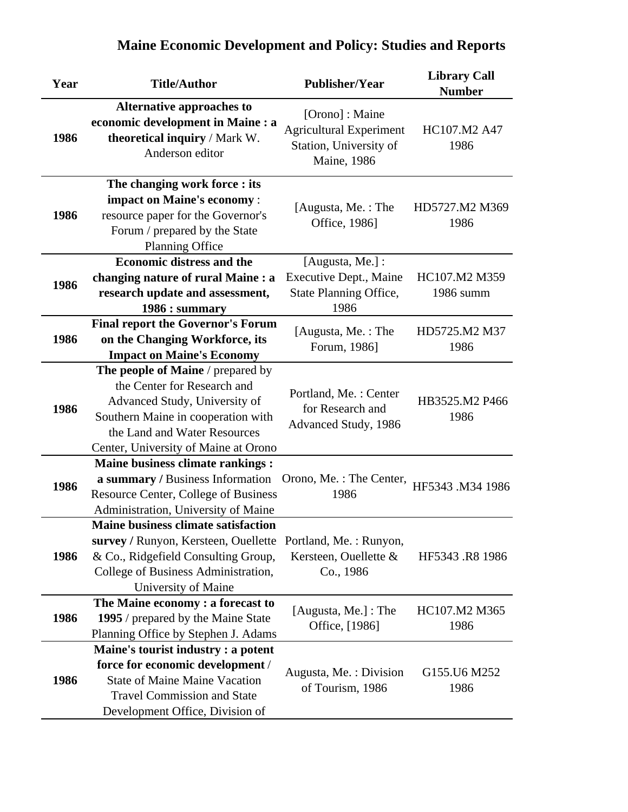| Year | <b>Title/Author</b>                                                                                                                                                                                             | <b>Publisher/Year</b>                                                                     | <b>Library Call</b><br><b>Number</b> |
|------|-----------------------------------------------------------------------------------------------------------------------------------------------------------------------------------------------------------------|-------------------------------------------------------------------------------------------|--------------------------------------|
| 1986 | <b>Alternative approaches to</b><br>economic development in Maine : a<br>theoretical inquiry / Mark W.<br>Anderson editor                                                                                       | [Orono]: Maine<br><b>Agricultural Experiment</b><br>Station, University of<br>Maine, 1986 | HC107.M2 A47<br>1986                 |
| 1986 | The changing work force : its<br>impact on Maine's economy:<br>resource paper for the Governor's<br>Forum / prepared by the State<br><b>Planning Office</b>                                                     | [Augusta, Me.: The<br>Office, 1986]                                                       | HD5727.M2 M369<br>1986               |
| 1986 | <b>Economic distress and the</b><br>changing nature of rural Maine : a<br>research update and assessment,<br>1986 : summary                                                                                     | [Augusta, Me.] :<br>Executive Dept., Maine<br>State Planning Office,<br>1986              | HC107.M2 M359<br>1986 summ           |
| 1986 | <b>Final report the Governor's Forum</b><br>on the Changing Workforce, its<br><b>Impact on Maine's Economy</b>                                                                                                  | [Augusta, Me.: The<br>Forum, 1986]                                                        | HD5725.M2 M37<br>1986                |
| 1986 | The people of Maine / prepared by<br>the Center for Research and<br>Advanced Study, University of<br>Southern Maine in cooperation with<br>the Land and Water Resources<br>Center, University of Maine at Orono | Portland, Me.: Center<br>for Research and<br>Advanced Study, 1986                         | HB3525.M2 P466<br>1986               |
| 1986 | <b>Maine business climate rankings:</b><br>a summary / Business Information<br>Resource Center, College of Business<br>Administration, University of Maine                                                      | Orono, Me.: The Center,<br>1986                                                           | HF5343 .M34 1986                     |
| 1986 | <b>Maine business climate satisfaction</b><br>survey / Runyon, Kersteen, Ouellette Portland, Me.: Runyon,<br>& Co., Ridgefield Consulting Group,<br>College of Business Administration,<br>University of Maine  | Kersteen, Ouellette &<br>Co., 1986                                                        | HF5343.R8 1986                       |
| 1986 | The Maine economy: a forecast to<br>1995 / prepared by the Maine State<br>Planning Office by Stephen J. Adams                                                                                                   | [Augusta, Me.] : The<br>Office, [1986]                                                    | HC107.M2 M365<br>1986                |
| 1986 | Maine's tourist industry : a potent<br>force for economic development /<br><b>State of Maine Maine Vacation</b><br><b>Travel Commission and State</b><br>Development Office, Division of                        | Augusta, Me. : Division<br>of Tourism, 1986                                               | G155.U6 M252<br>1986                 |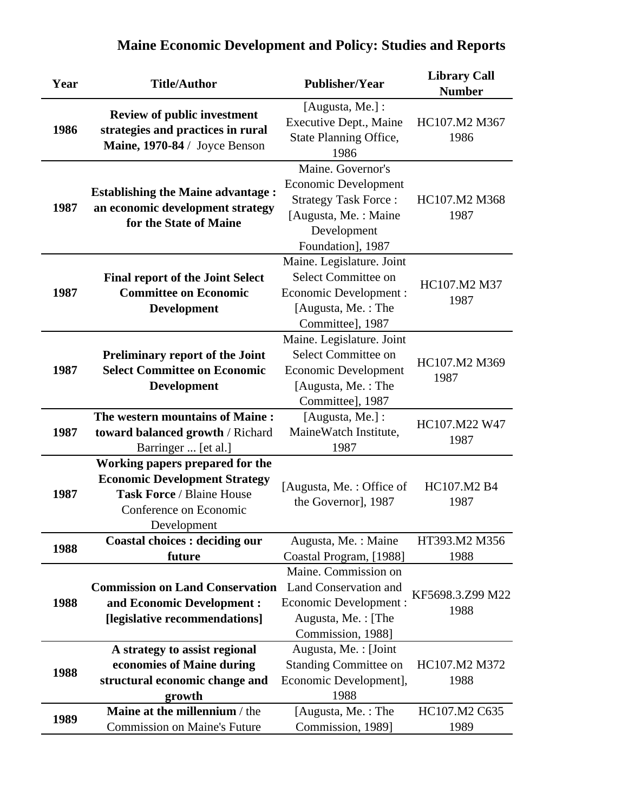| Year | <b>Title/Author</b>                                                                                                                           | <b>Publisher/Year</b>                                                                                                                       | <b>Library Call</b><br><b>Number</b> |
|------|-----------------------------------------------------------------------------------------------------------------------------------------------|---------------------------------------------------------------------------------------------------------------------------------------------|--------------------------------------|
| 1986 | <b>Review of public investment</b><br>strategies and practices in rural<br>Maine, 1970-84 / Joyce Benson                                      | [Augusta, Me.] :<br>Executive Dept., Maine<br>State Planning Office,<br>1986                                                                | HC107.M2 M367<br>1986                |
| 1987 | <b>Establishing the Maine advantage:</b><br>an economic development strategy<br>for the State of Maine                                        | Maine. Governor's<br><b>Economic Development</b><br><b>Strategy Task Force:</b><br>[Augusta, Me.: Maine<br>Development<br>Foundation], 1987 | HC107.M2 M368<br>1987                |
| 1987 | <b>Final report of the Joint Select</b><br><b>Committee on Economic</b><br><b>Development</b>                                                 | Maine. Legislature. Joint<br>Select Committee on<br><b>Economic Development:</b><br>[Augusta, Me.: The<br>Committee], 1987                  | HC107.M2 M37<br>1987                 |
| 1987 | <b>Preliminary report of the Joint</b><br><b>Select Committee on Economic</b><br><b>Development</b>                                           | Maine. Legislature. Joint<br>Select Committee on<br><b>Economic Development</b><br>[Augusta, Me.: The<br>Committee], 1987                   | HC107.M2 M369<br>1987                |
| 1987 | The western mountains of Maine:<br>toward balanced growth / Richard<br>Barringer  [et al.]                                                    | [Augusta, Me.] :<br>MaineWatch Institute,<br>1987                                                                                           | HC107.M22 W47<br>1987                |
| 1987 | Working papers prepared for the<br><b>Economic Development Strategy</b><br>Task Force / Blaine House<br>Conference on Economic<br>Development | [Augusta, Me.: Office of<br>the Governor], 1987                                                                                             | HC107.M2 B4<br>1987                  |
| 1988 | <b>Coastal choices : deciding our</b><br>future                                                                                               | Augusta, Me.: Maine<br>Coastal Program, [1988]                                                                                              | HT393.M2 M356<br>1988                |
| 1988 | <b>Commission on Land Conservation</b><br>and Economic Development :<br>[legislative recommendations]                                         | Maine. Commission on<br>Land Conservation and<br>Economic Development :<br>Augusta, Me.: [The<br>Commission, 1988]                          | KF5698.3.Z99 M22<br>1988             |
| 1988 | A strategy to assist regional<br>economies of Maine during<br>structural economic change and<br>growth                                        | Augusta, Me. : [Joint<br><b>Standing Committee on</b><br>Economic Development],<br>1988                                                     | HC107.M2 M372<br>1988                |
| 1989 | Maine at the millennium / the<br><b>Commission on Maine's Future</b>                                                                          | [Augusta, Me.: The<br>Commission, 1989]                                                                                                     | HC107.M2 C635<br>1989                |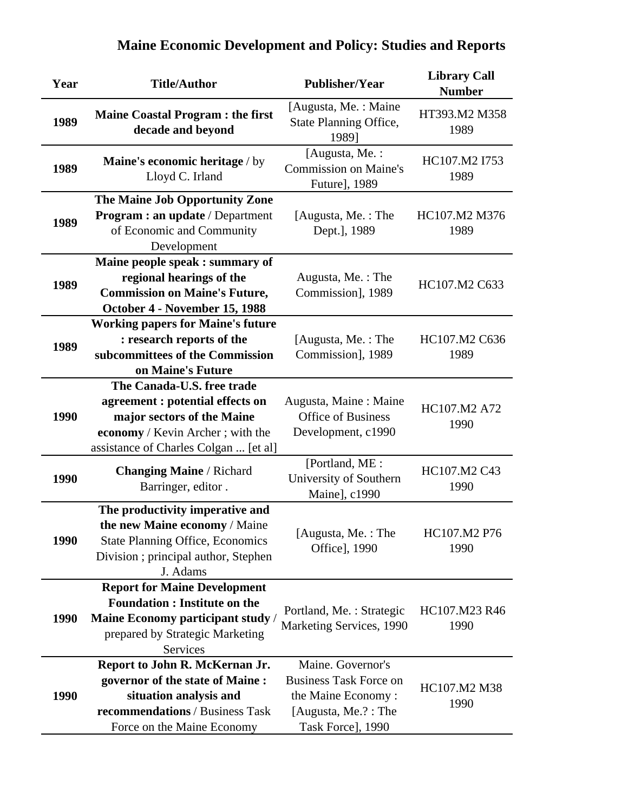| Year | <b>Title/Author</b>                                                                                                         | <b>Publisher/Year</b>                                           | <b>Library Call</b><br><b>Number</b> |
|------|-----------------------------------------------------------------------------------------------------------------------------|-----------------------------------------------------------------|--------------------------------------|
| 1989 | <b>Maine Coastal Program : the first</b><br>decade and beyond                                                               | [Augusta, Me.: Maine<br>State Planning Office,<br>1989]         | HT393.M2 M358<br>1989                |
| 1989 | Maine's economic heritage / by<br>Lloyd C. Irland                                                                           | [Augusta, Me.:<br><b>Commission on Maine's</b><br>Future], 1989 | HC107.M2 I753<br>1989                |
|      | The Maine Job Opportunity Zone                                                                                              |                                                                 |                                      |
| 1989 | <b>Program : an update / Department</b><br>of Economic and Community<br>Development                                         | [Augusta, Me.: The<br>Dept.], 1989                              | HC107.M2 M376<br>1989                |
|      | Maine people speak : summary of                                                                                             |                                                                 |                                      |
|      | regional hearings of the                                                                                                    | Augusta, Me.: The                                               |                                      |
| 1989 | <b>Commission on Maine's Future,</b>                                                                                        | Commission], 1989                                               | HC107.M2 C633                        |
|      | October 4 - November 15, 1988                                                                                               |                                                                 |                                      |
|      | <b>Working papers for Maine's future</b>                                                                                    |                                                                 |                                      |
| 1989 | : research reports of the                                                                                                   | [Augusta, Me.: The                                              | HC107.M2 C636                        |
|      | subcommittees of the Commission                                                                                             | Commission], 1989                                               | 1989                                 |
|      | on Maine's Future                                                                                                           |                                                                 |                                      |
|      | The Canada-U.S. free trade                                                                                                  |                                                                 |                                      |
|      | agreement : potential effects on                                                                                            | Augusta, Maine: Maine                                           | HC107.M2 A72                         |
| 1990 | major sectors of the Maine                                                                                                  | <b>Office of Business</b>                                       | 1990                                 |
|      | economy / Kevin Archer; with the<br>assistance of Charles Colgan  [et al]                                                   | Development, c1990                                              |                                      |
| 1990 | <b>Changing Maine / Richard</b><br>Barringer, editor.                                                                       | [Portland, ME:<br>University of Southern<br>Maine], c1990       | HC107.M2 C43<br>1990                 |
|      | The productivity imperative and                                                                                             |                                                                 |                                      |
| 1990 | the new Maine economy / Maine<br><b>State Planning Office, Economics</b><br>Division; principal author, Stephen<br>J. Adams | [Augusta, Me.: The<br>Office], 1990                             | HC107.M2 P76<br>1990                 |
|      | <b>Report for Maine Development</b>                                                                                         |                                                                 |                                      |
|      | <b>Foundation : Institute on the</b>                                                                                        | Portland, Me.: Strategic                                        | HC107.M23 R46                        |
| 1990 | Maine Economy participant study /                                                                                           | Marketing Services, 1990                                        | 1990                                 |
|      | prepared by Strategic Marketing                                                                                             |                                                                 |                                      |
|      | Services                                                                                                                    | Maine. Governor's                                               |                                      |
|      | Report to John R. McKernan Jr.<br>governor of the state of Maine :                                                          | <b>Business Task Force on</b>                                   |                                      |
| 1990 | situation analysis and                                                                                                      | the Maine Economy:                                              | HC107.M2 M38                         |
|      | recommendations / Business Task                                                                                             | [Augusta, Me.?: The                                             | 1990                                 |
|      | Force on the Maine Economy                                                                                                  | Task Force], 1990                                               |                                      |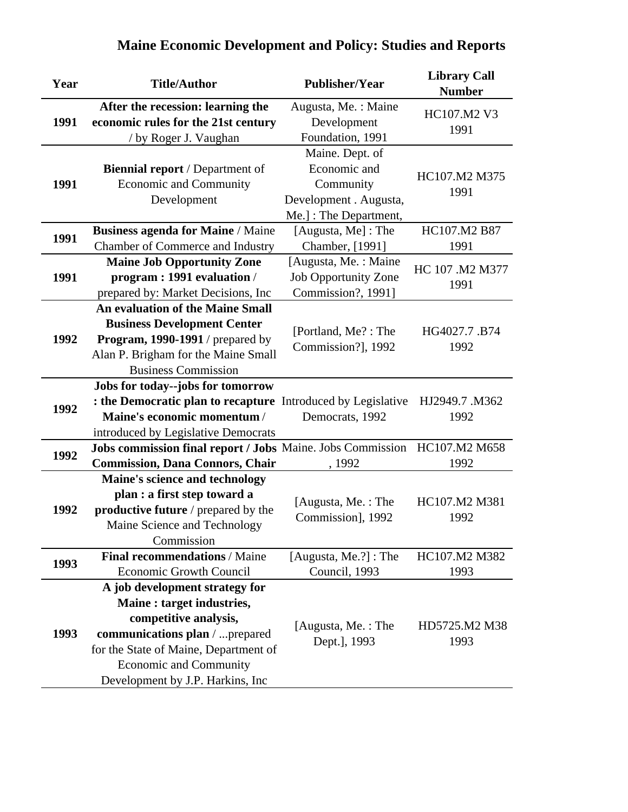| Year | <b>Title/Author</b>                                            | <b>Publisher/Year</b>       | <b>Library Call</b><br><b>Number</b> |
|------|----------------------------------------------------------------|-----------------------------|--------------------------------------|
|      | After the recession: learning the                              | Augusta, Me.: Maine         | HC107.M2 V3                          |
| 1991 | economic rules for the 21st century                            | Development                 | 1991                                 |
|      | / by Roger J. Vaughan                                          | Foundation, 1991            |                                      |
|      |                                                                | Maine. Dept. of             |                                      |
|      | <b>Biennial report</b> / Department of                         | Economic and                | HC107.M2 M375                        |
| 1991 | <b>Economic and Community</b>                                  | Community                   | 1991                                 |
|      | Development                                                    | Development . Augusta,      |                                      |
|      |                                                                | Me.]: The Department,       |                                      |
| 1991 | <b>Business agenda for Maine / Maine</b>                       | [Augusta, Me]: The          | HC107.M2 B87                         |
|      | Chamber of Commerce and Industry                               | Chamber, [1991]             | 1991                                 |
|      | <b>Maine Job Opportunity Zone</b>                              | [Augusta, Me. : Maine       | HC 107 .M2 M377                      |
| 1991 | program: 1991 evaluation /                                     | <b>Job Opportunity Zone</b> | 1991                                 |
|      | prepared by: Market Decisions, Inc                             | Commission?, 1991]          |                                      |
|      | <b>An evaluation of the Maine Small</b>                        |                             |                                      |
|      | <b>Business Development Center</b>                             | [Portland, Me?: The         | HG4027.7.B74                         |
| 1992 | Program, 1990-1991 / prepared by                               | Commission?], 1992          | 1992                                 |
|      | Alan P. Brigham for the Maine Small                            |                             |                                      |
|      | <b>Business Commission</b>                                     |                             |                                      |
|      | Jobs for today--jobs for tomorrow                              |                             |                                      |
| 1992 | : the Democratic plan to recapture Introduced by Legislative   |                             | HJ2949.7 .M362                       |
|      | Maine's economic momentum /                                    | Democrats, 1992             | 1992                                 |
|      | introduced by Legislative Democrats                            |                             |                                      |
| 1992 | Jobs commission final report / Jobs Maine. Jobs Commission     |                             | HC107.M2 M658                        |
|      | <b>Commission, Dana Connors, Chair</b>                         | , 1992                      | 1992                                 |
|      | Maine's science and technology<br>plan : a first step toward a |                             |                                      |
| 1992 | productive future / prepared by the                            | [Augusta, Me.: The          | HC107.M2 M381                        |
|      | Maine Science and Technology                                   | Commission], 1992           | 1992                                 |
|      | Commission                                                     |                             |                                      |
|      | <b>Final recommendations / Maine</b>                           | [Augusta, Me.?] : The       | HC107.M2 M382                        |
| 1993 | <b>Economic Growth Council</b>                                 | Council, 1993               | 1993                                 |
|      | A job development strategy for                                 |                             |                                      |
|      | Maine: target industries,                                      |                             |                                      |
|      | competitive analysis,                                          |                             |                                      |
| 1993 | communications plan / prepared                                 | [Augusta, Me.: The          | HD5725.M2 M38                        |
|      | for the State of Maine, Department of                          | Dept.], 1993                | 1993                                 |
|      | <b>Economic and Community</b>                                  |                             |                                      |
|      | Development by J.P. Harkins, Inc.                              |                             |                                      |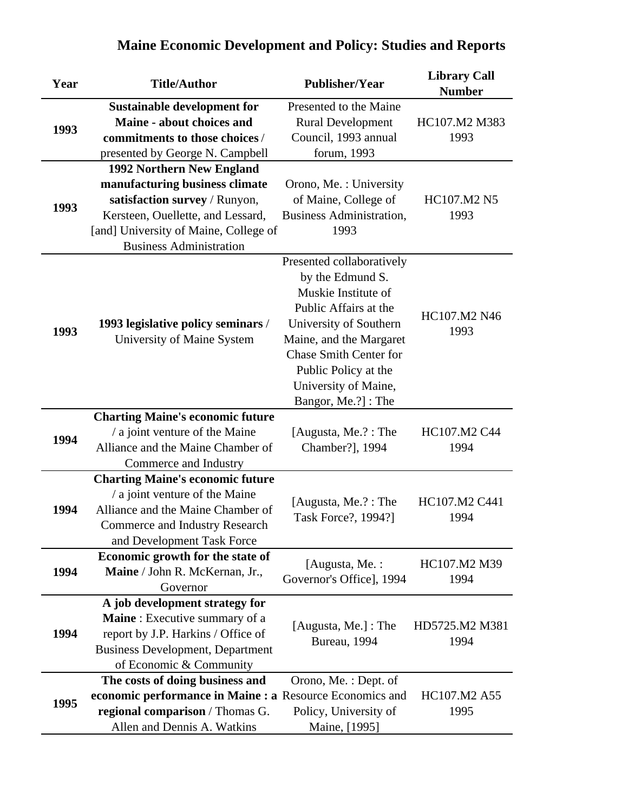| Year                                                                                                                                                                                                    | <b>Title/Author</b>                                      | <b>Publisher/Year</b>           | <b>Library Call</b><br><b>Number</b> |
|---------------------------------------------------------------------------------------------------------------------------------------------------------------------------------------------------------|----------------------------------------------------------|---------------------------------|--------------------------------------|
|                                                                                                                                                                                                         | <b>Sustainable development for</b>                       | Presented to the Maine          |                                      |
|                                                                                                                                                                                                         | Maine - about choices and                                | <b>Rural Development</b>        | HC107.M2 M383                        |
| 1993                                                                                                                                                                                                    | commitments to those choices /                           | Council, 1993 annual            | 1993                                 |
|                                                                                                                                                                                                         | presented by George N. Campbell                          | forum, 1993                     |                                      |
|                                                                                                                                                                                                         | 1992 Northern New England                                |                                 |                                      |
|                                                                                                                                                                                                         | manufacturing business climate                           | Orono, Me.: University          |                                      |
| 1993                                                                                                                                                                                                    | satisfaction survey / Runyon,                            | of Maine, College of            | HC107.M2 N5                          |
|                                                                                                                                                                                                         | Kersteen, Ouellette, and Lessard,                        | <b>Business Administration,</b> | 1993                                 |
|                                                                                                                                                                                                         | [and] University of Maine, College of                    | 1993                            |                                      |
|                                                                                                                                                                                                         | <b>Business Administration</b>                           |                                 |                                      |
|                                                                                                                                                                                                         |                                                          | Presented collaboratively       |                                      |
|                                                                                                                                                                                                         |                                                          | by the Edmund S.                |                                      |
|                                                                                                                                                                                                         |                                                          | Muskie Institute of             |                                      |
|                                                                                                                                                                                                         |                                                          | Public Affairs at the           | HC107.M2 N46                         |
| 1993                                                                                                                                                                                                    | 1993 legislative policy seminars /                       | University of Southern          | 1993                                 |
|                                                                                                                                                                                                         | University of Maine System                               | Maine, and the Margaret         |                                      |
|                                                                                                                                                                                                         |                                                          | <b>Chase Smith Center for</b>   |                                      |
|                                                                                                                                                                                                         |                                                          | Public Policy at the            |                                      |
|                                                                                                                                                                                                         |                                                          | University of Maine,            |                                      |
|                                                                                                                                                                                                         |                                                          | Bangor, Me.?]: The              |                                      |
|                                                                                                                                                                                                         | <b>Charting Maine's economic future</b>                  |                                 |                                      |
|                                                                                                                                                                                                         | / a joint venture of the Maine                           | [Augusta, Me.?: The             | HC107.M2 C44                         |
|                                                                                                                                                                                                         | Alliance and the Maine Chamber of                        | Chamber?], 1994                 | 1994                                 |
|                                                                                                                                                                                                         | Commerce and Industry                                    |                                 |                                      |
|                                                                                                                                                                                                         | <b>Charting Maine's economic future</b>                  |                                 |                                      |
|                                                                                                                                                                                                         |                                                          | [Augusta, Me.?: The             | HC107.M2 C441                        |
| 1994                                                                                                                                                                                                    |                                                          | Task Force?, 1994?]             | 1994                                 |
|                                                                                                                                                                                                         | <b>Commerce and Industry Research</b>                    |                                 |                                      |
|                                                                                                                                                                                                         | and Development Task Force                               |                                 |                                      |
|                                                                                                                                                                                                         |                                                          | [Augusta, Me. :                 | HC107.M2 M39                         |
|                                                                                                                                                                                                         |                                                          | Governor's Office], 1994        | 1994                                 |
| 1994<br>/ a joint venture of the Maine<br>Alliance and the Maine Chamber of<br>Economic growth for the state of<br>1994<br>Maine / John R. McKernan, Jr.,<br>Governor<br>A job development strategy for |                                                          |                                 |                                      |
|                                                                                                                                                                                                         |                                                          |                                 |                                      |
|                                                                                                                                                                                                         | Maine: Executive summary of a                            | [Augusta, Me.] : The            | HD5725.M2 M381                       |
| 1994                                                                                                                                                                                                    | report by J.P. Harkins / Office of                       | Bureau, 1994                    | 1994                                 |
|                                                                                                                                                                                                         | <b>Business Development, Department</b>                  |                                 |                                      |
|                                                                                                                                                                                                         | of Economic & Community                                  |                                 |                                      |
|                                                                                                                                                                                                         | The costs of doing business and                          | Orono, Me.: Dept. of            |                                      |
| 1995                                                                                                                                                                                                    | economic performance in Maine : a Resource Economics and |                                 | HC107.M2 A55                         |
|                                                                                                                                                                                                         | regional comparison / Thomas G.                          | Policy, University of           | 1995                                 |
|                                                                                                                                                                                                         | Allen and Dennis A. Watkins                              | Maine, [1995]                   |                                      |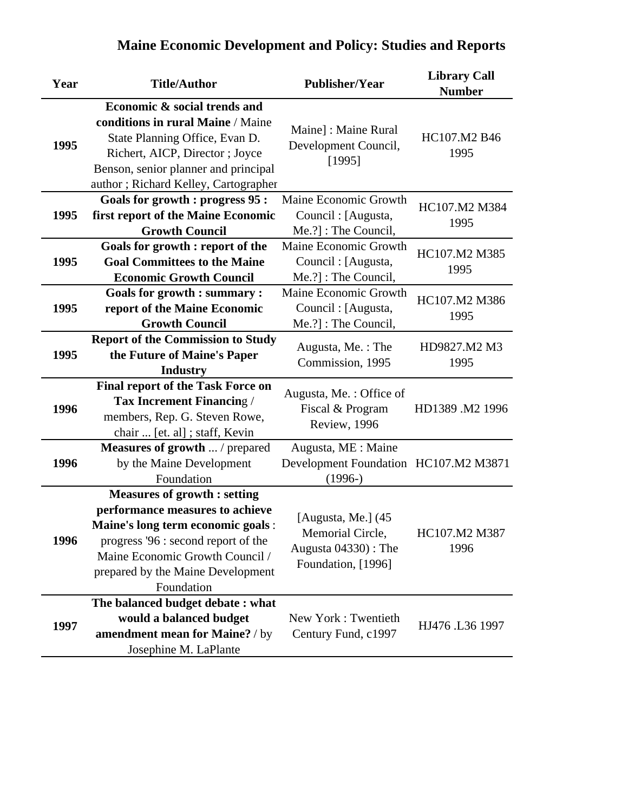| Year | <b>Title/Author</b>                                                                                                                                                                                                                      | <b>Publisher/Year</b>                                                               | <b>Library Call</b><br><b>Number</b> |
|------|------------------------------------------------------------------------------------------------------------------------------------------------------------------------------------------------------------------------------------------|-------------------------------------------------------------------------------------|--------------------------------------|
|      | Economic & social trends and                                                                                                                                                                                                             |                                                                                     |                                      |
| 1995 | conditions in rural Maine / Maine<br>State Planning Office, Evan D.<br>Richert, AICP, Director; Joyce<br>Benson, senior planner and principal<br>author; Richard Kelley, Cartographer                                                    | Maine] : Maine Rural<br>Development Council,<br>[1995]                              | HC107.M2 B46<br>1995                 |
|      | <b>Goals for growth : progress 95 :</b>                                                                                                                                                                                                  | Maine Economic Growth                                                               |                                      |
| 1995 | first report of the Maine Economic                                                                                                                                                                                                       | Council : [Augusta,                                                                 | HC107.M2 M384                        |
|      | <b>Growth Council</b>                                                                                                                                                                                                                    | Me.?] : The Council,                                                                | 1995                                 |
| 1995 | Goals for growth : report of the<br><b>Goal Committees to the Maine</b><br><b>Economic Growth Council</b>                                                                                                                                | Maine Economic Growth<br>Council : [Augusta,<br>Me.?]: The Council,                 | HC107.M2 M385<br>1995                |
| 1995 | <b>Goals for growth : summary :</b><br>report of the Maine Economic<br><b>Growth Council</b>                                                                                                                                             | Maine Economic Growth<br>Council: [Augusta,<br>Me.?] : The Council,                 | HC107.M2 M386<br>1995                |
| 1995 | <b>Report of the Commission to Study</b><br>the Future of Maine's Paper<br><b>Industry</b>                                                                                                                                               | Augusta, Me.: The<br>Commission, 1995                                               | HD9827.M2 M3<br>1995                 |
| 1996 | <b>Final report of the Task Force on</b><br><b>Tax Increment Financing /</b><br>members, Rep. G. Steven Rowe,<br>chair  [et. al] ; staff, Kevin                                                                                          | Augusta, Me.: Office of<br>Fiscal & Program<br>Review, 1996                         | HD1389 .M2 1996                      |
| 1996 | <b>Measures of growth  / prepared</b><br>by the Maine Development<br>Foundation                                                                                                                                                          | Augusta, ME : Maine<br>Development Foundation HC107.M2 M3871<br>$(1996-)$           |                                      |
| 1996 | <b>Measures of growth: setting</b><br>performance measures to achieve<br>Maine's long term economic goals :<br>progress '96 : second report of the<br>Maine Economic Growth Council /<br>prepared by the Maine Development<br>Foundation | [Augusta, Me.] (45<br>Memorial Circle,<br>Augusta 04330): The<br>Foundation, [1996] | HC107.M2 M387<br>1996                |
| 1997 | The balanced budget debate: what<br>would a balanced budget<br>amendment mean for Maine? / by<br>Josephine M. LaPlante                                                                                                                   | New York: Twentieth<br>Century Fund, c1997                                          | HJ476 .L36 1997                      |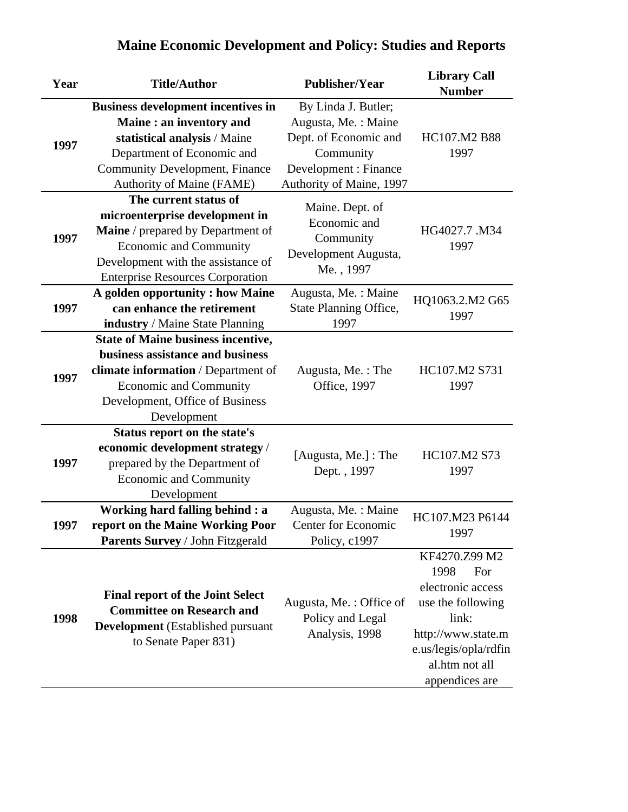| Year | <b>Title/Author</b>                       | <b>Publisher/Year</b>             | <b>Library Call</b><br><b>Number</b> |
|------|-------------------------------------------|-----------------------------------|--------------------------------------|
|      | <b>Business development incentives in</b> | By Linda J. Butler;               |                                      |
|      | Maine: an inventory and                   | Augusta, Me.: Maine               |                                      |
| 1997 | statistical analysis / Maine              | Dept. of Economic and             | HC107.M2 B88                         |
|      | Department of Economic and                | Community                         | 1997                                 |
|      | <b>Community Development, Finance</b>     | Development : Finance             |                                      |
|      | Authority of Maine (FAME)                 | Authority of Maine, 1997          |                                      |
|      | The current status of                     | Maine. Dept. of                   |                                      |
|      | microenterprise development in            | Economic and                      |                                      |
| 1997 | Maine / prepared by Department of         | Community                         | HG4027.7 .M34                        |
|      | Economic and Community                    | Development Augusta,              | 1997                                 |
|      | Development with the assistance of        | Me., 1997                         |                                      |
|      | <b>Enterprise Resources Corporation</b>   |                                   |                                      |
|      | A golden opportunity : how Maine          | Augusta, Me.: Maine               | HQ1063.2.M2 G65                      |
| 1997 | can enhance the retirement                | State Planning Office,            | 1997                                 |
|      | industry / Maine State Planning           | 1997                              |                                      |
|      | <b>State of Maine business incentive,</b> |                                   |                                      |
|      | business assistance and business          |                                   |                                      |
| 1997 | climate information / Department of       | Augusta, Me.: The<br>Office, 1997 | HC107.M2 S731<br>1997                |
|      | Economic and Community                    |                                   |                                      |
|      | Development, Office of Business           |                                   |                                      |
|      | Development                               |                                   |                                      |
|      | Status report on the state's              |                                   |                                      |
|      | economic development strategy /           | [Augusta, Me.] : The              | HC107.M2 S73<br>1997                 |
| 1997 | prepared by the Department of             | Dept., 1997                       |                                      |
|      | <b>Economic and Community</b>             |                                   |                                      |
|      | Development                               |                                   |                                      |
|      | Working hard falling behind : a           | Augusta, Me.: Maine               | HC107.M23 P6144                      |
| 1997 | report on the Maine Working Poor          | Center for Economic               | 1997                                 |
|      | Parents Survey / John Fitzgerald          | Policy, c1997                     |                                      |
|      |                                           |                                   | KF4270.Z99 M2                        |
|      |                                           |                                   | 1998<br>For                          |
|      | <b>Final report of the Joint Select</b>   |                                   | electronic access                    |
|      | <b>Committee on Research and</b>          | Augusta, Me.: Office of           | use the following                    |
| 1998 | <b>Development</b> (Established pursuant  | Policy and Legal                  | link:                                |
|      | to Senate Paper 831)                      | Analysis, 1998                    | http://www.state.m                   |
|      |                                           |                                   | e.us/legis/opla/rdfin                |
|      |                                           |                                   | al.htm not all                       |
|      |                                           |                                   | appendices are                       |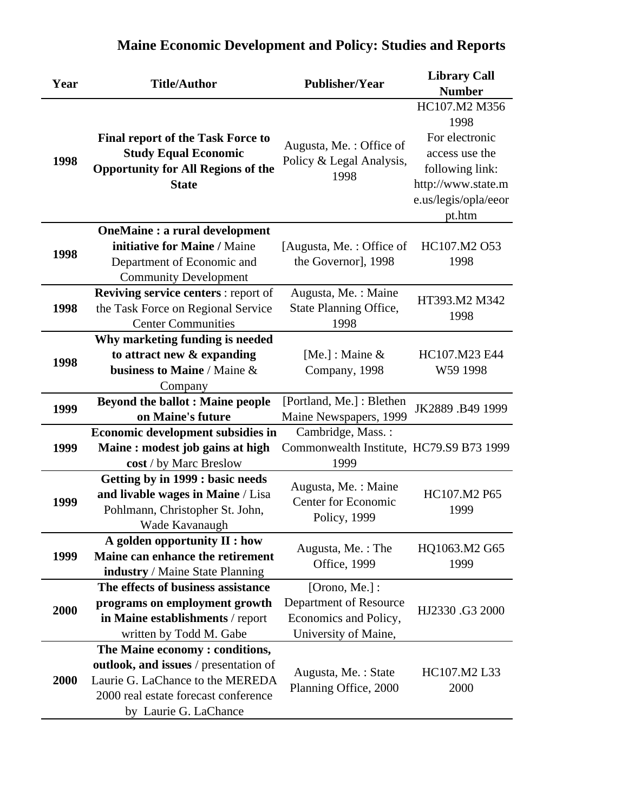| Year | <b>Title/Author</b>                                                                                                                                                          | <b>Publisher/Year</b>                                                                     | <b>Library Call</b><br><b>Number</b>                                                                                                 |
|------|------------------------------------------------------------------------------------------------------------------------------------------------------------------------------|-------------------------------------------------------------------------------------------|--------------------------------------------------------------------------------------------------------------------------------------|
| 1998 | <b>Final report of the Task Force to</b><br><b>Study Equal Economic</b><br><b>Opportunity for All Regions of the</b><br><b>State</b>                                         | Augusta, Me.: Office of<br>Policy & Legal Analysis,<br>1998                               | HC107.M2 M356<br>1998<br>For electronic<br>access use the<br>following link:<br>http://www.state.m<br>e.us/legis/opla/eeor<br>pt.htm |
| 1998 | <b>OneMaine : a rural development</b><br>initiative for Maine / Maine<br>Department of Economic and<br><b>Community Development</b>                                          | [Augusta, Me.: Office of<br>the Governor], 1998                                           | HC107.M2 O53<br>1998                                                                                                                 |
| 1998 | <b>Reviving service centers:</b> report of<br>the Task Force on Regional Service<br><b>Center Communities</b>                                                                | Augusta, Me.: Maine<br>State Planning Office,<br>1998                                     | HT393.M2 M342<br>1998                                                                                                                |
| 1998 | Why marketing funding is needed<br>to attract new & expanding<br>business to Maine / Maine &<br>Company                                                                      | [Me.] : Maine $&$<br>Company, 1998                                                        | HC107.M23 E44<br>W59 1998                                                                                                            |
| 1999 | <b>Beyond the ballot : Maine people</b><br>on Maine's future                                                                                                                 | [Portland, Me.] : Blethen<br>Maine Newspapers, 1999                                       | JK2889 .B49 1999                                                                                                                     |
| 1999 | <b>Economic development subsidies in</b><br>Maine: modest job gains at high<br>cost / by Marc Breslow                                                                        | Cambridge, Mass.:<br>Commonwealth Institute, HC79.S9 B73 1999<br>1999                     |                                                                                                                                      |
| 1999 | Getting by in 1999 : basic needs<br>and livable wages in Maine / Lisa<br>Pohlmann, Christopher St. John,<br>Wade Kavanaugh                                                   | Augusta, Me.: Maine<br><b>Center for Economic</b><br>Policy, 1999                         | HC107.M2 P65<br>1999                                                                                                                 |
| 1999 | A golden opportunity II : how<br>Maine can enhance the retirement<br>industry / Maine State Planning                                                                         | Augusta, Me.: The<br>Office, 1999                                                         | HQ1063.M2 G65<br>1999                                                                                                                |
| 2000 | The effects of business assistance<br>programs on employment growth<br>in Maine establishments / report<br>written by Todd M. Gabe                                           | [Orono, Me.] :<br>Department of Resource<br>Economics and Policy,<br>University of Maine, | HJ2330.G3 2000                                                                                                                       |
| 2000 | The Maine economy: conditions,<br>outlook, and issues / presentation of<br>Laurie G. LaChance to the MEREDA<br>2000 real estate forecast conference<br>by Laurie G. LaChance | Augusta, Me.: State<br>Planning Office, 2000                                              | HC107.M2 L33<br>2000                                                                                                                 |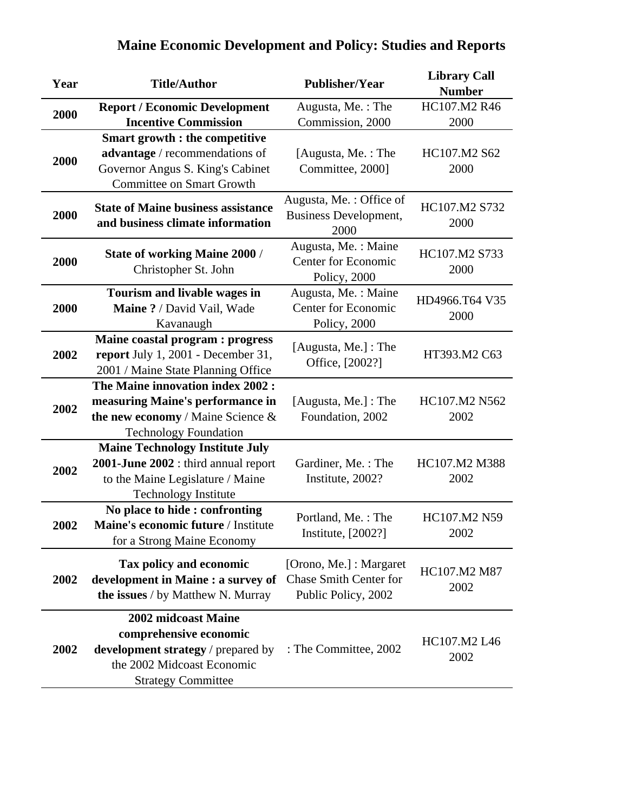| Year | <b>Title/Author</b>                                                                                                                               | <b>Publisher/Year</b>                                                           | <b>Library Call</b><br><b>Number</b> |
|------|---------------------------------------------------------------------------------------------------------------------------------------------------|---------------------------------------------------------------------------------|--------------------------------------|
|      | <b>Report / Economic Development</b>                                                                                                              | Augusta, Me.: The                                                               | HC107.M2 R46                         |
| 2000 | <b>Incentive Commission</b>                                                                                                                       | Commission, 2000                                                                | 2000                                 |
| 2000 | <b>Smart growth : the competitive</b><br>advantage / recommendations of<br>Governor Angus S. King's Cabinet<br><b>Committee on Smart Growth</b>   | [Augusta, Me.: The<br>Committee, 2000]                                          | HC107.M2 S62<br>2000                 |
| 2000 | <b>State of Maine business assistance</b><br>and business climate information                                                                     | Augusta, Me.: Office of<br><b>Business Development,</b><br>2000                 | HC107.M2 S732<br>2000                |
| 2000 | <b>State of working Maine 2000 /</b><br>Christopher St. John                                                                                      | Augusta, Me.: Maine<br><b>Center for Economic</b><br>Policy, 2000               | HC107.M2 S733<br>2000                |
| 2000 | Tourism and livable wages in<br>Maine ? / David Vail, Wade<br>Kavanaugh                                                                           | Augusta, Me.: Maine<br><b>Center for Economic</b><br>Policy, 2000               | HD4966.T64 V35<br>2000               |
| 2002 | Maine coastal program : progress<br>report July 1, 2001 - December 31,<br>2001 / Maine State Planning Office                                      | [Augusta, Me.] : The<br>Office, [2002?]                                         | HT393.M2 C63                         |
| 2002 | The Maine innovation index 2002 :<br>measuring Maine's performance in<br>the new economy / Maine Science $\&$<br><b>Technology Foundation</b>     | [Augusta, Me.] : The<br>Foundation, 2002                                        | HC107.M2 N562<br>2002                |
| 2002 | <b>Maine Technology Institute July</b><br>2001-June 2002 : third annual report<br>to the Maine Legislature / Maine<br><b>Technology Institute</b> | Gardiner, Me.: The<br>Institute, 2002?                                          | HC107.M2 M388<br>2002                |
| 2002 | No place to hide: confronting<br>Maine's economic future / Institute<br>for a Strong Maine Economy                                                | Portland, Me.: The<br>Institute, [2002?]                                        | HC107.M2 N59<br>2002                 |
| 2002 | <b>Tax policy and economic</b><br>development in Maine : a survey of<br>the issues / by Matthew N. Murray                                         | [Orono, Me.] : Margaret<br><b>Chase Smith Center for</b><br>Public Policy, 2002 | HC107.M2 M87<br>2002                 |
| 2002 | 2002 midcoast Maine<br>comprehensive economic<br>development strategy / prepared by<br>the 2002 Midcoast Economic<br><b>Strategy Committee</b>    | : The Committee, 2002                                                           | HC107.M2 L46<br>2002                 |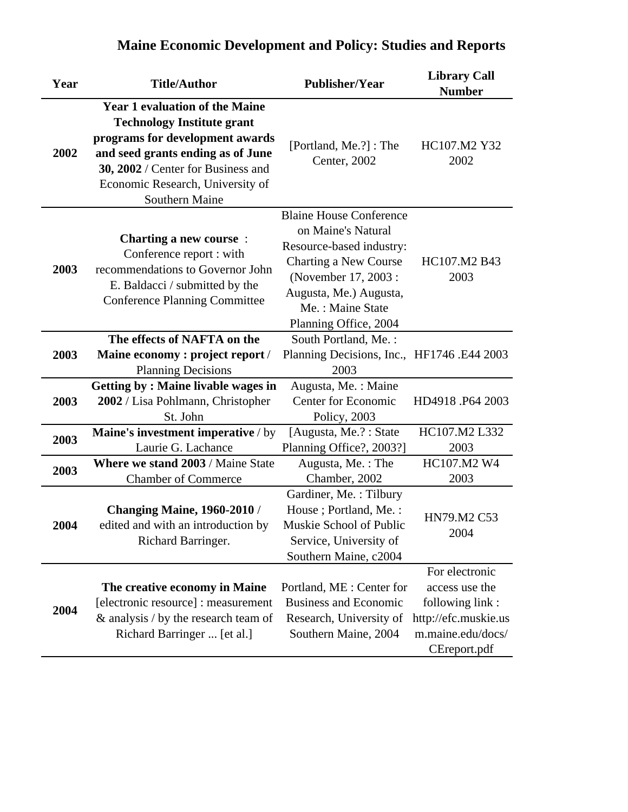| Year | <b>Title/Author</b>                                                                                                                                                                                                                            | <b>Publisher/Year</b>                                                                                                                                                                                   | <b>Library Call</b><br><b>Number</b>                                                                             |
|------|------------------------------------------------------------------------------------------------------------------------------------------------------------------------------------------------------------------------------------------------|---------------------------------------------------------------------------------------------------------------------------------------------------------------------------------------------------------|------------------------------------------------------------------------------------------------------------------|
| 2002 | <b>Year 1 evaluation of the Maine</b><br><b>Technology Institute grant</b><br>programs for development awards<br>and seed grants ending as of June<br>30, 2002 / Center for Business and<br>Economic Research, University of<br>Southern Maine | [Portland, Me.?] : The<br>Center, 2002                                                                                                                                                                  | HC107.M2 Y32<br>2002                                                                                             |
| 2003 | <b>Charting a new course:</b><br>Conference report : with<br>recommendations to Governor John<br>E. Baldacci / submitted by the<br><b>Conference Planning Committee</b>                                                                        | <b>Blaine House Conference</b><br>on Maine's Natural<br>Resource-based industry:<br>Charting a New Course<br>(November 17, 2003:<br>Augusta, Me.) Augusta,<br>Me.: Maine State<br>Planning Office, 2004 | HC107.M2 B43<br>2003                                                                                             |
| 2003 | The effects of NAFTA on the<br>Maine economy : project report /<br><b>Planning Decisions</b>                                                                                                                                                   | South Portland, Me.:<br>Planning Decisions, Inc., HF1746 .E44 2003<br>2003                                                                                                                              |                                                                                                                  |
| 2003 | <b>Getting by: Maine livable wages in</b><br>2002 / Lisa Pohlmann, Christopher<br>St. John                                                                                                                                                     | Augusta, Me.: Maine<br><b>Center for Economic</b><br>Policy, 2003                                                                                                                                       | HD4918.P64 2003                                                                                                  |
| 2003 | Maine's investment imperative / by<br>Laurie G. Lachance                                                                                                                                                                                       | [Augusta, Me.?: State<br>Planning Office?, 2003?]                                                                                                                                                       | HC107.M2 L332<br>2003                                                                                            |
| 2003 | <b>Where we stand 2003 / Maine State</b><br><b>Chamber of Commerce</b>                                                                                                                                                                         | Augusta, Me.: The<br>Chamber, 2002                                                                                                                                                                      | HC107.M2 W4<br>2003                                                                                              |
| 2004 | <b>Changing Maine, 1960-2010/</b><br>edited and with an introduction by<br>Richard Barringer.                                                                                                                                                  | Gardiner, Me.: Tilbury<br>House; Portland, Me.:<br>Muskie School of Public<br>Service, University of<br>Southern Maine, c2004                                                                           | HN79.M2 C53<br>2004                                                                                              |
| 2004 | The creative economy in Maine<br>[electronic resource] : measurement<br>$\&$ analysis / by the research team of<br>Richard Barringer  [et al.]                                                                                                 | Portland, ME : Center for<br><b>Business and Economic</b><br>Research, University of<br>Southern Maine, 2004                                                                                            | For electronic<br>access use the<br>following link:<br>http://efc.muskie.us<br>m.maine.edu/docs/<br>CEreport.pdf |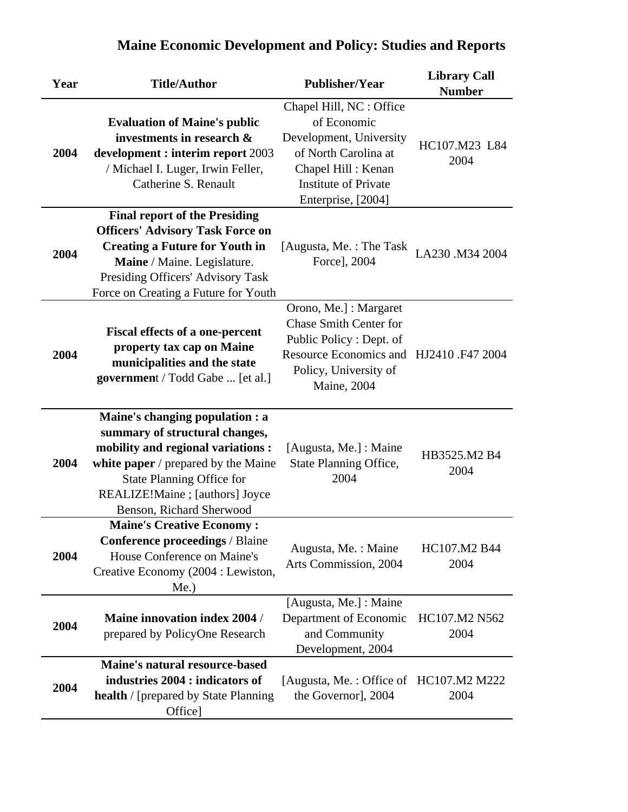| Year | <b>Title/Author</b>                                                                                                                                                                                                                                      | <b>Publisher/Year</b>                                                                                                                                                        | <b>Library Call</b><br><b>Number</b> |
|------|----------------------------------------------------------------------------------------------------------------------------------------------------------------------------------------------------------------------------------------------------------|------------------------------------------------------------------------------------------------------------------------------------------------------------------------------|--------------------------------------|
| 2004 | <b>Evaluation of Maine's public</b><br>investments in research &<br>development : interim report 2003<br>/ Michael I. Luger, Irwin Feller,<br>Catherine S. Renault                                                                                       | Chapel Hill, NC : Office<br>of Economic<br>Development, University<br>of North Carolina at<br>Chapel Hill: Kenan<br><b>Institute of Private</b><br>Enterprise, [2004]        | HC107.M23 L84<br>2004                |
| 2004 | <b>Final report of the Presiding</b><br><b>Officers' Advisory Task Force on</b><br><b>Creating a Future for Youth in</b><br>Maine / Maine. Legislature.<br>Presiding Officers' Advisory Task<br>Force on Creating a Future for Youth                     | [Augusta, Me. : The Task]<br>Force], 2004                                                                                                                                    | LA230 .M34 2004                      |
| 2004 | <b>Fiscal effects of a one-percent</b><br>property tax cap on Maine<br>municipalities and the state<br><b>government</b> / Todd Gabe  [et al.]                                                                                                           | Orono, Me.] : Margaret<br><b>Chase Smith Center for</b><br>Public Policy: Dept. of<br>Resource Economics and HJ2410.F47 2004<br>Policy, University of<br><b>Maine</b> , 2004 |                                      |
| 2004 | Maine's changing population : a<br>summary of structural changes,<br>mobility and regional variations :<br>white paper $\prime$ prepared by the Maine<br><b>State Planning Office for</b><br>REALIZE!Maine ; [authors] Joyce<br>Benson, Richard Sherwood | [Augusta, Me.] : Maine<br>State Planning Office,<br>2004                                                                                                                     | HB3525.M2 B4<br>2004                 |
| 2004 | <b>Maine's Creative Economy:</b><br><b>Conference proceedings / Blaine</b><br>House Conference on Maine's<br>Creative Economy (2004 : Lewiston,<br>$Me.$ )                                                                                               | Augusta, Me.: Maine<br>Arts Commission, 2004                                                                                                                                 | HC107.M2 B44<br>2004                 |
| 2004 | <b>Maine innovation index 2004 /</b><br>prepared by PolicyOne Research                                                                                                                                                                                   | [Augusta, Me.] : Maine<br>Department of Economic<br>and Community<br>Development, 2004                                                                                       | HC107.M2 N562<br>2004                |
| 2004 | <b>Maine's natural resource-based</b><br>industries 2004 : indicators of<br><b>health</b> / [prepared by State Planning<br>Office]                                                                                                                       | [Augusta, Me.: Office of HC107.M2 M222<br>the Governor], 2004                                                                                                                | 2004                                 |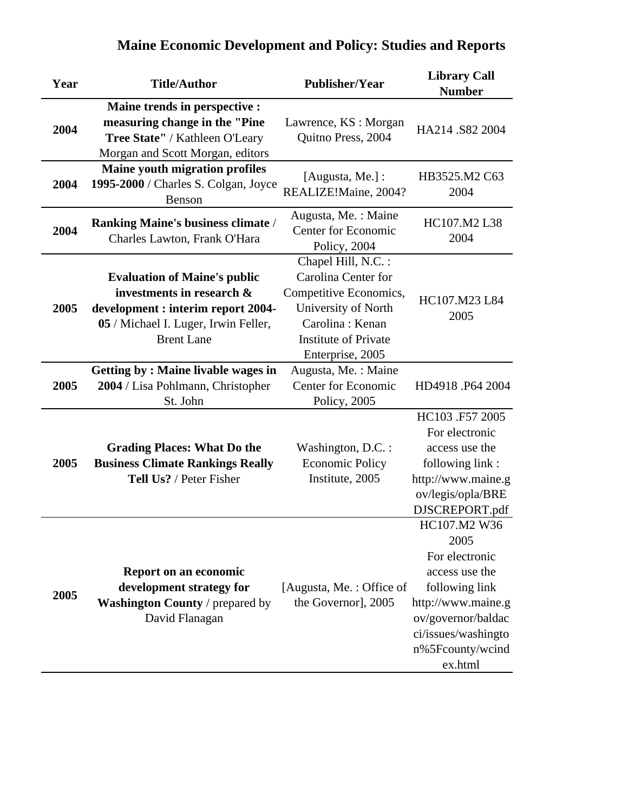| Year | <b>Title/Author</b>                                                                                                                                                 | <b>Publisher/Year</b>                                                                                                                                             | <b>Library Call</b><br><b>Number</b>                                                                                                                                         |
|------|---------------------------------------------------------------------------------------------------------------------------------------------------------------------|-------------------------------------------------------------------------------------------------------------------------------------------------------------------|------------------------------------------------------------------------------------------------------------------------------------------------------------------------------|
| 2004 | Maine trends in perspective :<br>measuring change in the "Pine<br>Tree State" / Kathleen O'Leary<br>Morgan and Scott Morgan, editors                                | Lawrence, KS : Morgan<br>Quitno Press, 2004                                                                                                                       | HA214 .S82 2004                                                                                                                                                              |
| 2004 | <b>Maine youth migration profiles</b><br>1995-2000 / Charles S. Colgan, Joyce<br>Benson                                                                             | [Augusta, Me.]:<br>REALIZE!Maine, 2004?                                                                                                                           | HB3525.M2 C63<br>2004                                                                                                                                                        |
| 2004 | <b>Ranking Maine's business climate /</b><br>Charles Lawton, Frank O'Hara                                                                                           | Augusta, Me.: Maine<br><b>Center for Economic</b><br>Policy, 2004                                                                                                 | HC107.M2 L38<br>2004                                                                                                                                                         |
| 2005 | <b>Evaluation of Maine's public</b><br>investments in research &<br>development : interim report 2004-<br>05 / Michael I. Luger, Irwin Feller,<br><b>Brent Lane</b> | Chapel Hill, N.C. :<br>Carolina Center for<br>Competitive Economics,<br>University of North<br>Carolina: Kenan<br><b>Institute of Private</b><br>Enterprise, 2005 | HC107.M23 L84<br>2005                                                                                                                                                        |
| 2005 | <b>Getting by: Maine livable wages in</b><br>2004 / Lisa Pohlmann, Christopher<br>St. John                                                                          | Augusta, Me.: Maine<br><b>Center for Economic</b><br>Policy, 2005                                                                                                 | HD4918.P64 2004                                                                                                                                                              |
| 2005 | <b>Grading Places: What Do the</b><br><b>Business Climate Rankings Really</b><br>Tell Us? / Peter Fisher                                                            | Washington, D.C. :<br><b>Economic Policy</b><br>Institute, 2005                                                                                                   | HC103 .F57 2005<br>For electronic<br>access use the<br>following link:<br>http://www.maine.g<br>ov/legis/opla/BRE<br>DJSCREPORT.pdf                                          |
| 2005 | Report on an economic<br>development strategy for<br>Washington County / prepared by<br>David Flanagan                                                              | [Augusta, Me.: Office of<br>the Governor], 2005                                                                                                                   | HC107.M2 W36<br>2005<br>For electronic<br>access use the<br>following link<br>http://www.maine.g<br>ov/governor/baldac<br>ci/issues/washingto<br>n%5Fcounty/wcind<br>ex.html |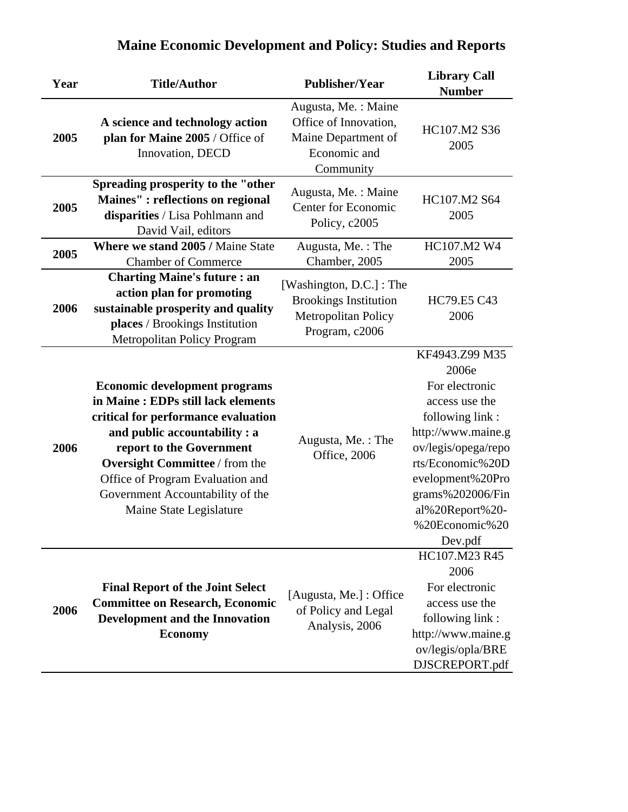| Year | <b>Title/Author</b>                                                                                                                                                                                                                                                                                                        | <b>Publisher/Year</b>                                                                                    | <b>Library Call</b><br><b>Number</b>                                                                                                                                                                                                    |
|------|----------------------------------------------------------------------------------------------------------------------------------------------------------------------------------------------------------------------------------------------------------------------------------------------------------------------------|----------------------------------------------------------------------------------------------------------|-----------------------------------------------------------------------------------------------------------------------------------------------------------------------------------------------------------------------------------------|
| 2005 | A science and technology action<br>plan for Maine 2005 / Office of<br>Innovation, DECD                                                                                                                                                                                                                                     | Augusta, Me.: Maine<br>Office of Innovation,<br>Maine Department of<br>Economic and<br>Community         | HC107.M2 S36<br>2005                                                                                                                                                                                                                    |
| 2005 | Spreading prosperity to the "other<br>Maines" : reflections on regional<br>disparities / Lisa Pohlmann and<br>David Vail, editors                                                                                                                                                                                          | Augusta, Me.: Maine<br><b>Center for Economic</b><br>Policy, c2005                                       | HC107.M2 S64<br>2005                                                                                                                                                                                                                    |
| 2005 | Where we stand 2005 / Maine State<br><b>Chamber of Commerce</b>                                                                                                                                                                                                                                                            | Augusta, Me.: The<br>Chamber, 2005                                                                       | HC107.M2 W4<br>2005                                                                                                                                                                                                                     |
| 2006 | <b>Charting Maine's future : an</b><br>action plan for promoting<br>sustainable prosperity and quality<br>places / Brookings Institution<br>Metropolitan Policy Program                                                                                                                                                    | [Washington, D.C.] : The<br><b>Brookings Institution</b><br><b>Metropolitan Policy</b><br>Program, c2006 | HC79.E5 C43<br>2006                                                                                                                                                                                                                     |
| 2006 | <b>Economic development programs</b><br>in Maine: EDPs still lack elements<br>critical for performance evaluation<br>and public accountability : a<br>report to the Government<br><b>Oversight Committee / from the</b><br>Office of Program Evaluation and<br>Government Accountability of the<br>Maine State Legislature | Augusta, Me.: The<br>Office, 2006                                                                        | KF4943.Z99 M35<br>2006e<br>For electronic<br>access use the<br>following link:<br>http://www.maine.g<br>ov/legis/opega/repo<br>rts/Economic%20D<br>evelopment%20Pro<br>grams%202006/Fin<br>al%20Report%20-<br>%20Economic%20<br>Dev.pdf |
| 2006 | <b>Final Report of the Joint Select</b><br><b>Committee on Research, Economic</b><br>Development and the Innovation<br><b>Economy</b>                                                                                                                                                                                      | [Augusta, Me.] : Office<br>of Policy and Legal<br>Analysis, 2006                                         | HC107.M23 R45<br>2006<br>For electronic<br>access use the<br>following link:<br>http://www.maine.g<br>ov/legis/opla/BRE<br>DJSCREPORT.pdf                                                                                               |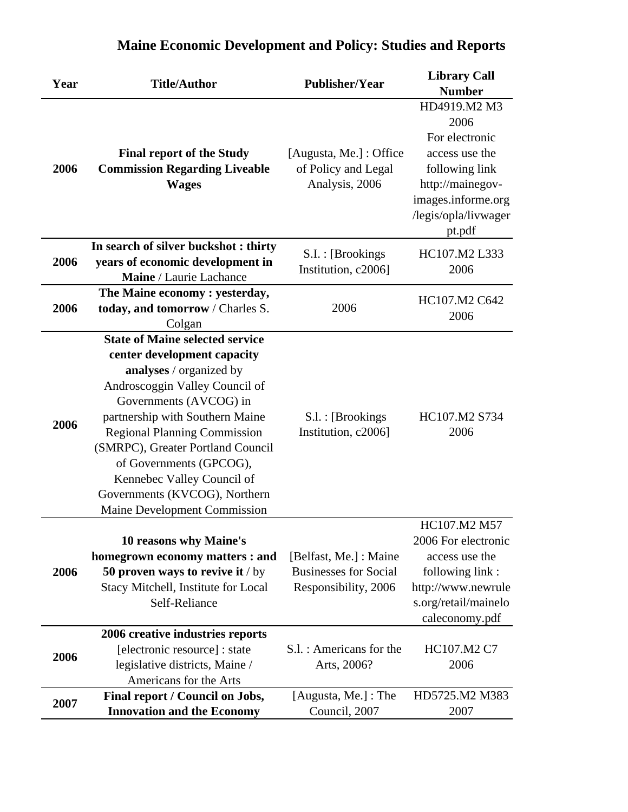| Year | <b>Title/Author</b>                                                                                                                                                                                                                                                                                                                                                                                          | <b>Publisher/Year</b>                                                          | <b>Library Call</b><br><b>Number</b>                                                                                                                   |
|------|--------------------------------------------------------------------------------------------------------------------------------------------------------------------------------------------------------------------------------------------------------------------------------------------------------------------------------------------------------------------------------------------------------------|--------------------------------------------------------------------------------|--------------------------------------------------------------------------------------------------------------------------------------------------------|
| 2006 | <b>Final report of the Study</b><br><b>Commission Regarding Liveable</b><br><b>Wages</b>                                                                                                                                                                                                                                                                                                                     | [Augusta, Me.] : Office<br>of Policy and Legal<br>Analysis, 2006               | HD4919.M2 M3<br>2006<br>For electronic<br>access use the<br>following link<br>http://mainegov-<br>images.informe.org<br>/legis/opla/livwager<br>pt.pdf |
| 2006 | In search of silver buckshot: thirty<br>years of economic development in<br>Maine / Laurie Lachance                                                                                                                                                                                                                                                                                                          | S.I.: [Brookings<br>Institution, c2006]                                        | HC107.M2 L333<br>2006                                                                                                                                  |
| 2006 | The Maine economy: yesterday,<br>today, and tomorrow / Charles S.<br>Colgan                                                                                                                                                                                                                                                                                                                                  | 2006                                                                           | HC107.M2 C642<br>2006                                                                                                                                  |
| 2006 | <b>State of Maine selected service</b><br>center development capacity<br>analyses / organized by<br>Androscoggin Valley Council of<br>Governments (AVCOG) in<br>partnership with Southern Maine<br><b>Regional Planning Commission</b><br>(SMRPC), Greater Portland Council<br>of Governments (GPCOG),<br>Kennebec Valley Council of<br>Governments (KVCOG), Northern<br><b>Maine Development Commission</b> | S.l. : [Brookings]<br>Institution, c2006]                                      | HC107.M2 S734<br>2006                                                                                                                                  |
| 2006 | 10 reasons why Maine's<br>homegrown economy matters : and<br>50 proven ways to revive it / by<br>Stacy Mitchell, Institute for Local<br>Self-Reliance                                                                                                                                                                                                                                                        | [Belfast, Me.] : Maine<br><b>Businesses for Social</b><br>Responsibility, 2006 | HC107.M2 M57<br>2006 For electronic<br>access use the<br>following link:<br>http://www.newrule<br>s.org/retail/mainelo<br>caleconomy.pdf               |
| 2006 | 2006 creative industries reports<br>[electronic resource] : state<br>legislative districts, Maine /<br>Americans for the Arts                                                                                                                                                                                                                                                                                | S.l. : Americans for the<br>Arts, 2006?                                        | HC107.M2 C7<br>2006                                                                                                                                    |
| 2007 | Final report / Council on Jobs,<br><b>Innovation and the Economy</b>                                                                                                                                                                                                                                                                                                                                         | [Augusta, Me.] : The<br>Council, 2007                                          | HD5725.M2 M383<br>2007                                                                                                                                 |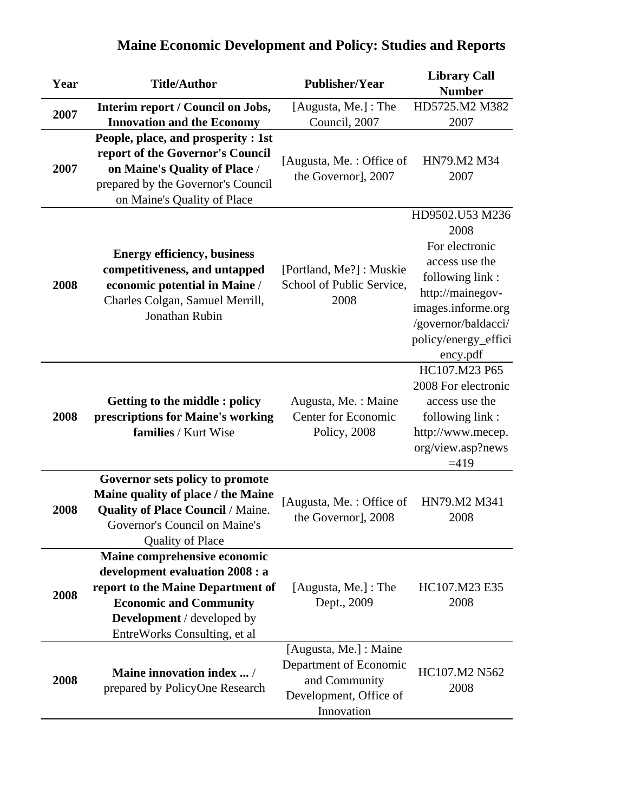| Year | <b>Title/Author</b>                                                                                                                                                                                        | <b>Publisher/Year</b>                                                           | <b>Library Call</b><br><b>Number</b>                                                                                                                                                |
|------|------------------------------------------------------------------------------------------------------------------------------------------------------------------------------------------------------------|---------------------------------------------------------------------------------|-------------------------------------------------------------------------------------------------------------------------------------------------------------------------------------|
|      | Interim report / Council on Jobs,                                                                                                                                                                          | [Augusta, Me.] : The                                                            | HD5725.M2 M382                                                                                                                                                                      |
| 2007 | <b>Innovation and the Economy</b>                                                                                                                                                                          | Council, 2007                                                                   | 2007                                                                                                                                                                                |
| 2007 | People, place, and prosperity : 1st<br>report of the Governor's Council<br>on Maine's Quality of Place /<br>prepared by the Governor's Council<br>on Maine's Quality of Place                              | [Augusta, Me.: Office of<br>the Governor], 2007                                 | HN79.M2 M34<br>2007                                                                                                                                                                 |
| 2008 | <b>Energy efficiency, business</b><br>competitiveness, and untapped<br>economic potential in Maine /<br>Charles Colgan, Samuel Merrill,<br>Jonathan Rubin                                                  | [Portland, Me?]: Muskie<br>School of Public Service,<br>2008                    | HD9502.U53 M236<br>2008<br>For electronic<br>access use the<br>following link:<br>http://mainegov-<br>images.informe.org<br>/governor/baldacci/<br>policy/energy_effici<br>ency.pdf |
| 2008 | <b>Getting to the middle: policy</b><br>prescriptions for Maine's working<br>families / Kurt Wise                                                                                                          | Augusta, Me. : Maine<br><b>Center for Economic</b><br>Policy, 2008              | HC107.M23 P65<br>2008 For electronic<br>access use the<br>following link:<br>http://www.mecep.<br>org/view.asp?news<br>$=419$                                                       |
| 2008 | Governor sets policy to promote<br>Maine quality of place / the Maine<br><b>Quality of Place Council / Maine.</b><br>Governor's Council on Maine's<br><b>Quality of Place</b>                              | [Augusta, Me.: Office of<br>the Governor], 2008                                 | HN79.M2 M341<br>2008                                                                                                                                                                |
| 2008 | Maine comprehensive economic<br>development evaluation 2008 : a<br>report to the Maine Department of<br><b>Economic and Community</b><br><b>Development</b> / developed by<br>EntreWorks Consulting, et al | [Augusta, Me.] : The<br>Dept., 2009<br>[Augusta, Me.] : Maine                   | HC107.M23 E35<br>2008                                                                                                                                                               |
| 2008 | <b>Maine innovation index </b> /<br>prepared by PolicyOne Research                                                                                                                                         | Department of Economic<br>and Community<br>Development, Office of<br>Innovation | HC107.M2 N562<br>2008                                                                                                                                                               |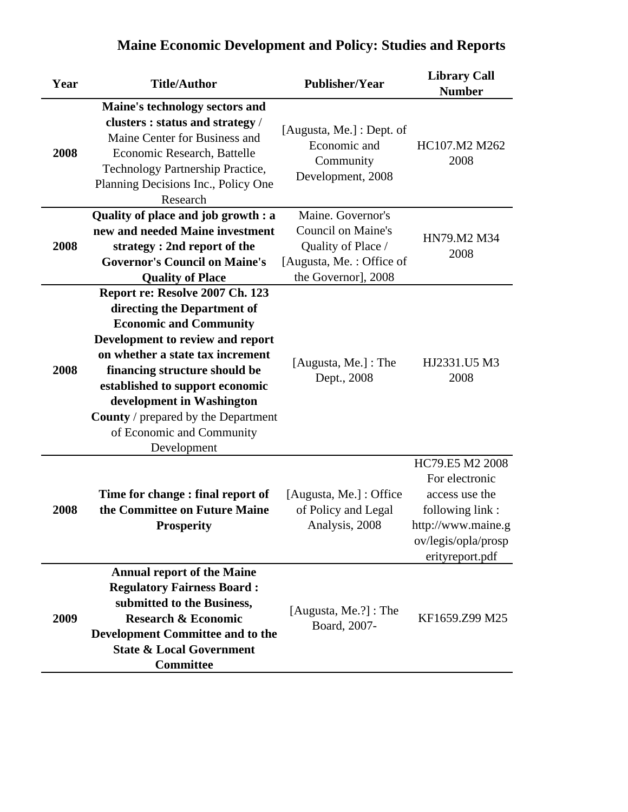#### **Year Title/Author Publisher/Year Library Call Number 2008 Maine's technology sectors and clusters : status and strategy** / Maine Center for Business and Economic Research, Battelle Technology Partnership Practice, Planning Decisions Inc., Policy One Research [Augusta, Me.] : Dept. of Economic and Community Development, 2008 HC107.M2 M262 2008 **2008 Quality of place and job growth : a new and needed Maine investment strategy : 2nd report of the Governor's Council on Maine's Quality of Place** Maine. Governor's Council on Maine's Quality of Place / [Augusta, Me. : Office of the Governor], 2008 HN79.M2 M34 2008 **2008 Report re: Resolve 2007 Ch. 123 directing the Department of Economic and Community Development to review and report on whether a state tax increment financing structure should be established to support economic development in Washington County** / prepared by the Department of Economic and Community Development [Augusta, Me.] : The Dept., 2008 HJ2331.U5 M3 2008 **2008 Time for change : final report of the Committee on Future Maine Prosperity** [Augusta, Me.] : Office of Policy and Legal Analysis, 2008 HC79.E5 M2 2008 For electronic access use the following link : http://www.maine.g ov/legis/opla/prosp erityreport.pdf **2009 Annual report of the Maine Regulatory Fairness Board : submitted to the Business, Research & Economic Development Committee and to the State & Local Government Committee** [Augusta, Me.?] : The Board, 2007-<br>Board, 2007-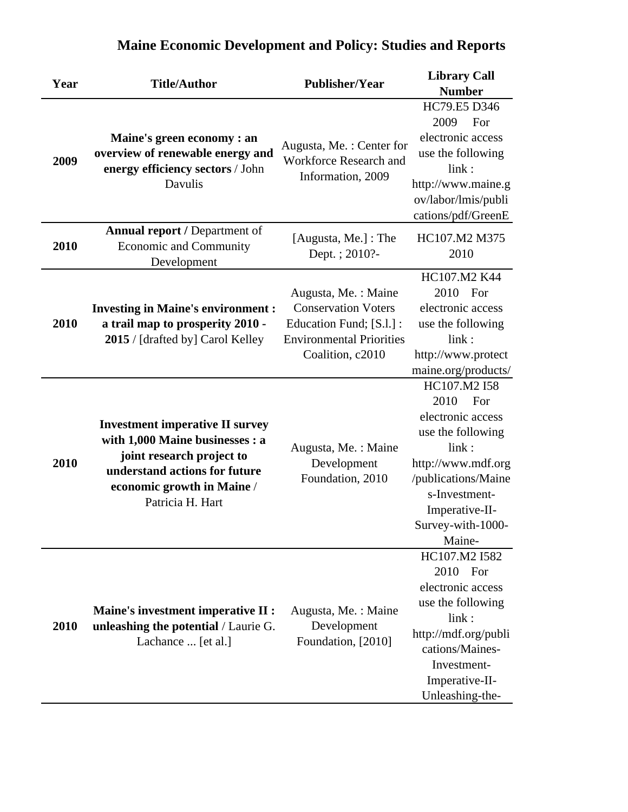| Year | <b>Title/Author</b>                                                                                                                                                                       | <b>Publisher/Year</b>                                                                                                                | <b>Library Call</b><br><b>Number</b>                                                                                                                                                          |
|------|-------------------------------------------------------------------------------------------------------------------------------------------------------------------------------------------|--------------------------------------------------------------------------------------------------------------------------------------|-----------------------------------------------------------------------------------------------------------------------------------------------------------------------------------------------|
| 2009 | Maine's green economy : an<br>overview of renewable energy and<br>energy efficiency sectors / John<br>Davulis                                                                             | Augusta, Me.: Center for<br>Workforce Research and<br>Information, 2009                                                              | HC79.E5 D346<br>2009<br>For<br>electronic access<br>use the following<br>link:<br>http://www.maine.g<br>ov/labor/lmis/publi<br>cations/pdf/GreenE                                             |
| 2010 | <b>Annual report / Department of</b><br><b>Economic and Community</b><br>Development                                                                                                      | [Augusta, Me.] : The<br>Dept. ; 2010?-                                                                                               | HC107.M2 M375<br>2010                                                                                                                                                                         |
| 2010 | <b>Investing in Maine's environment :</b><br>a trail map to prosperity 2010 -<br>2015 / [drafted by] Carol Kelley                                                                         | Augusta, Me.: Maine<br><b>Conservation Voters</b><br>Education Fund; [S.l.] :<br><b>Environmental Priorities</b><br>Coalition, c2010 | HC107.M2 K44<br>2010 For<br>electronic access<br>use the following<br>link:<br>http://www.protect<br>maine.org/products/                                                                      |
| 2010 | <b>Investment imperative II survey</b><br>with 1,000 Maine businesses : a<br>joint research project to<br>understand actions for future<br>economic growth in Maine /<br>Patricia H. Hart | Augusta, Me.: Maine<br>Development<br>Foundation, 2010                                                                               | HC107.M2 I58<br>2010<br>For<br>electronic access<br>use the following<br>link:<br>http://www.mdf.org<br>/publications/Maine<br>s-Investment-<br>Imperative-II-<br>Survey-with-1000-<br>Maine- |
| 2010 | <b>Maine's investment imperative II :</b><br>unleashing the potential / Laurie G.<br>Lachance  [et al.]                                                                                   | Augusta, Me. : Maine<br>Development<br>Foundation, [2010]                                                                            | HC107.M2 I582<br>2010 For<br>electronic access<br>use the following<br>link:<br>http://mdf.org/publi<br>cations/Maines-<br>Investment-<br>Imperative-II-<br>Unleashing-the-                   |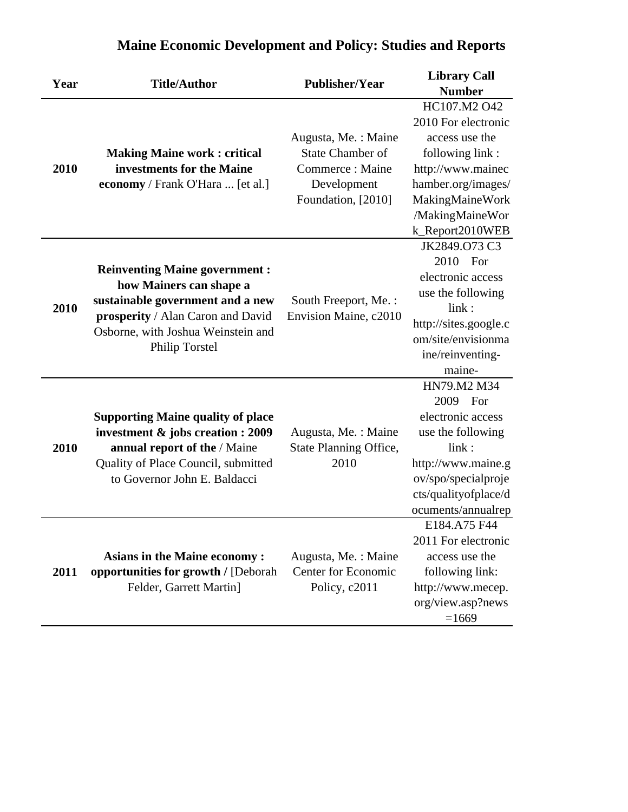| Year | <b>Title/Author</b>                                                                                                                                                                                     | <b>Publisher/Year</b>                                                                                   | <b>Library Call</b><br><b>Number</b>                                                                                                                                         |
|------|---------------------------------------------------------------------------------------------------------------------------------------------------------------------------------------------------------|---------------------------------------------------------------------------------------------------------|------------------------------------------------------------------------------------------------------------------------------------------------------------------------------|
| 2010 | <b>Making Maine work: critical</b><br>investments for the Maine<br>economy / Frank O'Hara  [et al.]                                                                                                     | Augusta, Me. : Maine<br><b>State Chamber of</b><br>Commerce: Maine<br>Development<br>Foundation, [2010] | HC107.M2 O42<br>2010 For electronic<br>access use the<br>following link:<br>http://www.mainec<br>hamber.org/images/<br>MakingMaineWork<br>/MakingMaineWor                    |
| 2010 | <b>Reinventing Maine government:</b><br>how Mainers can shape a<br>sustainable government and a new<br>prosperity / Alan Caron and David<br>Osborne, with Joshua Weinstein and<br><b>Philip Torstel</b> | South Freeport, Me.:<br>Envision Maine, c2010                                                           | k_Report2010WEB<br>JK2849.073 C3<br>2010 For<br>electronic access<br>use the following<br>link:<br>http://sites.google.c<br>om/site/envisionma<br>ine/reinventing-<br>maine- |
| 2010 | <b>Supporting Maine quality of place</b><br>investment & jobs creation : 2009<br>annual report of the / Maine<br>Quality of Place Council, submitted<br>to Governor John E. Baldacci                    | Augusta, Me.: Maine<br>State Planning Office,<br>2010                                                   | HN79.M2 M34<br>2009<br>For<br>electronic access<br>use the following<br>link:<br>http://www.maine.g<br>ov/spo/specialproje<br>cts/qualityofplace/d<br>ocuments/annualrep     |
| 2011 | <b>Asians in the Maine economy:</b><br>opportunities for growth / [Deborah]<br>Felder, Garrett Martin]                                                                                                  | Augusta, Me.: Maine<br>Center for Economic<br>Policy, c2011                                             | E184.A75 F44<br>2011 For electronic<br>access use the<br>following link:<br>http://www.mecep.<br>org/view.asp?news<br>$=1669$                                                |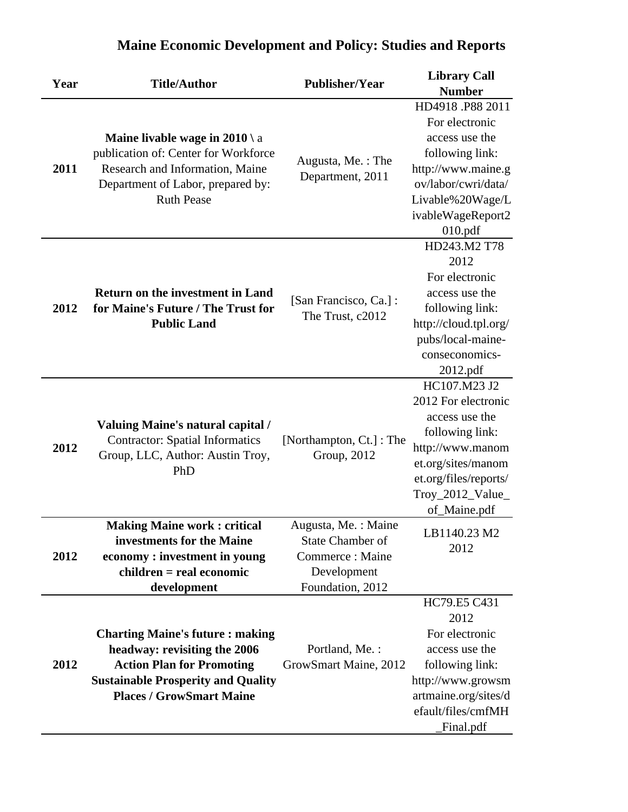|      |                                                                                                                               | <b>Publisher/Year</b>                  | <b>Library Call</b>    |
|------|-------------------------------------------------------------------------------------------------------------------------------|----------------------------------------|------------------------|
| Year | <b>Title/Author</b>                                                                                                           |                                        | <b>Number</b>          |
|      |                                                                                                                               |                                        | HD4918.P88 2011        |
|      |                                                                                                                               |                                        | For electronic         |
|      | Maine livable wage in $2010 \ a$                                                                                              |                                        | access use the         |
|      | publication of: Center for Workforce                                                                                          |                                        | following link:        |
| 2011 | Research and Information, Maine                                                                                               | Augusta, Me.: The                      | http://www.maine.g     |
|      | Department of Labor, prepared by:                                                                                             | Department, 2011                       | ov/labor/cwri/data/    |
|      | <b>Ruth Pease</b>                                                                                                             |                                        | Livable%20Wage/L       |
|      |                                                                                                                               |                                        | ivableWageReport2      |
|      |                                                                                                                               |                                        | 010.pdf                |
|      |                                                                                                                               |                                        | HD243.M2 T78           |
|      |                                                                                                                               |                                        | 2012                   |
|      |                                                                                                                               |                                        | For electronic         |
|      | <b>Return on the investment in Land</b>                                                                                       | [San Francisco, Ca.] :                 | access use the         |
| 2012 | for Maine's Future / The Trust for                                                                                            | The Trust, c2012                       | following link:        |
|      | <b>Public Land</b>                                                                                                            |                                        | http://cloud.tpl.org/  |
|      |                                                                                                                               |                                        | pubs/local-maine-      |
|      |                                                                                                                               |                                        | conseconomics-         |
|      |                                                                                                                               |                                        | 2012.pdf               |
|      | <b>Valuing Maine's natural capital /</b><br><b>Contractor: Spatial Informatics</b><br>Group, LLC, Author: Austin Troy,<br>PhD | [Northampton, Ct.]: The<br>Group, 2012 | HC107.M23 J2           |
|      |                                                                                                                               |                                        | 2012 For electronic    |
|      |                                                                                                                               |                                        | access use the         |
|      |                                                                                                                               |                                        | following link:        |
| 2012 |                                                                                                                               |                                        | http://www.manom       |
|      |                                                                                                                               |                                        | et.org/sites/manom     |
|      |                                                                                                                               |                                        | et.org/files/reports/  |
|      |                                                                                                                               |                                        | Troy_2012_Value_       |
|      |                                                                                                                               |                                        | of_Maine.pdf           |
|      | <b>Making Maine work: critical</b>                                                                                            | Augusta, Me.: Maine                    | LB1140.23 M2           |
|      | investments for the Maine                                                                                                     | <b>State Chamber of</b>                | 2012                   |
| 2012 | economy: investment in young                                                                                                  | Commerce: Maine                        |                        |
|      | $children = real economic$                                                                                                    | Development                            |                        |
|      | development                                                                                                                   | Foundation, 2012                       | HC79.E5 C431           |
|      |                                                                                                                               |                                        |                        |
|      |                                                                                                                               |                                        | 2012<br>For electronic |
|      | <b>Charting Maine's future: making</b><br>headway: revisiting the 2006                                                        | Portland, Me. :                        | access use the         |
| 2012 | <b>Action Plan for Promoting</b>                                                                                              | GrowSmart Maine, 2012                  | following link:        |
|      | <b>Sustainable Prosperity and Quality</b>                                                                                     |                                        | http://www.growsm      |
|      | <b>Places / GrowSmart Maine</b>                                                                                               |                                        | artmaine.org/sites/d   |
|      |                                                                                                                               |                                        | efault/files/cmfMH     |
|      |                                                                                                                               |                                        |                        |
|      |                                                                                                                               |                                        | Final.pdf              |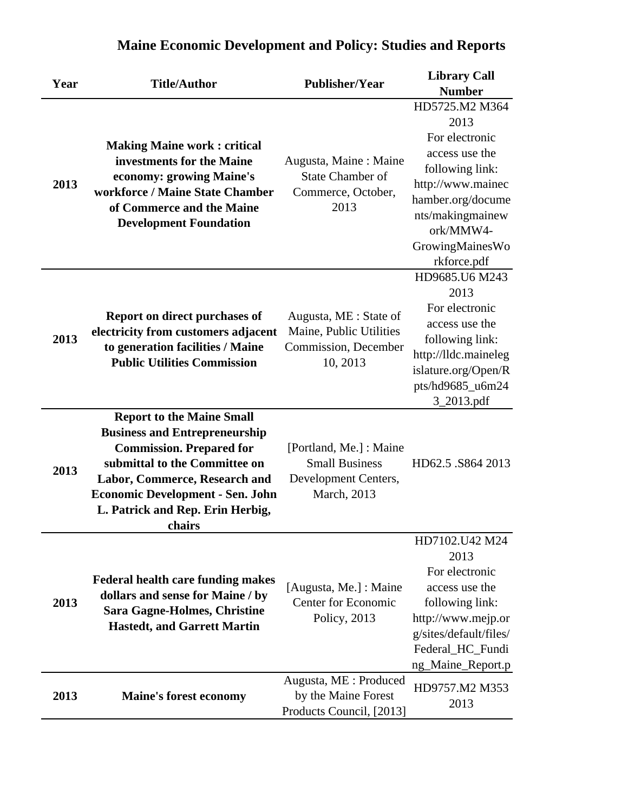| Year | <b>Title/Author</b>                                                                                                                            | <b>Publisher/Year</b>                                                                   | <b>Library Call</b>                     |
|------|------------------------------------------------------------------------------------------------------------------------------------------------|-----------------------------------------------------------------------------------------|-----------------------------------------|
|      |                                                                                                                                                |                                                                                         | <b>Number</b>                           |
|      |                                                                                                                                                |                                                                                         | HD5725.M2 M364                          |
|      |                                                                                                                                                |                                                                                         | 2013                                    |
|      | <b>Making Maine work: critical</b>                                                                                                             |                                                                                         | For electronic                          |
|      | investments for the Maine<br>economy: growing Maine's                                                                                          | Augusta, Maine: Maine                                                                   | access use the                          |
| 2013 |                                                                                                                                                | <b>State Chamber of</b>                                                                 | following link:                         |
|      | workforce / Maine State Chamber                                                                                                                | Commerce, October,                                                                      | http://www.mainec                       |
|      | of Commerce and the Maine                                                                                                                      | 2013                                                                                    | hamber.org/docume                       |
|      | <b>Development Foundation</b>                                                                                                                  |                                                                                         | nts/makingmainew                        |
|      |                                                                                                                                                |                                                                                         | ork/MMW4-                               |
|      |                                                                                                                                                |                                                                                         | GrowingMainesWo                         |
|      |                                                                                                                                                |                                                                                         | rkforce.pdf                             |
|      |                                                                                                                                                |                                                                                         | HD9685.U6 M243                          |
|      |                                                                                                                                                |                                                                                         | 2013                                    |
|      | Report on direct purchases of<br>electricity from customers adjacent<br>to generation facilities / Maine<br><b>Public Utilities Commission</b> | Augusta, ME : State of<br>Maine, Public Utilities<br>Commission, December<br>10, 2013   | For electronic<br>access use the        |
| 2013 |                                                                                                                                                |                                                                                         |                                         |
|      |                                                                                                                                                |                                                                                         | following link:<br>http://lldc.maineleg |
|      |                                                                                                                                                |                                                                                         | islature.org/Open/R                     |
|      |                                                                                                                                                |                                                                                         | pts/hd9685_u6m24                        |
|      |                                                                                                                                                |                                                                                         | 3_2013.pdf                              |
|      | <b>Report to the Maine Small</b>                                                                                                               |                                                                                         |                                         |
|      | <b>Business and Entrepreneurship</b>                                                                                                           | [Portland, Me.] : Maine<br><b>Small Business</b><br>Development Centers,<br>March, 2013 | HD62.5 .S864 2013                       |
|      | <b>Commission. Prepared for</b>                                                                                                                |                                                                                         |                                         |
|      | submittal to the Committee on                                                                                                                  |                                                                                         |                                         |
| 2013 | Labor, Commerce, Research and                                                                                                                  |                                                                                         |                                         |
|      | <b>Economic Development - Sen. John</b>                                                                                                        |                                                                                         |                                         |
|      | L. Patrick and Rep. Erin Herbig,                                                                                                               |                                                                                         |                                         |
|      | chairs                                                                                                                                         |                                                                                         |                                         |
|      |                                                                                                                                                |                                                                                         | HD7102.U42 M24                          |
|      |                                                                                                                                                |                                                                                         | 2013                                    |
|      |                                                                                                                                                |                                                                                         | For electronic                          |
|      | <b>Federal health care funding makes</b><br>dollars and sense for Maine / by                                                                   | [Augusta, Me.] : Maine                                                                  | access use the                          |
| 2013 | <b>Sara Gagne-Holmes, Christine</b>                                                                                                            | <b>Center for Economic</b>                                                              | following link:                         |
|      |                                                                                                                                                | Policy, 2013                                                                            | http://www.mejp.or                      |
|      | <b>Hastedt, and Garrett Martin</b>                                                                                                             |                                                                                         | g/sites/default/files/                  |
|      |                                                                                                                                                |                                                                                         | Federal_HC_Fundi                        |
|      |                                                                                                                                                |                                                                                         | ng_Maine_Report.p                       |
|      |                                                                                                                                                | Augusta, ME : Produced                                                                  | HD9757.M2 M353                          |
| 2013 | <b>Maine's forest economy</b>                                                                                                                  | by the Maine Forest                                                                     | 2013                                    |
|      |                                                                                                                                                | Products Council, [2013]                                                                |                                         |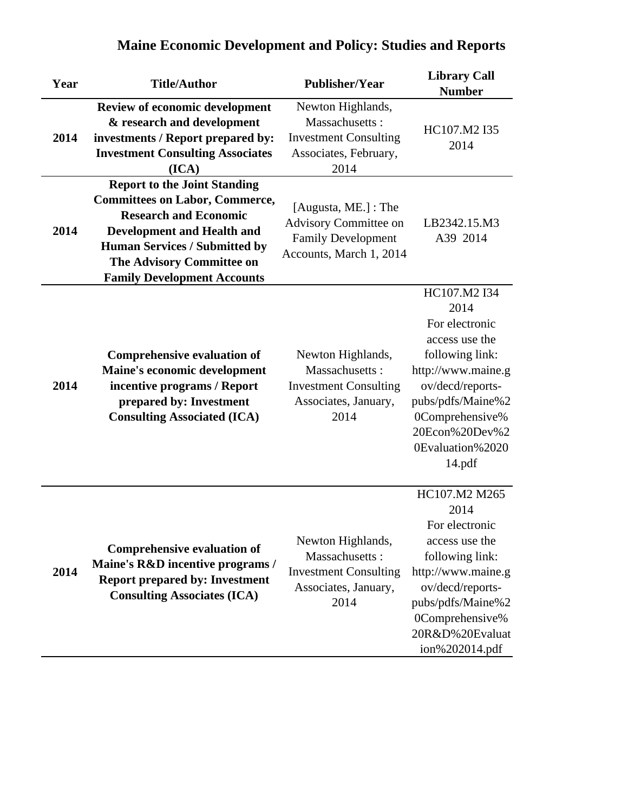| Year | <b>Title/Author</b>                                                                                                                                                                                                                                          | <b>Publisher/Year</b>                                                                                 | <b>Library Call</b><br><b>Number</b>                                                                                                                                                                          |
|------|--------------------------------------------------------------------------------------------------------------------------------------------------------------------------------------------------------------------------------------------------------------|-------------------------------------------------------------------------------------------------------|---------------------------------------------------------------------------------------------------------------------------------------------------------------------------------------------------------------|
| 2014 | <b>Review of economic development</b><br>& research and development<br>investments / Report prepared by:<br><b>Investment Consulting Associates</b><br>(ICA)                                                                                                 | Newton Highlands,<br>Massachusetts:<br><b>Investment Consulting</b><br>Associates, February,<br>2014  | HC107.M2 I35<br>2014                                                                                                                                                                                          |
| 2014 | <b>Report to the Joint Standing</b><br><b>Committees on Labor, Commerce,</b><br><b>Research and Economic</b><br><b>Development and Health and</b><br><b>Human Services / Submitted by</b><br>The Advisory Committee on<br><b>Family Development Accounts</b> | [Augusta, ME.] : The<br>Advisory Committee on<br><b>Family Development</b><br>Accounts, March 1, 2014 | LB2342.15.M3<br>A39 2014                                                                                                                                                                                      |
| 2014 | <b>Comprehensive evaluation of</b><br>Maine's economic development<br>incentive programs / Report<br>prepared by: Investment<br><b>Consulting Associated (ICA)</b>                                                                                           | Newton Highlands,<br>Massachusetts:<br><b>Investment Consulting</b><br>Associates, January,<br>2014   | HC107.M2 I34<br>2014<br>For electronic<br>access use the<br>following link:<br>http://www.maine.g<br>ov/decd/reports-<br>pubs/pdfs/Maine%2<br>0Comprehensive%<br>20Econ%20Dev%2<br>0Evaluation%2020<br>14.pdf |
| 2014 | <b>Comprehensive evaluation of</b><br>Maine's R&D incentive programs /<br><b>Report prepared by: Investment</b><br><b>Consulting Associates (ICA)</b>                                                                                                        | Newton Highlands,<br>Massachusetts:<br><b>Investment Consulting</b><br>Associates, January,<br>2014   | HC107.M2 M265<br>2014<br>For electronic<br>access use the<br>following link:<br>http://www.maine.g<br>ov/decd/reports-<br>pubs/pdfs/Maine%2<br>0Comprehensive%<br>20R&D%20Evaluat<br>ion%202014.pdf           |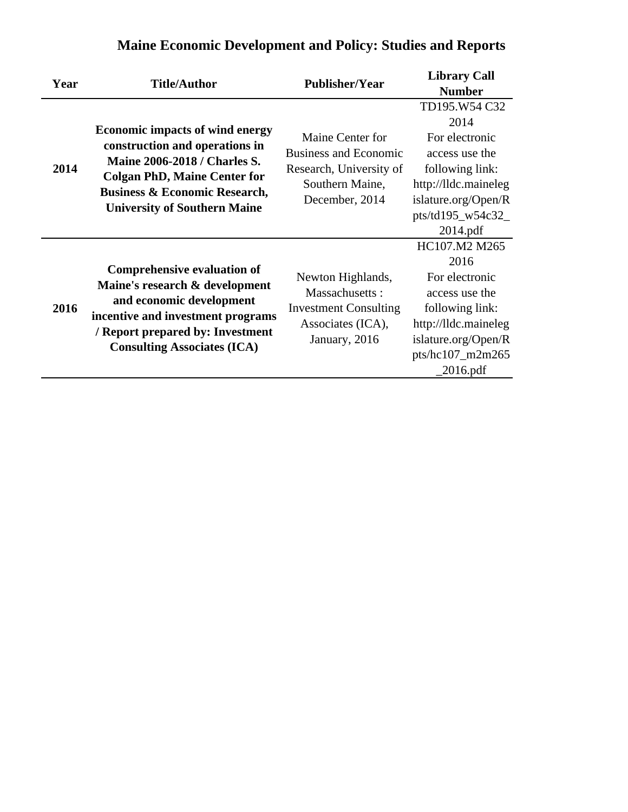|      |                                                                                                                                                                                                                 |                              | <b>Library Call</b>  |
|------|-----------------------------------------------------------------------------------------------------------------------------------------------------------------------------------------------------------------|------------------------------|----------------------|
| Year | <b>Title/Author</b>                                                                                                                                                                                             | <b>Publisher/Year</b>        | <b>Number</b>        |
|      |                                                                                                                                                                                                                 |                              | TD195.W54 C32        |
|      |                                                                                                                                                                                                                 |                              | 2014                 |
|      | <b>Economic impacts of wind energy</b>                                                                                                                                                                          | Maine Center for             | For electronic       |
|      | construction and operations in                                                                                                                                                                                  | <b>Business and Economic</b> | access use the       |
| 2014 | <b>Maine 2006-2018 / Charles S.</b>                                                                                                                                                                             | Research, University of      | following link:      |
|      | <b>Colgan PhD, Maine Center for</b>                                                                                                                                                                             | Southern Maine,              | http://lldc.maineleg |
|      | <b>Business &amp; Economic Research,</b><br><b>University of Southern Maine</b>                                                                                                                                 | December, 2014               | islature.org/Open/R  |
|      |                                                                                                                                                                                                                 |                              | pts/td195_w54c32_    |
|      |                                                                                                                                                                                                                 |                              | 2014.pdf             |
|      |                                                                                                                                                                                                                 |                              | HC107.M2 M265        |
|      | <b>Comprehensive evaluation of</b><br>Maine's research & development<br>and economic development<br>incentive and investment programs<br>/ Report prepared by: Investment<br><b>Consulting Associates (ICA)</b> |                              | 2016                 |
|      |                                                                                                                                                                                                                 | Newton Highlands,            | For electronic       |
|      |                                                                                                                                                                                                                 | Massachusetts:               | access use the       |
| 2016 |                                                                                                                                                                                                                 | <b>Investment Consulting</b> | following link:      |
|      |                                                                                                                                                                                                                 | Associates (ICA),            | http://lldc.maineleg |
|      |                                                                                                                                                                                                                 | January, 2016                | islature.org/Open/R  |
|      |                                                                                                                                                                                                                 |                              | pts/hc107_m2m265     |
|      |                                                                                                                                                                                                                 |                              | $2016$ .pdf          |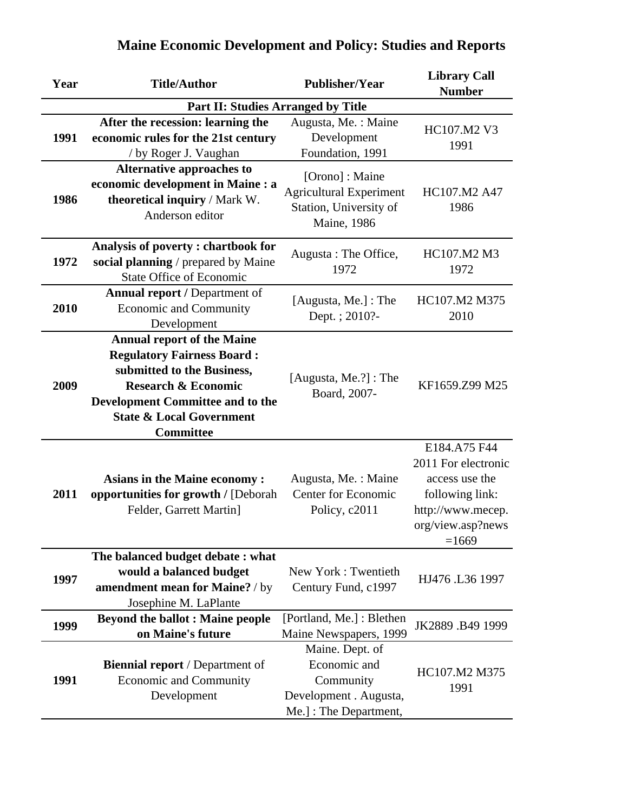| Year                                      | <b>Title/Author</b>                                                                                                                                                                                                                          | <b>Publisher/Year</b>                                                                              | <b>Library Call</b><br><b>Number</b>                                                                                          |  |
|-------------------------------------------|----------------------------------------------------------------------------------------------------------------------------------------------------------------------------------------------------------------------------------------------|----------------------------------------------------------------------------------------------------|-------------------------------------------------------------------------------------------------------------------------------|--|
| <b>Part II: Studies Arranged by Title</b> |                                                                                                                                                                                                                                              |                                                                                                    |                                                                                                                               |  |
| 1991                                      | After the recession: learning the<br>economic rules for the 21st century<br>/ by Roger J. Vaughan                                                                                                                                            | Augusta, Me.: Maine<br>Development<br>Foundation, 1991                                             | HC107.M2 V3<br>1991                                                                                                           |  |
| 1986                                      | Alternative approaches to<br>economic development in Maine : a<br>theoretical inquiry / Mark W.<br>Anderson editor                                                                                                                           | [Orono] : Maine<br><b>Agricultural Experiment</b><br>Station, University of<br><b>Maine</b> , 1986 | HC107.M2 A47<br>1986                                                                                                          |  |
| 1972                                      | Analysis of poverty: chartbook for<br>social planning / prepared by Maine<br><b>State Office of Economic</b>                                                                                                                                 | Augusta: The Office,<br>1972                                                                       | HC107.M2 M3<br>1972                                                                                                           |  |
| 2010                                      | <b>Annual report / Department of</b><br><b>Economic and Community</b><br>Development                                                                                                                                                         | [Augusta, Me.] : The<br>Dept.; 2010?-                                                              | HC107.M2 M375<br>2010                                                                                                         |  |
| 2009                                      | <b>Annual report of the Maine</b><br><b>Regulatory Fairness Board:</b><br>submitted to the Business,<br><b>Research &amp; Economic</b><br><b>Development Committee and to the</b><br><b>State &amp; Local Government</b><br><b>Committee</b> | [Augusta, Me.?] : The<br>Board, 2007-                                                              | KF1659.Z99 M25                                                                                                                |  |
| 2011                                      | <b>Asians in the Maine economy:</b><br>opportunities for growth / [Deborah<br>Felder, Garrett Martin]                                                                                                                                        | Augusta, Me.: Maine<br><b>Center for Economic</b><br>Policy, c2011                                 | E184.A75 F44<br>2011 For electronic<br>access use the<br>following link:<br>http://www.mecep.<br>org/view.asp?news<br>$=1669$ |  |
| 1997                                      | The balanced budget debate: what<br>would a balanced budget<br>amendment mean for Maine? / by<br>Josephine M. LaPlante                                                                                                                       | New York: Twentieth<br>Century Fund, c1997                                                         | HJ476 .L36 1997                                                                                                               |  |
| 1999                                      | <b>Beyond the ballot : Maine people</b><br>on Maine's future                                                                                                                                                                                 | [Portland, Me.] : Blethen<br>Maine Newspapers, 1999                                                | JK2889.B49 1999                                                                                                               |  |
| 1991                                      | <b>Biennial report</b> / Department of<br><b>Economic and Community</b><br>Development                                                                                                                                                       | Maine. Dept. of<br>Economic and<br>Community<br>Development . Augusta,<br>Me.]: The Department,    | HC107.M2 M375<br>1991                                                                                                         |  |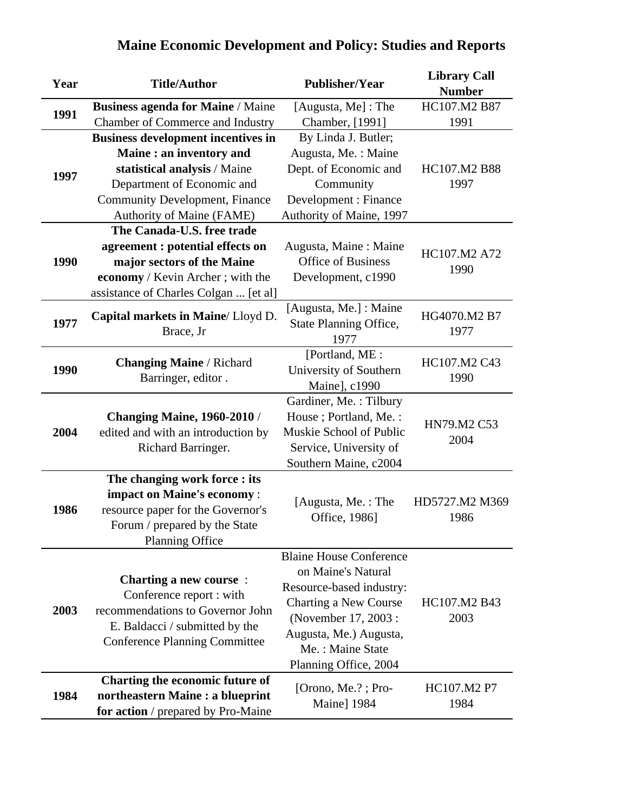| Year | <b>Title/Author</b>                       | <b>Publisher/Year</b>          | <b>Library Call</b><br><b>Number</b> |
|------|-------------------------------------------|--------------------------------|--------------------------------------|
|      | <b>Business agenda for Maine / Maine</b>  | [Augusta, Me] : The            | HC107.M2 B87                         |
| 1991 | Chamber of Commerce and Industry          | Chamber, [1991]                | 1991                                 |
|      | <b>Business development incentives in</b> | By Linda J. Butler;            |                                      |
|      | Maine: an inventory and                   | Augusta, Me.: Maine            |                                      |
| 1997 | statistical analysis / Maine              | Dept. of Economic and          | HC107.M2 B88                         |
|      | Department of Economic and                | Community                      | 1997                                 |
|      | <b>Community Development, Finance</b>     | Development : Finance          |                                      |
|      | <b>Authority of Maine (FAME)</b>          | Authority of Maine, 1997       |                                      |
|      | The Canada-U.S. free trade                |                                |                                      |
|      | agreement : potential effects on          | Augusta, Maine: Maine          | HC107.M2 A72                         |
| 1990 | major sectors of the Maine                | <b>Office of Business</b>      | 1990                                 |
|      | economy / Kevin Archer; with the          | Development, c1990             |                                      |
|      | assistance of Charles Colgan  [et al]     |                                |                                      |
|      |                                           | [Augusta, Me.] : Maine         | HG4070.M2 B7                         |
| 1977 | Capital markets in Maine/Lloyd D.         | <b>State Planning Office,</b>  |                                      |
|      | Brace, Jr                                 | 1977                           | 1977                                 |
|      | <b>Changing Maine / Richard</b>           | [Portland, ME:                 | HC107.M2 C43                         |
| 1990 | Barringer, editor.                        | University of Southern         | 1990                                 |
|      |                                           | Maine], c1990                  |                                      |
|      |                                           | Gardiner, Me.: Tilbury         |                                      |
|      | <b>Changing Maine, 1960-2010 /</b>        | House; Portland, Me.:          | HN79.M2 C53                          |
| 2004 | edited and with an introduction by        | Muskie School of Public        | 2004                                 |
|      | Richard Barringer.                        | Service, University of         |                                      |
|      |                                           | Southern Maine, c2004          |                                      |
|      | The changing work force : its             |                                |                                      |
|      | impact on Maine's economy:                | [Augusta, Me.: The             | HD5727.M2 M369                       |
| 1986 | resource paper for the Governor's         | Office, 1986]                  | 1986                                 |
|      | Forum / prepared by the State             |                                |                                      |
|      | <b>Planning Office</b>                    |                                |                                      |
|      |                                           | <b>Blaine House Conference</b> |                                      |
|      | <b>Charting a new course:</b>             | on Maine's Natural             |                                      |
|      | Conference report : with                  | Resource-based industry:       |                                      |
| 2003 | recommendations to Governor John          | Charting a New Course          | HC107.M2 B43                         |
|      | E. Baldacci / submitted by the            | (November 17, 2003 :           | 2003                                 |
|      | <b>Conference Planning Committee</b>      | Augusta, Me.) Augusta,         |                                      |
|      |                                           | Me.: Maine State               |                                      |
|      |                                           | Planning Office, 2004          |                                      |
|      | Charting the economic future of           | [Orono, Me.?; Pro-             | HC107.M2 P7                          |
| 1984 | northeastern Maine : a blueprint          | Maine] 1984                    | 1984                                 |
|      | for action / prepared by Pro-Maine        |                                |                                      |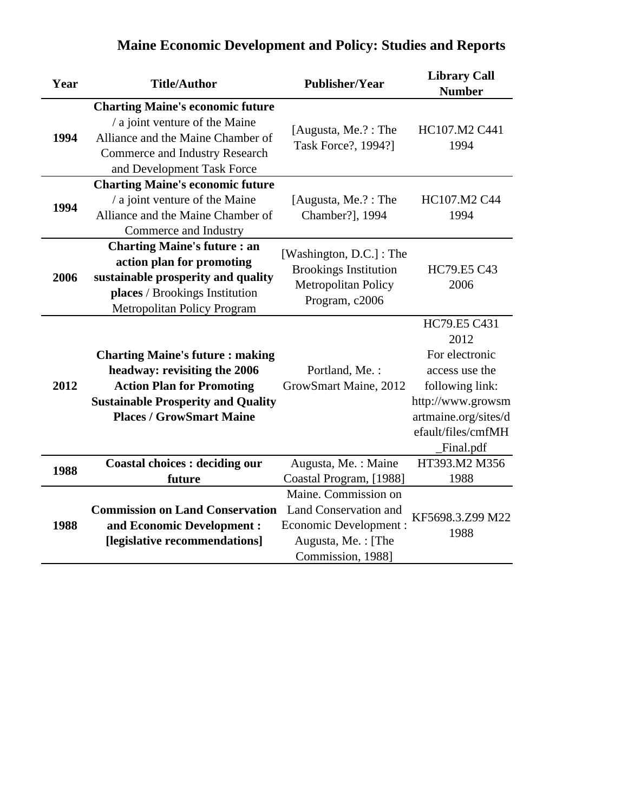| <b>Maine Economic Development and Policy: Studies and Reports</b> |  |  |
|-------------------------------------------------------------------|--|--|
|                                                                   |  |  |

| Year | <b>Title/Author</b>                                                       | <b>Publisher/Year</b>                               | <b>Library Call</b><br><b>Number</b> |
|------|---------------------------------------------------------------------------|-----------------------------------------------------|--------------------------------------|
|      | <b>Charting Maine's economic future</b><br>/ a joint venture of the Maine |                                                     |                                      |
| 1994 | Alliance and the Maine Chamber of                                         | [Augusta, Me.?: The                                 | HC107.M2 C441                        |
|      | <b>Commerce and Industry Research</b>                                     | Task Force?, 1994?]                                 | 1994                                 |
|      | and Development Task Force                                                |                                                     |                                      |
|      | <b>Charting Maine's economic future</b>                                   |                                                     |                                      |
| 1994 | / a joint venture of the Maine                                            | [Augusta, Me.?: The                                 | HC107.M2 C44                         |
|      | Alliance and the Maine Chamber of                                         | Chamber?], 1994                                     | 1994                                 |
|      | Commerce and Industry                                                     |                                                     |                                      |
|      | <b>Charting Maine's future : an</b>                                       | [Washington, D.C.]: The                             |                                      |
| 2006 | action plan for promoting                                                 | <b>Brookings Institution</b><br>Metropolitan Policy | HC79.E5 C43                          |
|      | sustainable prosperity and quality                                        |                                                     | 2006                                 |
|      | places / Brookings Institution                                            | Program, c2006                                      |                                      |
|      | Metropolitan Policy Program                                               |                                                     | HC79.E5 C431                         |
|      |                                                                           |                                                     | 2012                                 |
|      |                                                                           |                                                     | For electronic                       |
|      | <b>Charting Maine's future: making</b><br>headway: revisiting the 2006    | Portland, Me.:                                      | access use the                       |
| 2012 | <b>Action Plan for Promoting</b>                                          | GrowSmart Maine, 2012                               | following link:                      |
|      | <b>Sustainable Prosperity and Quality</b>                                 |                                                     | http://www.growsm                    |
|      | <b>Places / GrowSmart Maine</b>                                           |                                                     | artmaine.org/sites/d                 |
|      |                                                                           |                                                     | efault/files/cmfMH                   |
|      |                                                                           |                                                     | Final.pdf                            |
|      | <b>Coastal choices : deciding our</b>                                     | Augusta, Me.: Maine                                 | HT393.M2 M356                        |
| 1988 | future                                                                    | Coastal Program, [1988]                             | 1988                                 |
|      |                                                                           | Maine. Commission on                                |                                      |
|      | <b>Commission on Land Conservation</b>                                    | Land Conservation and                               | KF5698.3.Z99 M22                     |
| 1988 | and Economic Development :                                                | Economic Development :                              | 1988                                 |
|      | [legislative recommendations]                                             | Augusta, Me.: [The                                  |                                      |
|      |                                                                           | Commission, 1988]                                   |                                      |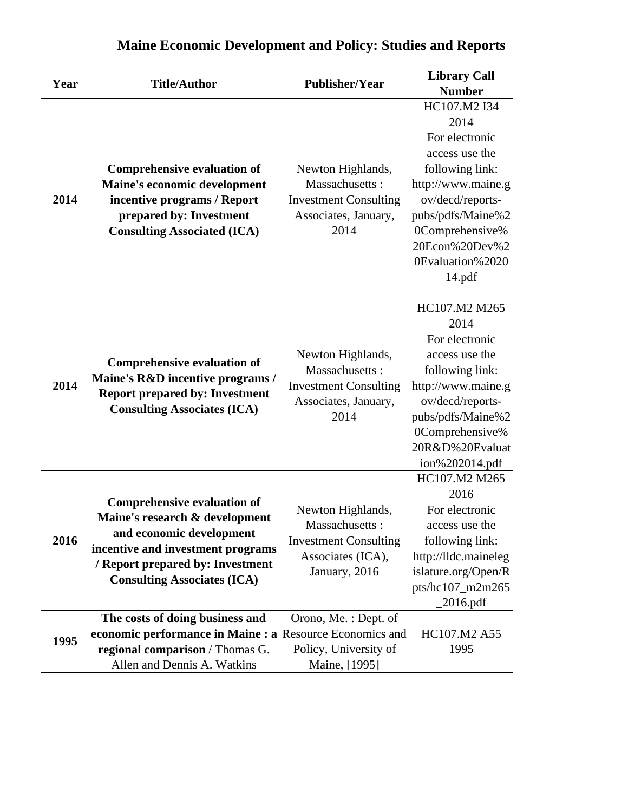|      | <b>Title/Author</b>                                                                         | <b>Publisher/Year</b>        | <b>Library Call</b>  |
|------|---------------------------------------------------------------------------------------------|------------------------------|----------------------|
| Year |                                                                                             |                              | <b>Number</b>        |
|      |                                                                                             |                              | HC107.M2 I34         |
|      |                                                                                             |                              | 2014                 |
|      |                                                                                             |                              | For electronic       |
|      |                                                                                             |                              | access use the       |
|      | <b>Comprehensive evaluation of</b>                                                          | Newton Highlands,            | following link:      |
|      | Maine's economic development                                                                | Massachusetts:               | http://www.maine.g   |
| 2014 | incentive programs / Report                                                                 | <b>Investment Consulting</b> | ov/decd/reports-     |
|      | prepared by: Investment                                                                     | Associates, January,         | pubs/pdfs/Maine%2    |
|      | <b>Consulting Associated (ICA)</b>                                                          | 2014                         | 0Comprehensive%      |
|      |                                                                                             |                              | 20Econ%20Dev%2       |
|      |                                                                                             |                              | 0Evaluation%2020     |
|      |                                                                                             |                              | 14.pdf               |
|      |                                                                                             |                              |                      |
|      | <b>Comprehensive evaluation of</b><br>Maine's R&D incentive programs /                      | Newton Highlands,            | HC107.M2 M265        |
|      |                                                                                             |                              | 2014                 |
|      |                                                                                             |                              | For electronic       |
|      |                                                                                             |                              | access use the       |
|      |                                                                                             | Massachusetts:               | following link:      |
| 2014 | <b>Report prepared by: Investment</b>                                                       | <b>Investment Consulting</b> | http://www.maine.g   |
|      | <b>Consulting Associates (ICA)</b>                                                          | Associates, January,<br>2014 | ov/decd/reports-     |
|      |                                                                                             |                              | pubs/pdfs/Maine%2    |
|      |                                                                                             |                              | 0Comprehensive%      |
|      |                                                                                             |                              | 20R&D%20Evaluat      |
|      |                                                                                             |                              | ion%202014.pdf       |
|      |                                                                                             |                              | HC107.M2 M265        |
|      | <b>Comprehensive evaluation of</b>                                                          |                              | 2016                 |
|      | Maine's research & development                                                              | Newton Highlands,            | For electronic       |
|      | and economic development                                                                    | Massachusetts:               | access use the       |
| 2016 | incentive and investment programs                                                           | <b>Investment Consulting</b> | following link:      |
|      | / Report prepared by: Investment                                                            | Associates (ICA),            | http://lldc.maineleg |
|      | <b>Consulting Associates (ICA)</b>                                                          | January, 2016                | islature.org/Open/R  |
|      |                                                                                             |                              | pts/hc107_m2m265     |
|      |                                                                                             |                              | $2016$ .pdf          |
|      | The costs of doing business and<br>economic performance in Maine : a Resource Economics and | Orono, Me.: Dept. of         | HC107.M2 A55         |
| 1995 |                                                                                             | Policy, University of        | 1995                 |
|      | regional comparison / Thomas G.<br>Allen and Dennis A. Watkins                              |                              |                      |
|      |                                                                                             | Maine, [1995]                |                      |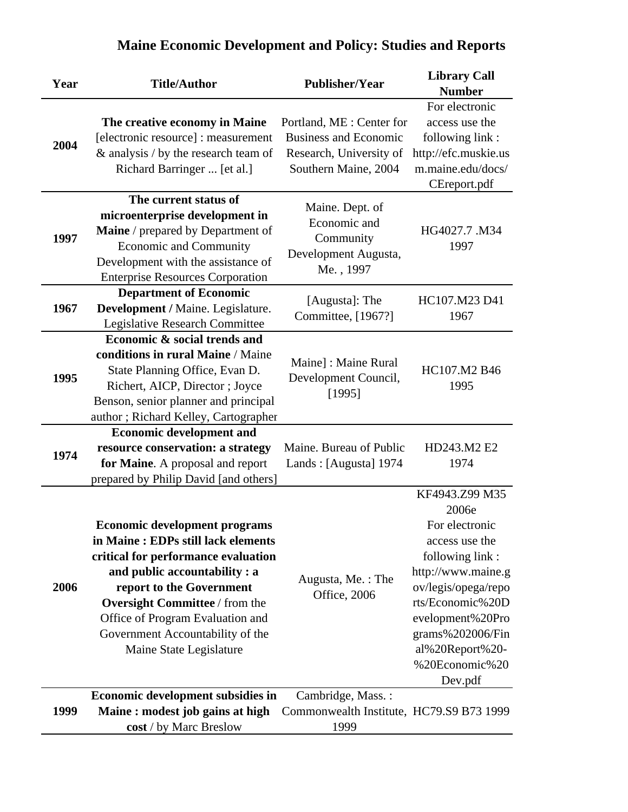| Year | <b>Title/Author</b>                                                                                                                                                                                                                                                                                                        | <b>Publisher/Year</b>                                                                                        | <b>Library Call</b><br><b>Number</b>                                                                                                                                                                                                    |
|------|----------------------------------------------------------------------------------------------------------------------------------------------------------------------------------------------------------------------------------------------------------------------------------------------------------------------------|--------------------------------------------------------------------------------------------------------------|-----------------------------------------------------------------------------------------------------------------------------------------------------------------------------------------------------------------------------------------|
| 2004 | The creative economy in Maine<br>[electronic resource] : measurement<br>& analysis / by the research team of<br>Richard Barringer  [et al.]                                                                                                                                                                                | Portland, ME : Center for<br><b>Business and Economic</b><br>Research, University of<br>Southern Maine, 2004 | For electronic<br>access use the<br>following link:<br>http://efc.muskie.us<br>m.maine.edu/docs/<br>CEreport.pdf                                                                                                                        |
| 1997 | The current status of<br>microenterprise development in<br>Maine / prepared by Department of<br><b>Economic and Community</b><br>Development with the assistance of<br><b>Enterprise Resources Corporation</b>                                                                                                             | Maine. Dept. of<br>Economic and<br>Community<br>Development Augusta,<br>Me., 1997                            | HG4027.7 .M34<br>1997                                                                                                                                                                                                                   |
| 1967 | <b>Department of Economic</b><br>Development / Maine. Legislature.<br>Legislative Research Committee                                                                                                                                                                                                                       | [Augusta]: The<br>Committee, [1967?]                                                                         | HC107.M23 D41<br>1967                                                                                                                                                                                                                   |
| 1995 | Economic & social trends and<br>conditions in rural Maine / Maine<br>State Planning Office, Evan D.<br>Richert, AICP, Director; Joyce<br>Benson, senior planner and principal<br>author; Richard Kelley, Cartographer                                                                                                      | Maine]: Maine Rural<br>Development Council,<br>[1995]                                                        | HC107.M2 B46<br>1995                                                                                                                                                                                                                    |
| 1974 | <b>Economic development and</b><br>resource conservation: a strategy<br>for Maine. A proposal and report<br>prepared by Philip David [and others]                                                                                                                                                                          | Maine. Bureau of Public<br>Lands: [Augusta] 1974                                                             | HD243.M2 E2<br>1974                                                                                                                                                                                                                     |
| 2006 | <b>Economic development programs</b><br>in Maine: EDPs still lack elements<br>critical for performance evaluation<br>and public accountability : a<br>report to the Government<br><b>Oversight Committee</b> / from the<br>Office of Program Evaluation and<br>Government Accountability of the<br>Maine State Legislature | Augusta, Me.: The<br>Office, 2006                                                                            | KF4943.Z99 M35<br>2006e<br>For electronic<br>access use the<br>following link:<br>http://www.maine.g<br>ov/legis/opega/repo<br>rts/Economic%20D<br>evelopment%20Pro<br>grams%202006/Fin<br>al%20Report%20-<br>%20Economic%20<br>Dev.pdf |
| 1999 | Economic development subsidies in<br>Maine: modest job gains at high<br>cost / by Marc Breslow                                                                                                                                                                                                                             | Cambridge, Mass.:<br>Commonwealth Institute, HC79.S9 B73 1999<br>1999                                        |                                                                                                                                                                                                                                         |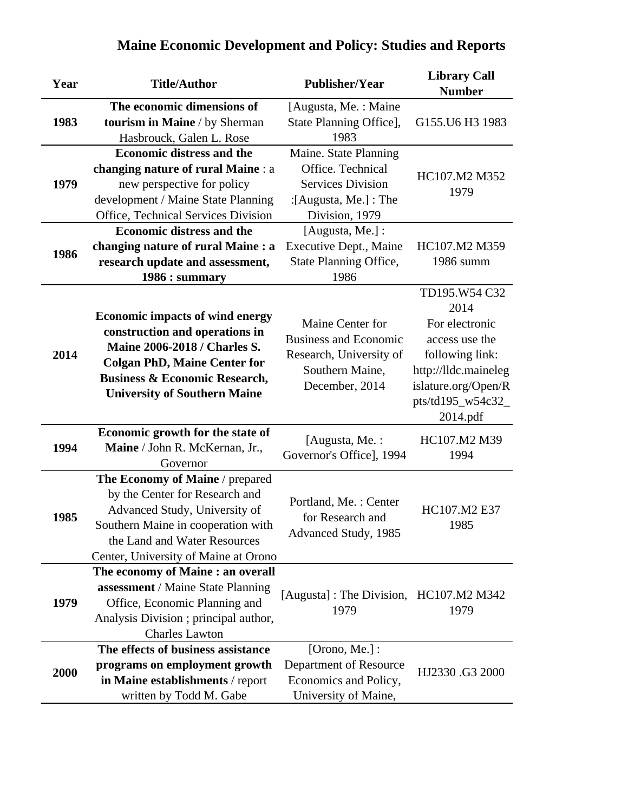| Year | <b>Title/Author</b>                                                                                             | <b>Publisher/Year</b>                   | <b>Library Call</b><br><b>Number</b> |
|------|-----------------------------------------------------------------------------------------------------------------|-----------------------------------------|--------------------------------------|
|      | The economic dimensions of                                                                                      | [Augusta, Me.: Maine                    |                                      |
| 1983 | tourism in Maine / by Sherman                                                                                   | State Planning Office],                 | G155.U6 H3 1983                      |
|      | Hasbrouck, Galen L. Rose                                                                                        | 1983                                    |                                      |
|      | <b>Economic distress and the</b>                                                                                | Maine. State Planning                   |                                      |
|      | changing nature of rural Maine : a                                                                              | Office. Technical                       | HC107.M2 M352                        |
| 1979 | new perspective for policy                                                                                      | <b>Services Division</b>                |                                      |
|      | development / Maine State Planning                                                                              | : [Augusta, Me.] : The                  | 1979                                 |
|      | Office, Technical Services Division                                                                             | Division, 1979                          |                                      |
|      | <b>Economic distress and the</b>                                                                                | [Augusta, Me.]:                         |                                      |
| 1986 | changing nature of rural Maine : a                                                                              | Executive Dept., Maine                  | HC107.M2 M359                        |
|      | research update and assessment,                                                                                 | State Planning Office,                  | 1986 summ                            |
|      | 1986 : summary                                                                                                  | 1986                                    |                                      |
|      |                                                                                                                 |                                         | TD195.W54 C32                        |
|      | <b>Economic impacts of wind energy</b><br>construction and operations in<br><b>Maine 2006-2018 / Charles S.</b> |                                         | 2014                                 |
|      |                                                                                                                 | Maine Center for                        | For electronic                       |
|      |                                                                                                                 | <b>Business and Economic</b>            | access use the                       |
| 2014 |                                                                                                                 | Research, University of                 | following link:                      |
|      | <b>Colgan PhD, Maine Center for</b>                                                                             | Southern Maine,                         | http://lldc.maineleg                 |
|      | <b>Business &amp; Economic Research,</b>                                                                        | December, 2014                          | islature.org/Open/R                  |
|      | <b>University of Southern Maine</b>                                                                             |                                         | pts/td195_w54c32_                    |
|      |                                                                                                                 |                                         | 2014.pdf                             |
|      | Economic growth for the state of                                                                                | [Augusta, Me.:                          | HC107.M2 M39                         |
| 1994 | Maine / John R. McKernan, Jr.,                                                                                  | Governor's Office], 1994                | 1994                                 |
|      | Governor                                                                                                        |                                         |                                      |
|      | The Economy of Maine / prepared                                                                                 |                                         |                                      |
|      | by the Center for Research and                                                                                  | Portland, Me.: Center                   |                                      |
| 1985 | Advanced Study, University of                                                                                   | for Research and                        | HC107.M2 E37                         |
|      | Southern Maine in cooperation with                                                                              | Advanced Study, 1985                    | 1985                                 |
|      | the Land and Water Resources                                                                                    |                                         |                                      |
|      | Center, University of Maine at Orono                                                                            |                                         |                                      |
|      | The economy of Maine : an overall                                                                               |                                         |                                      |
|      | assessment / Maine State Planning                                                                               | [Augusta] : The Division, HC107.M2 M342 |                                      |
| 1979 | Office, Economic Planning and                                                                                   | 1979                                    | 1979                                 |
|      | Analysis Division ; principal author,                                                                           |                                         |                                      |
|      | <b>Charles Lawton</b>                                                                                           |                                         |                                      |
|      | The effects of business assistance                                                                              | [Orono, Me.] :                          |                                      |
| 2000 | programs on employment growth                                                                                   | Department of Resource                  | HJ2330.G3 2000                       |
|      | in Maine establishments / report                                                                                | Economics and Policy,                   |                                      |
|      | written by Todd M. Gabe                                                                                         | University of Maine,                    |                                      |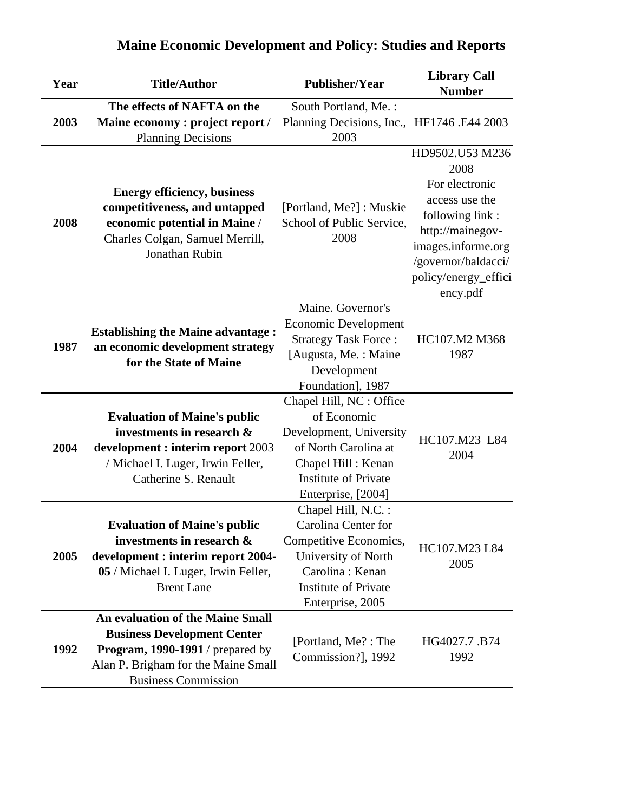| Year | <b>Title/Author</b>                                                                                    | <b>Publisher/Year</b>                             | <b>Library Call</b><br><b>Number</b> |
|------|--------------------------------------------------------------------------------------------------------|---------------------------------------------------|--------------------------------------|
|      | The effects of NAFTA on the                                                                            | South Portland, Me.:                              |                                      |
| 2003 | Maine economy : project report /                                                                       | Planning Decisions, Inc., HF1746.E44 2003         |                                      |
|      | <b>Planning Decisions</b>                                                                              | 2003                                              |                                      |
|      |                                                                                                        |                                                   | HD9502.U53 M236<br>2008              |
|      | <b>Energy efficiency, business</b>                                                                     | [Portland, Me?]: Muskie                           | For electronic                       |
|      | competitiveness, and untapped                                                                          |                                                   | access use the                       |
| 2008 | economic potential in Maine /                                                                          | School of Public Service,                         | following link:                      |
|      | Charles Colgan, Samuel Merrill,                                                                        | 2008                                              | http://mainegov-                     |
|      | Jonathan Rubin                                                                                         |                                                   | images.informe.org                   |
|      |                                                                                                        |                                                   | /governor/baldacci/                  |
|      |                                                                                                        |                                                   | policy/energy_effici                 |
|      |                                                                                                        |                                                   | ency.pdf                             |
|      |                                                                                                        | Maine. Governor's                                 |                                      |
|      | <b>Establishing the Maine advantage:</b><br>an economic development strategy<br>for the State of Maine | <b>Economic Development</b>                       |                                      |
| 1987 |                                                                                                        | <b>Strategy Task Force:</b>                       | HC107.M2 M368                        |
|      |                                                                                                        | [Augusta, Me.: Maine                              | 1987                                 |
|      |                                                                                                        | Development                                       |                                      |
|      |                                                                                                        | Foundation], 1987                                 |                                      |
|      |                                                                                                        | Chapel Hill, NC : Office<br>of Economic           |                                      |
|      | <b>Evaluation of Maine's public</b><br>investments in research &                                       |                                                   |                                      |
| 2004 |                                                                                                        | Development, University<br>of North Carolina at   | HC107.M23 L84                        |
|      | development : interim report 2003                                                                      |                                                   | 2004                                 |
|      | / Michael I. Luger, Irwin Feller,<br>Catherine S. Renault                                              | Chapel Hill: Kenan<br><b>Institute of Private</b> |                                      |
|      |                                                                                                        | Enterprise, [2004]                                |                                      |
|      |                                                                                                        | Chapel Hill, N.C. :                               |                                      |
|      | <b>Evaluation of Maine's public</b>                                                                    | Carolina Center for                               |                                      |
|      | investments in research &                                                                              | Competitive Economics,                            |                                      |
| 2005 | development : interim report 2004-                                                                     | University of North                               | HC107.M23 L84                        |
|      | 05 / Michael I. Luger, Irwin Feller,                                                                   | Carolina: Kenan                                   | 2005                                 |
|      | <b>Brent Lane</b>                                                                                      | <b>Institute of Private</b>                       |                                      |
|      |                                                                                                        | Enterprise, 2005                                  |                                      |
|      | <b>An evaluation of the Maine Small</b>                                                                |                                                   |                                      |
|      | <b>Business Development Center</b>                                                                     | [Portland, Me?: The                               | HG4027.7.B74                         |
| 1992 | <b>Program, 1990-1991</b> / prepared by                                                                | Commission?], 1992                                | 1992                                 |
|      | Alan P. Brigham for the Maine Small                                                                    |                                                   |                                      |
|      | <b>Business Commission</b>                                                                             |                                                   |                                      |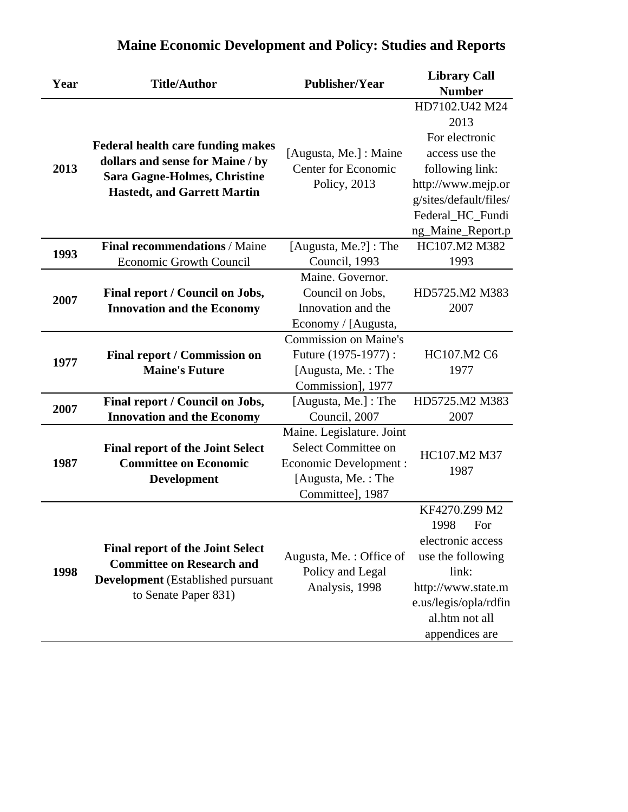| Year | <b>Title/Author</b>                                                                                                 | <b>Publisher/Year</b>        | <b>Library Call</b>    |
|------|---------------------------------------------------------------------------------------------------------------------|------------------------------|------------------------|
|      |                                                                                                                     |                              | <b>Number</b>          |
|      |                                                                                                                     |                              | HD7102.U42 M24         |
|      | <b>Federal health care funding makes</b><br>dollars and sense for Maine / by<br><b>Sara Gagne-Holmes, Christine</b> |                              | 2013                   |
|      |                                                                                                                     |                              | For electronic         |
|      |                                                                                                                     | [Augusta, Me.] : Maine       | access use the         |
| 2013 |                                                                                                                     | <b>Center for Economic</b>   | following link:        |
|      |                                                                                                                     | Policy, 2013                 | http://www.mejp.or     |
|      | <b>Hastedt, and Garrett Martin</b>                                                                                  |                              | g/sites/default/files/ |
|      |                                                                                                                     |                              | Federal_HC_Fundi       |
|      |                                                                                                                     |                              | ng_Maine_Report.p      |
|      | <b>Final recommendations / Maine</b>                                                                                | [Augusta, Me.?] : The        | HC107.M2 M382          |
| 1993 | Economic Growth Council                                                                                             | Council, 1993                | 1993                   |
|      |                                                                                                                     | Maine. Governor.             |                        |
| 2007 | Final report / Council on Jobs,                                                                                     | Council on Jobs,             | HD5725.M2 M383         |
|      | <b>Innovation and the Economy</b>                                                                                   | Innovation and the           | 2007                   |
|      |                                                                                                                     | Economy / [Augusta,          |                        |
|      |                                                                                                                     | <b>Commission on Maine's</b> |                        |
| 1977 | Final report / Commission on                                                                                        | Future (1975-1977):          | HC107.M2 C6            |
|      | <b>Maine's Future</b>                                                                                               | [Augusta, Me.: The           | 1977                   |
|      |                                                                                                                     | Commission], 1977            |                        |
| 2007 | Final report / Council on Jobs,                                                                                     | [Augusta, Me.]: The          | HD5725.M2 M383         |
|      | <b>Innovation and the Economy</b>                                                                                   | Council, 2007                | 2007                   |
|      |                                                                                                                     | Maine. Legislature. Joint    |                        |
|      | <b>Final report of the Joint Select</b>                                                                             | Select Committee on          | HC107.M2 M37           |
| 1987 | <b>Committee on Economic</b>                                                                                        | <b>Economic Development:</b> | 1987                   |
|      | <b>Development</b>                                                                                                  | [Augusta, Me.: The           |                        |
|      |                                                                                                                     | Committee], 1987             |                        |
|      |                                                                                                                     |                              | KF4270.Z99 M2          |
|      |                                                                                                                     |                              | 1998<br>For            |
|      | <b>Final report of the Joint Select</b>                                                                             |                              | electronic access      |
|      | <b>Committee on Research and</b>                                                                                    | Augusta, Me.: Office of      | use the following      |
| 1998 | <b>Development</b> (Established pursuant<br>to Senate Paper 831)                                                    | Policy and Legal             | link:                  |
|      |                                                                                                                     | Analysis, 1998               | http://www.state.m     |
|      |                                                                                                                     |                              | e.us/legis/opla/rdfin  |
|      |                                                                                                                     |                              | al.htm not all         |
|      |                                                                                                                     |                              | appendices are         |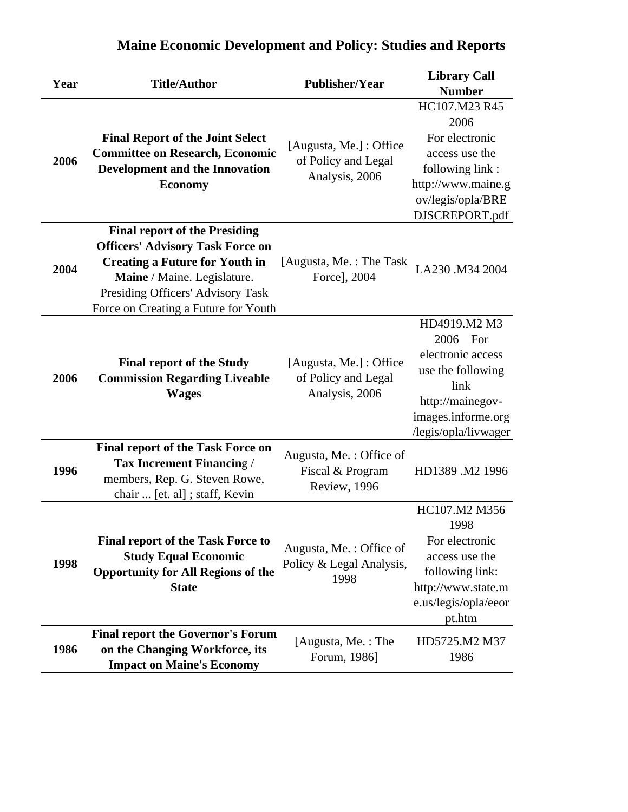| Year | <b>Title/Author</b>                                                                                                                                                                                                                  | <b>Publisher/Year</b>                                            | <b>Library Call</b><br><b>Number</b>                                                                                                         |
|------|--------------------------------------------------------------------------------------------------------------------------------------------------------------------------------------------------------------------------------------|------------------------------------------------------------------|----------------------------------------------------------------------------------------------------------------------------------------------|
| 2006 | <b>Final Report of the Joint Select</b><br><b>Committee on Research, Economic</b><br>Development and the Innovation<br><b>Economy</b>                                                                                                | [Augusta, Me.] : Office<br>of Policy and Legal<br>Analysis, 2006 | HC107.M23 R45<br>2006<br>For electronic<br>access use the<br>following link:<br>http://www.maine.g<br>ov/legis/opla/BRE<br>DJSCREPORT.pdf    |
| 2004 | <b>Final report of the Presiding</b><br><b>Officers' Advisory Task Force on</b><br><b>Creating a Future for Youth in</b><br>Maine / Maine. Legislature.<br>Presiding Officers' Advisory Task<br>Force on Creating a Future for Youth | [Augusta, Me. : The Task]<br>Force], 2004                        | LA230 .M34 2004                                                                                                                              |
| 2006 | <b>Final report of the Study</b><br><b>Commission Regarding Liveable</b><br><b>Wages</b>                                                                                                                                             | [Augusta, Me.] : Office<br>of Policy and Legal<br>Analysis, 2006 | HD4919.M2 M3<br>2006 For<br>electronic access<br>use the following<br>link<br>http://mainegov-<br>images.informe.org<br>/legis/opla/livwager |
| 1996 | <b>Final report of the Task Force on</b><br><b>Tax Increment Financing /</b><br>members, Rep. G. Steven Rowe,<br>chair  [et. al] ; staff, Kevin                                                                                      | Augusta, Me.: Office of<br>Fiscal & Program<br>Review, 1996      | HD1389 .M2 1996                                                                                                                              |
| 1998 | <b>Final report of the Task Force to</b><br><b>Study Equal Economic</b><br><b>Opportunity for All Regions of the</b><br><b>State</b>                                                                                                 | Augusta, Me.: Office of<br>Policy & Legal Analysis,<br>1998      | HC107.M2 M356<br>1998<br>For electronic<br>access use the<br>following link:<br>http://www.state.m<br>e.us/legis/opla/eeor<br>pt.htm         |
| 1986 | <b>Final report the Governor's Forum</b><br>on the Changing Workforce, its<br><b>Impact on Maine's Economy</b>                                                                                                                       | [Augusta, Me.: The<br>Forum, 1986]                               | HD5725.M2 M37<br>1986                                                                                                                        |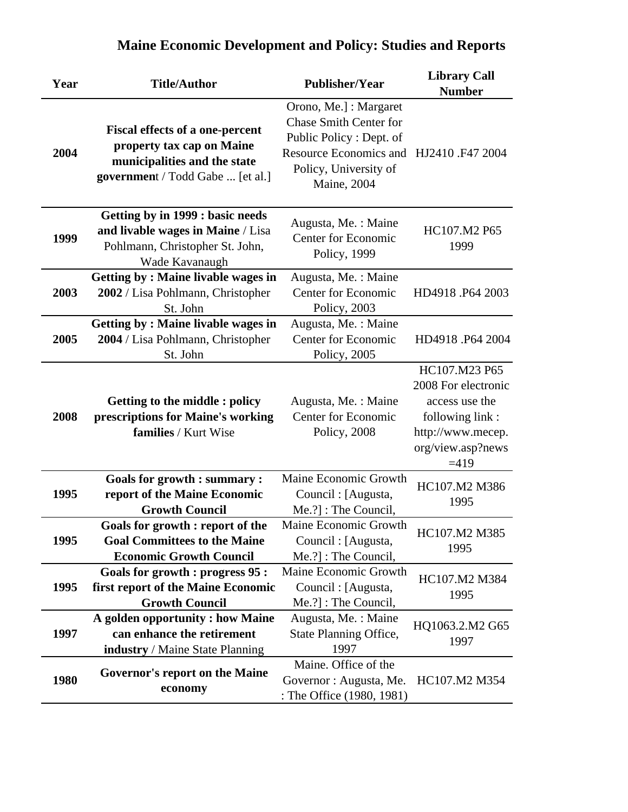| Year | <b>Title/Author</b>                                                                                                                     | <b>Publisher/Year</b>                                                                                                                                                        | <b>Library Call</b><br><b>Number</b>                                                                                          |
|------|-----------------------------------------------------------------------------------------------------------------------------------------|------------------------------------------------------------------------------------------------------------------------------------------------------------------------------|-------------------------------------------------------------------------------------------------------------------------------|
| 2004 | <b>Fiscal effects of a one-percent</b><br>property tax cap on Maine<br>municipalities and the state<br>government / Todd Gabe  [et al.] | Orono, Me.] : Margaret<br><b>Chase Smith Center for</b><br>Public Policy: Dept. of<br>Resource Economics and HJ2410.F47 2004<br>Policy, University of<br><b>Maine</b> , 2004 |                                                                                                                               |
| 1999 | <b>Getting by in 1999 : basic needs</b><br>and livable wages in Maine / Lisa<br>Pohlmann, Christopher St. John,<br>Wade Kavanaugh       | Augusta, Me. : Maine<br><b>Center for Economic</b><br>Policy, 1999                                                                                                           | HC107.M2 P65<br>1999                                                                                                          |
| 2003 | <b>Getting by: Maine livable wages in</b><br>2002 / Lisa Pohlmann, Christopher<br>St. John                                              | Augusta, Me.: Maine<br><b>Center for Economic</b><br>Policy, 2003                                                                                                            | HD4918.P64 2003                                                                                                               |
| 2005 | <b>Getting by: Maine livable wages in</b><br>2004 / Lisa Pohlmann, Christopher<br>St. John                                              | Augusta, Me.: Maine<br><b>Center for Economic</b><br>Policy, 2005                                                                                                            | HD4918.P64 2004                                                                                                               |
| 2008 | <b>Getting to the middle: policy</b><br>prescriptions for Maine's working<br>families / Kurt Wise                                       | Augusta, Me. : Maine<br>Center for Economic<br>Policy, 2008                                                                                                                  | HC107.M23 P65<br>2008 For electronic<br>access use the<br>following link:<br>http://www.mecep.<br>org/view.asp?news<br>$=419$ |
| 1995 | <b>Goals for growth : summary :</b><br>report of the Maine Economic<br><b>Growth Council</b>                                            | Maine Economic Growth<br>Council : [Augusta,<br>Me.?] : The Council,                                                                                                         | HC107.M2 M386<br>1995                                                                                                         |
| 1995 | Goals for growth : report of the<br><b>Goal Committees to the Maine</b><br><b>Economic Growth Council</b>                               | Maine Economic Growth<br>Council : [Augusta,<br>Me.?] : The Council,                                                                                                         | HC107.M2 M385<br>1995                                                                                                         |
| 1995 | <b>Goals for growth : progress 95 :</b><br>first report of the Maine Economic<br><b>Growth Council</b>                                  | Maine Economic Growth<br>Council : [Augusta,<br>Me.?] : The Council,                                                                                                         | HC107.M2 M384<br>1995                                                                                                         |
| 1997 | A golden opportunity : how Maine<br>can enhance the retirement<br><b>industry</b> / Maine State Planning                                | Augusta, Me.: Maine<br><b>State Planning Office,</b><br>1997                                                                                                                 | HQ1063.2.M2 G65<br>1997                                                                                                       |
| 1980 | <b>Governor's report on the Maine</b><br>economy                                                                                        | Maine. Office of the<br>Governor : Augusta, Me.<br>: The Office (1980, 1981)                                                                                                 | HC107.M2 M354                                                                                                                 |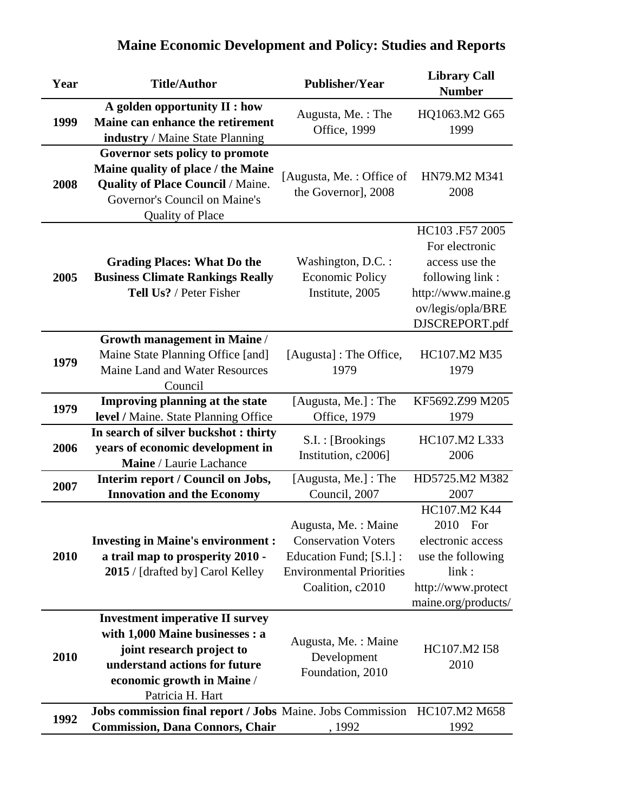| Year | <b>Title/Author</b>                                                                                                                                                                       | <b>Publisher/Year</b>                                                                                                                 | <b>Library Call</b><br><b>Number</b>                                                                                                |
|------|-------------------------------------------------------------------------------------------------------------------------------------------------------------------------------------------|---------------------------------------------------------------------------------------------------------------------------------------|-------------------------------------------------------------------------------------------------------------------------------------|
| 1999 | A golden opportunity II : how<br>Maine can enhance the retirement<br>industry / Maine State Planning                                                                                      | Augusta, Me.: The<br><b>Office</b> , 1999                                                                                             | HQ1063.M2 G65<br>1999                                                                                                               |
| 2008 | Governor sets policy to promote<br>Maine quality of place / the Maine<br><b>Quality of Place Council / Maine.</b><br>Governor's Council on Maine's<br><b>Quality of Place</b>             | [Augusta, Me.: Office of<br>the Governor], 2008                                                                                       | HN79.M2 M341<br>2008                                                                                                                |
| 2005 | <b>Grading Places: What Do the</b><br><b>Business Climate Rankings Really</b><br>Tell Us? / Peter Fisher                                                                                  | Washington, D.C. :<br><b>Economic Policy</b><br>Institute, 2005                                                                       | HC103 .F57 2005<br>For electronic<br>access use the<br>following link:<br>http://www.maine.g<br>ov/legis/opla/BRE<br>DJSCREPORT.pdf |
| 1979 | <b>Growth management in Maine /</b><br>Maine State Planning Office [and]<br>Maine Land and Water Resources<br>Council                                                                     | [Augusta] : The Office,<br>1979                                                                                                       | HC107.M2 M35<br>1979                                                                                                                |
| 1979 | Improving planning at the state<br>level / Maine. State Planning Office                                                                                                                   | [Augusta, Me.] : The<br>Office, 1979                                                                                                  | KF5692.Z99 M205<br>1979                                                                                                             |
| 2006 | In search of silver buckshot: thirty<br>years of economic development in<br>Maine / Laurie Lachance                                                                                       | S.I. : [Brookings<br>Institution, c2006]                                                                                              | HC107.M2 L333<br>2006                                                                                                               |
| 2007 | Interim report / Council on Jobs,<br><b>Innovation and the Economy</b>                                                                                                                    | [Augusta, Me.]: The<br>Council, 2007                                                                                                  | HD5725.M2 M382<br>2007                                                                                                              |
| 2010 | <b>Investing in Maine's environment:</b><br>a trail map to prosperity 2010 -<br>2015 / [drafted by] Carol Kelley                                                                          | Augusta, Me. : Maine<br><b>Conservation Voters</b><br>Education Fund; [S.l.] :<br><b>Environmental Priorities</b><br>Coalition, c2010 | HC107.M2 K44<br>2010 For<br>electronic access<br>use the following<br>link:<br>http://www.protect<br>maine.org/products/            |
| 2010 | <b>Investment imperative II survey</b><br>with 1,000 Maine businesses : a<br>joint research project to<br>understand actions for future<br>economic growth in Maine /<br>Patricia H. Hart | Augusta, Me.: Maine<br>Development<br>Foundation, 2010                                                                                | HC107.M2 I58<br>2010                                                                                                                |
| 1992 | Jobs commission final report / Jobs Maine. Jobs Commission<br><b>Commission, Dana Connors, Chair</b>                                                                                      | , 1992                                                                                                                                | HC107.M2 M658<br>1992                                                                                                               |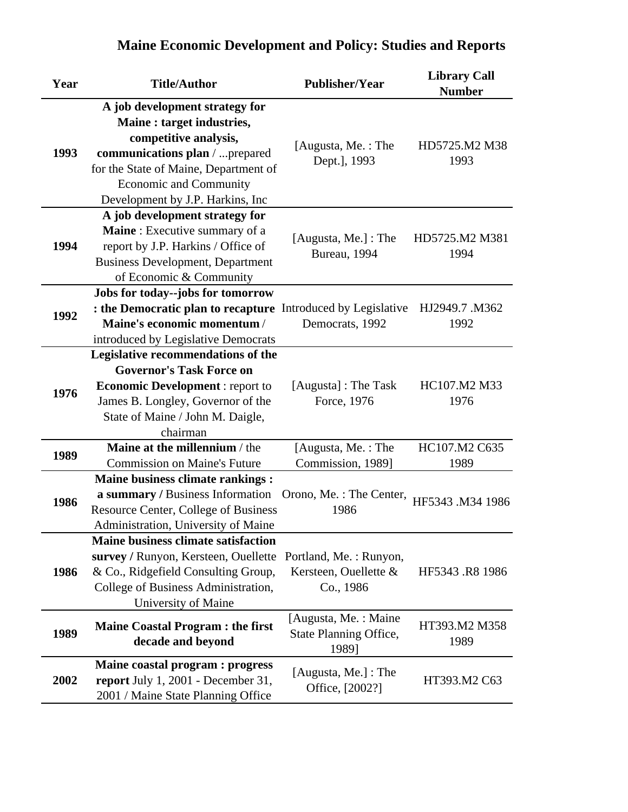| <b>Maine Economic Development and Policy: Studies and Reports</b> |
|-------------------------------------------------------------------|

| Year | <b>Title/Author</b>                                                                                                                                                                                                                     | <b>Publisher/Year</b>                                        | <b>Library Call</b><br><b>Number</b> |
|------|-----------------------------------------------------------------------------------------------------------------------------------------------------------------------------------------------------------------------------------------|--------------------------------------------------------------|--------------------------------------|
| 1993 | A job development strategy for<br>Maine : target industries,<br>competitive analysis,<br>communications plan /  prepared<br>for the State of Maine, Department of<br><b>Economic and Community</b><br>Development by J.P. Harkins, Inc. | [Augusta, Me.: The<br>Dept.], 1993                           | HD5725.M2 M38<br>1993                |
| 1994 | A job development strategy for<br>Maine: Executive summary of a<br>report by J.P. Harkins / Office of<br><b>Business Development, Department</b><br>of Economic & Community                                                             | [Augusta, Me.] : The<br>Bureau, 1994                         | HD5725.M2 M381<br>1994               |
| 1992 | Jobs for today--jobs for tomorrow<br>: the Democratic plan to recapture Introduced by Legislative<br>Maine's economic momentum/<br>introduced by Legislative Democrats                                                                  | Democrats, 1992                                              | HJ2949.7 .M362<br>1992               |
| 1976 | Legislative recommendations of the<br><b>Governor's Task Force on</b><br><b>Economic Development:</b> report to<br>James B. Longley, Governor of the<br>State of Maine / John M. Daigle,<br>chairman                                    | [Augusta] : The Task<br>Force, 1976                          | HC107.M2 M33<br>1976                 |
| 1989 | Maine at the millennium / the<br><b>Commission on Maine's Future</b>                                                                                                                                                                    | [Augusta, Me.: The<br>Commission, 1989]                      | HC107.M2 C635<br>1989                |
| 1986 | Maine business climate rankings :<br>a summary / Business Information<br><b>Resource Center, College of Business</b><br>Administration, University of Maine                                                                             | Orono, Me.: The Center,<br>1986                              | HF5343 .M34 1986                     |
| 1986 | <b>Maine business climate satisfaction</b><br>survey / Runyon, Kersteen, Ouellette<br>& Co., Ridgefield Consulting Group,<br>College of Business Administration,<br>University of Maine                                                 | Portland, Me.: Runyon,<br>Kersteen, Ouellette &<br>Co., 1986 | HF5343 .R8 1986                      |
| 1989 | <b>Maine Coastal Program : the first</b><br>decade and beyond                                                                                                                                                                           | [Augusta, Me.: Maine<br>State Planning Office,<br>1989]      | HT393.M2 M358<br>1989                |
| 2002 | Maine coastal program : progress<br>report July 1, 2001 - December 31,<br>2001 / Maine State Planning Office                                                                                                                            | [Augusta, Me.] : The<br>Office, [2002?]                      | HT393.M2 C63                         |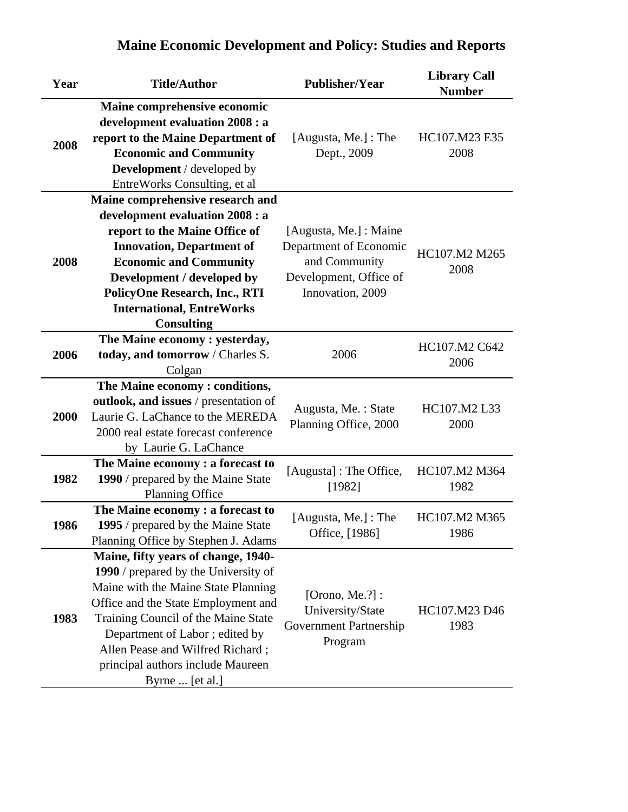| Year | <b>Title/Author</b>                   | <b>Publisher/Year</b>         | <b>Library Call</b><br><b>Number</b> |
|------|---------------------------------------|-------------------------------|--------------------------------------|
|      | Maine comprehensive economic          |                               |                                      |
|      | development evaluation 2008 : a       |                               |                                      |
| 2008 | report to the Maine Department of     | [Augusta, Me.] : The          | HC107.M23 E35                        |
|      | <b>Economic and Community</b>         | Dept., 2009                   | 2008                                 |
|      | <b>Development</b> / developed by     |                               |                                      |
|      | EntreWorks Consulting, et al.         |                               |                                      |
|      | Maine comprehensive research and      |                               |                                      |
|      | development evaluation 2008 : a       |                               |                                      |
|      | report to the Maine Office of         | [Augusta, Me.] : Maine        |                                      |
|      | <b>Innovation, Department of</b>      | Department of Economic        | HC107.M2 M265                        |
| 2008 | <b>Economic and Community</b>         | and Community                 | 2008                                 |
|      | Development / developed by            | Development, Office of        |                                      |
|      | <b>PolicyOne Research, Inc., RTI</b>  | Innovation, 2009              |                                      |
|      | <b>International, EntreWorks</b>      |                               |                                      |
|      | <b>Consulting</b>                     |                               |                                      |
|      | The Maine economy : yesterday,        |                               | HC107.M2 C642                        |
| 2006 | today, and tomorrow / Charles S.      | 2006                          | 2006                                 |
|      | Colgan                                |                               |                                      |
|      | The Maine economy: conditions,        |                               |                                      |
|      | outlook, and issues / presentation of | Augusta, Me.: State           | HC107.M2 L33                         |
| 2000 | Laurie G. LaChance to the MEREDA      | Planning Office, 2000         | 2000                                 |
|      | 2000 real estate forecast conference  |                               |                                      |
|      | by Laurie G. LaChance                 |                               |                                      |
|      | The Maine economy: a forecast to      | [Augusta] : The Office,       | HC107.M2 M364                        |
| 1982 | 1990 / prepared by the Maine State    | [1982]                        | 1982                                 |
|      | Planning Office                       |                               |                                      |
|      | The Maine economy : a forecast to     | [Augusta, Me.] : The          | HC107.M2 M365                        |
| 1986 | 1995 / prepared by the Maine State    | Office, [1986]                | 1986                                 |
|      | Planning Office by Stephen J. Adams   |                               |                                      |
|      | Maine, fifty years of change, 1940-   |                               |                                      |
|      | 1990 / prepared by the University of  |                               |                                      |
|      | Maine with the Maine State Planning   | [Orono, Me. $?$ ] :           |                                      |
|      | Office and the State Employment and   | University/State              | HC107.M23 D46                        |
| 1983 | Training Council of the Maine State   | <b>Government Partnership</b> | 1983                                 |
|      | Department of Labor; edited by        | Program                       |                                      |
|      | Allen Pease and Wilfred Richard;      |                               |                                      |
|      | principal authors include Maureen     |                               |                                      |
|      | Byrne  [et al.]                       |                               |                                      |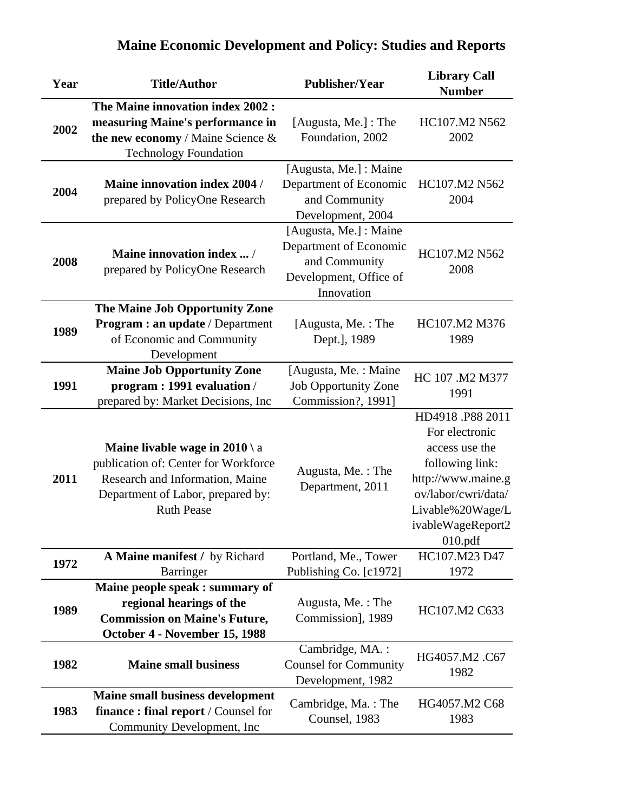| Year | <b>Title/Author</b>                                                                                                                                                        | <b>Publisher/Year</b>                                                                                     | <b>Library Call</b><br><b>Number</b>                                                                                                                                    |
|------|----------------------------------------------------------------------------------------------------------------------------------------------------------------------------|-----------------------------------------------------------------------------------------------------------|-------------------------------------------------------------------------------------------------------------------------------------------------------------------------|
| 2002 | The Maine innovation index 2002 :<br>measuring Maine's performance in<br>the new economy / Maine Science $\&$<br><b>Technology Foundation</b>                              | [Augusta, Me.] : The<br>Foundation, 2002                                                                  | HC107.M2 N562<br>2002                                                                                                                                                   |
| 2004 | <b>Maine innovation index 2004 /</b><br>prepared by PolicyOne Research                                                                                                     | [Augusta, Me.] : Maine<br>Department of Economic<br>and Community<br>Development, 2004                    | HC107.M2 N562<br>2004                                                                                                                                                   |
| 2008 | Maine innovation index  /<br>prepared by PolicyOne Research                                                                                                                | [Augusta, Me.] : Maine<br>Department of Economic<br>and Community<br>Development, Office of<br>Innovation | HC107.M2 N562<br>2008                                                                                                                                                   |
| 1989 | The Maine Job Opportunity Zone<br><b>Program: an update / Department</b><br>of Economic and Community<br>Development                                                       | [Augusta, Me.: The<br>Dept.], 1989                                                                        | HC107.M2 M376<br>1989                                                                                                                                                   |
| 1991 | <b>Maine Job Opportunity Zone</b><br>program: 1991 evaluation /<br>prepared by: Market Decisions, Inc                                                                      | [Augusta, Me.: Maine<br><b>Job Opportunity Zone</b><br>Commission?, 1991]                                 | HC 107 .M2 M377<br>1991                                                                                                                                                 |
| 2011 | <b>Maine livable wage in 2010</b> \ a<br>publication of: Center for Workforce<br>Research and Information, Maine<br>Department of Labor, prepared by:<br><b>Ruth Pease</b> | Augusta, Me.: The<br>Department, 2011                                                                     | HD4918.P88 2011<br>For electronic<br>access use the<br>following link:<br>http://www.maine.g<br>ov/labor/cwri/data/<br>Livable%20Wage/L<br>ivableWageReport2<br>010.pdf |
| 1972 | A Maine manifest / by Richard<br><b>Barringer</b>                                                                                                                          | Portland, Me., Tower<br>Publishing Co. [c1972]                                                            | HC107.M23 D47<br>1972                                                                                                                                                   |
| 1989 | Maine people speak : summary of<br>regional hearings of the<br><b>Commission on Maine's Future,</b><br>October 4 - November 15, 1988                                       | Augusta, Me.: The<br>Commission], 1989                                                                    | HC107.M2 C633                                                                                                                                                           |
| 1982 | <b>Maine small business</b>                                                                                                                                                | Cambridge, MA.:<br><b>Counsel for Community</b><br>Development, 1982                                      | HG4057.M2.C67<br>1982                                                                                                                                                   |
| 1983 | <b>Maine small business development</b><br>finance: final report / Counsel for<br>Community Development, Inc                                                               | Cambridge, Ma.: The<br>Counsel, 1983                                                                      | HG4057.M2 C68<br>1983                                                                                                                                                   |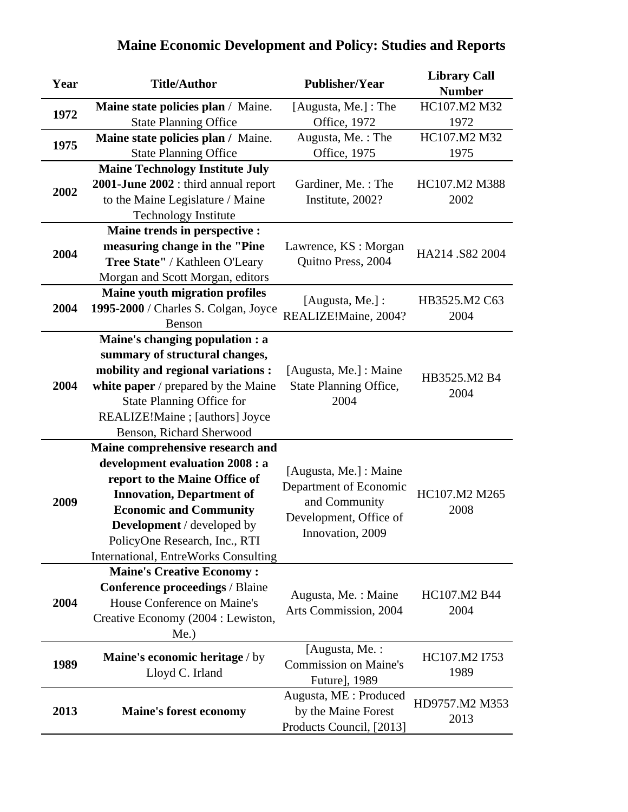| Year | <b>Title/Author</b>                                                     | <b>Publisher/Year</b>                           | <b>Library Call</b><br><b>Number</b> |
|------|-------------------------------------------------------------------------|-------------------------------------------------|--------------------------------------|
|      | Maine state policies plan / Maine.                                      | [Augusta, Me.] : The                            | HC107.M2 M32                         |
| 1972 | <b>State Planning Office</b>                                            | <b>Office</b> , 1972                            | 1972                                 |
| 1975 | Maine state policies plan / Maine.                                      | Augusta, Me.: The                               | HC107.M2 M32                         |
|      | <b>State Planning Office</b>                                            | Office, 1975                                    | 1975                                 |
|      | <b>Maine Technology Institute July</b>                                  |                                                 |                                      |
| 2002 | 2001-June 2002 : third annual report                                    | Gardiner, Me.: The                              | HC107.M2 M388                        |
|      | to the Maine Legislature / Maine                                        | Institute, 2002?                                | 2002                                 |
|      | <b>Technology Institute</b>                                             |                                                 |                                      |
|      | Maine trends in perspective :                                           |                                                 |                                      |
| 2004 | measuring change in the "Pine                                           | Lawrence, KS : Morgan                           | HA214 .S82 2004                      |
|      | Tree State" / Kathleen O'Leary                                          | Quitno Press, 2004                              |                                      |
|      | Morgan and Scott Morgan, editors                                        |                                                 |                                      |
|      | Maine youth migration profiles                                          | [Augusta, Me.] :                                | HB3525.M2 C63                        |
| 2004 | 1995-2000 / Charles S. Colgan, Joyce                                    | REALIZE!Maine, 2004?                            | 2004                                 |
|      | Benson                                                                  |                                                 |                                      |
|      | Maine's changing population : a                                         |                                                 |                                      |
|      | summary of structural changes,                                          |                                                 |                                      |
| 2004 | mobility and regional variations :                                      | [Augusta, Me.] : Maine                          | HB3525.M2 B4                         |
|      | white paper / prepared by the Maine<br><b>State Planning Office for</b> | State Planning Office,<br>2004                  | 2004                                 |
|      | REALIZE!Maine ; [authors] Joyce                                         |                                                 |                                      |
|      | Benson, Richard Sherwood                                                |                                                 |                                      |
|      | Maine comprehensive research and                                        |                                                 |                                      |
|      | development evaluation 2008 : a                                         |                                                 |                                      |
|      | report to the Maine Office of                                           | [Augusta, Me.] : Maine                          |                                      |
|      | <b>Innovation, Department of</b>                                        | Department of Economic                          | HC107.M2 M265                        |
| 2009 | <b>Economic and Community</b>                                           | and Community                                   | 2008                                 |
|      | <b>Development</b> / developed by                                       | Development, Office of                          |                                      |
|      | PolicyOne Research, Inc., RTI                                           | Innovation, 2009                                |                                      |
|      | International, EntreWorks Consulting                                    |                                                 |                                      |
|      | <b>Maine's Creative Economy:</b>                                        |                                                 |                                      |
|      | <b>Conference proceedings / Blaine</b>                                  | Augusta, Me. : Maine                            | HC107.M2 B44                         |
| 2004 | House Conference on Maine's                                             | Arts Commission, 2004                           | 2004                                 |
|      | Creative Economy (2004 : Lewiston,                                      |                                                 |                                      |
|      | $Me.$ )                                                                 |                                                 |                                      |
|      | Maine's economic heritage / by                                          | [Augusta, Me. :                                 | HC107.M2 I753                        |
| 1989 | Lloyd C. Irland                                                         | <b>Commission on Maine's</b>                    | 1989                                 |
|      |                                                                         | Future], 1989                                   |                                      |
|      |                                                                         | Augusta, ME : Produced                          | HD9757.M2 M353                       |
| 2013 | <b>Maine's forest economy</b>                                           | by the Maine Forest<br>Products Council, [2013] | 2013                                 |
|      |                                                                         |                                                 |                                      |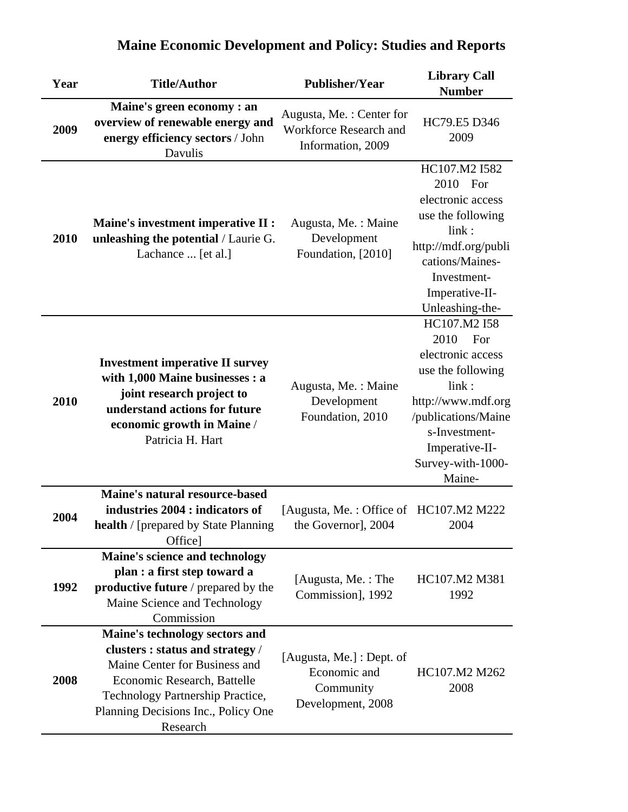| Year | <b>Title/Author</b>                                                                                                                                                                                                       | <b>Publisher/Year</b>                                                          | <b>Library Call</b><br><b>Number</b>                                                                                                                                                          |
|------|---------------------------------------------------------------------------------------------------------------------------------------------------------------------------------------------------------------------------|--------------------------------------------------------------------------------|-----------------------------------------------------------------------------------------------------------------------------------------------------------------------------------------------|
| 2009 | Maine's green economy : an<br>overview of renewable energy and<br>energy efficiency sectors / John<br>Davulis                                                                                                             | Augusta, Me.: Center for<br><b>Workforce Research and</b><br>Information, 2009 | HC79.E5 D346<br>2009                                                                                                                                                                          |
| 2010 | <b>Maine's investment imperative II :</b><br>unleashing the potential / Laurie G.<br>Lachance  [et al.]                                                                                                                   | Augusta, Me. : Maine<br>Development<br>Foundation, [2010]                      | HC107.M2 I582<br>2010 For<br>electronic access<br>use the following<br>link:<br>http://mdf.org/publi<br>cations/Maines-<br>Investment-<br>Imperative-II-<br>Unleashing-the-                   |
| 2010 | <b>Investment imperative II survey</b><br>with 1,000 Maine businesses : a<br>joint research project to<br>understand actions for future<br>economic growth in Maine /<br>Patricia H. Hart                                 | Augusta, Me.: Maine<br>Development<br>Foundation, 2010                         | HC107.M2 I58<br>2010<br>For<br>electronic access<br>use the following<br>link:<br>http://www.mdf.org<br>/publications/Maine<br>s-Investment-<br>Imperative-II-<br>Survey-with-1000-<br>Maine- |
| 2004 | Maine's natural resource-based<br>industries 2004 : indicators of<br><b>health</b> / [prepared by State Planning<br>Office]                                                                                               | [Augusta, Me.: Office of HC107.M2 M222<br>the Governor], 2004                  | 2004                                                                                                                                                                                          |
| 1992 | Maine's science and technology<br>plan : a first step toward a<br>productive future / prepared by the<br>Maine Science and Technology<br>Commission                                                                       | [Augusta, Me.: The<br>Commission], 1992                                        | HC107.M2 M381<br>1992                                                                                                                                                                         |
| 2008 | Maine's technology sectors and<br>clusters : status and strategy /<br>Maine Center for Business and<br>Economic Research, Battelle<br>Technology Partnership Practice,<br>Planning Decisions Inc., Policy One<br>Research | [Augusta, Me.] : Dept. of<br>Economic and<br>Community<br>Development, 2008    | HC107.M2 M262<br>2008                                                                                                                                                                         |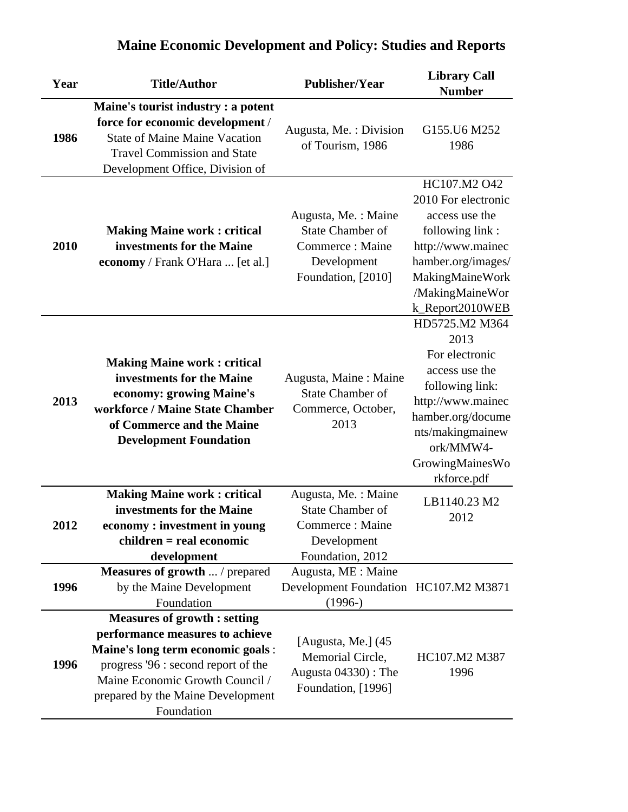| Year | <b>Title/Author</b>                                                                                                                                                                                                                      | <b>Publisher/Year</b>                                                                                   | <b>Library Call</b><br><b>Number</b>                                                                                                                                                       |
|------|------------------------------------------------------------------------------------------------------------------------------------------------------------------------------------------------------------------------------------------|---------------------------------------------------------------------------------------------------------|--------------------------------------------------------------------------------------------------------------------------------------------------------------------------------------------|
| 1986 | Maine's tourist industry : a potent<br>force for economic development /<br><b>State of Maine Maine Vacation</b><br><b>Travel Commission and State</b><br>Development Office, Division of                                                 | Augusta, Me.: Division<br>of Tourism, 1986                                                              | G155.U6 M252<br>1986                                                                                                                                                                       |
| 2010 | <b>Making Maine work: critical</b><br>investments for the Maine<br>economy / Frank O'Hara  [et al.]                                                                                                                                      | Augusta, Me. : Maine<br><b>State Chamber of</b><br>Commerce: Maine<br>Development<br>Foundation, [2010] | HC107.M2 O42<br>2010 For electronic<br>access use the<br>following link:<br>http://www.mainec<br>hamber.org/images/<br>MakingMaineWork<br>/MakingMaineWor<br>k_Report2010WEB               |
| 2013 | <b>Making Maine work: critical</b><br>investments for the Maine<br>economy: growing Maine's<br>workforce / Maine State Chamber<br>of Commerce and the Maine<br><b>Development Foundation</b>                                             | Augusta, Maine: Maine<br><b>State Chamber of</b><br>Commerce, October,<br>2013                          | HD5725.M2 M364<br>2013<br>For electronic<br>access use the<br>following link:<br>http://www.mainec<br>hamber.org/docume<br>nts/makingmainew<br>ork/MMW4-<br>GrowingMainesWo<br>rkforce.pdf |
| 2012 | <b>Making Maine work: critical</b><br>investments for the Maine<br>economy: investment in young<br>$children = real economic$<br>development                                                                                             | Augusta, Me.: Maine<br><b>State Chamber of</b><br>Commerce: Maine<br>Development<br>Foundation, 2012    | LB1140.23 M2<br>2012                                                                                                                                                                       |
| 1996 | Measures of growth  / prepared<br>by the Maine Development<br>Foundation                                                                                                                                                                 | Augusta, ME : Maine<br>Development Foundation HC107.M2 M3871<br>$(1996-)$                               |                                                                                                                                                                                            |
| 1996 | <b>Measures of growth: setting</b><br>performance measures to achieve<br>Maine's long term economic goals :<br>progress '96 : second report of the<br>Maine Economic Growth Council /<br>prepared by the Maine Development<br>Foundation | [Augusta, Me.] (45<br>Memorial Circle,<br>Augusta $04330$ : The<br>Foundation, [1996]                   | HC107.M2 M387<br>1996                                                                                                                                                                      |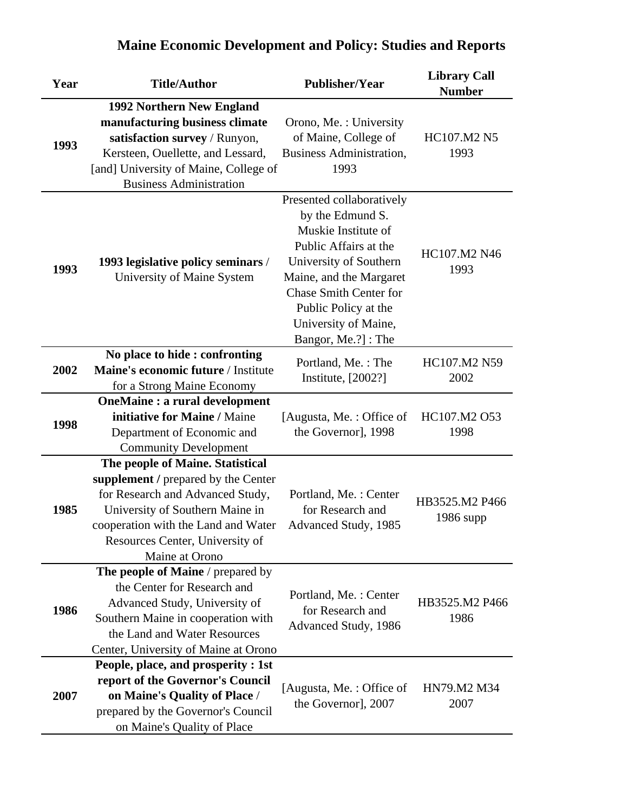| Year | <b>Title/Author</b>                                                                                                                                                                                                                        | <b>Publisher/Year</b>                                                                                                                                                                                                                                     | <b>Library Call</b><br><b>Number</b> |
|------|--------------------------------------------------------------------------------------------------------------------------------------------------------------------------------------------------------------------------------------------|-----------------------------------------------------------------------------------------------------------------------------------------------------------------------------------------------------------------------------------------------------------|--------------------------------------|
| 1993 | 1992 Northern New England<br>manufacturing business climate<br>satisfaction survey / Runyon,<br>Kersteen, Ouellette, and Lessard,<br>[and] University of Maine, College of<br><b>Business Administration</b>                               | Orono, Me.: University<br>of Maine, College of<br><b>Business Administration,</b><br>1993                                                                                                                                                                 | HC107.M2 N5<br>1993                  |
| 1993 | 1993 legislative policy seminars /<br>University of Maine System                                                                                                                                                                           | Presented collaboratively<br>by the Edmund S.<br>Muskie Institute of<br>Public Affairs at the<br>University of Southern<br>Maine, and the Margaret<br><b>Chase Smith Center for</b><br>Public Policy at the<br>University of Maine,<br>Bangor, Me.?]: The | HC107.M2 N46<br>1993                 |
| 2002 | No place to hide: confronting<br>Maine's economic future / Institute<br>for a Strong Maine Economy                                                                                                                                         | Portland, Me.: The<br>Institute, [2002?]                                                                                                                                                                                                                  | HC107.M2 N59<br>2002                 |
| 1998 | <b>OneMaine : a rural development</b><br>initiative for Maine / Maine<br>Department of Economic and<br><b>Community Development</b>                                                                                                        | [Augusta, Me.: Office of<br>the Governor], 1998                                                                                                                                                                                                           | HC107.M2 O53<br>1998                 |
| 1985 | The people of Maine. Statistical<br>supplement / prepared by the Center<br>for Research and Advanced Study,<br>University of Southern Maine in<br>cooperation with the Land and Water<br>Resources Center, University of<br>Maine at Orono | Portland, Me.: Center<br>for Research and<br>Advanced Study, 1985                                                                                                                                                                                         | HB3525.M2 P466<br>1986 supp          |
| 1986 | The people of Maine / prepared by<br>the Center for Research and<br>Advanced Study, University of<br>Southern Maine in cooperation with<br>the Land and Water Resources<br>Center, University of Maine at Orono                            | Portland, Me.: Center<br>for Research and<br>Advanced Study, 1986                                                                                                                                                                                         | HB3525.M2 P466<br>1986               |
| 2007 | People, place, and prosperity : 1st<br>report of the Governor's Council<br>on Maine's Quality of Place /<br>prepared by the Governor's Council<br>on Maine's Quality of Place                                                              | [Augusta, Me.: Office of<br>the Governor], 2007                                                                                                                                                                                                           | HN79.M2 M34<br>2007                  |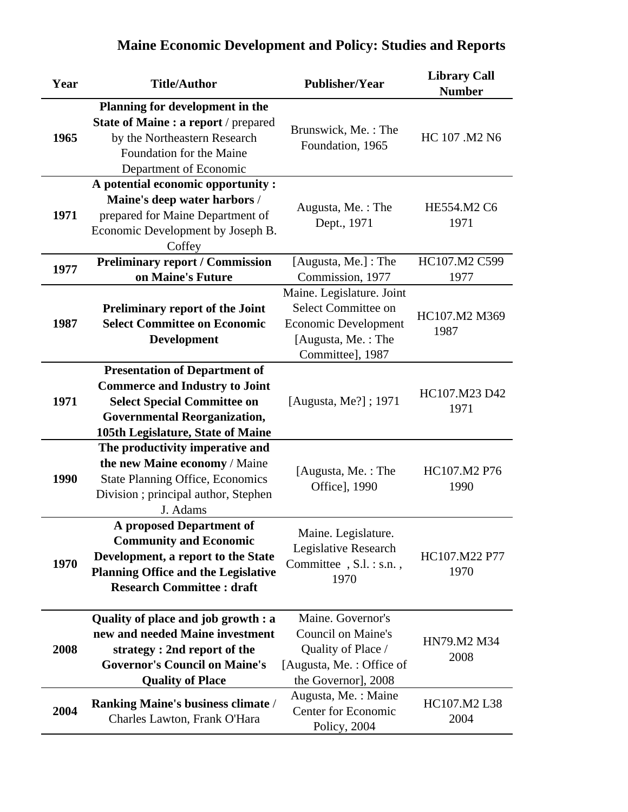| Year | <b>Title/Author</b>                                                       | <b>Publisher/Year</b>                    | <b>Library Call</b><br><b>Number</b> |
|------|---------------------------------------------------------------------------|------------------------------------------|--------------------------------------|
|      | Planning for development in the<br>State of Maine : a report / prepared   |                                          |                                      |
| 1965 | by the Northeastern Research<br>Foundation for the Maine                  | Brunswick, Me.: The<br>Foundation, 1965  | HC 107 .M2 N6                        |
|      | Department of Economic                                                    |                                          |                                      |
|      | A potential economic opportunity :                                        |                                          |                                      |
|      | Maine's deep water harbors /                                              | Augusta, Me.: The                        | HE554.M2 C6                          |
| 1971 | prepared for Maine Department of                                          | Dept., 1971                              | 1971                                 |
|      | Economic Development by Joseph B.                                         |                                          |                                      |
|      | Coffey                                                                    |                                          | HC107.M2 C599                        |
| 1977 | <b>Preliminary report / Commission</b><br>on Maine's Future               | [Augusta, Me.] : The<br>Commission, 1977 | 1977                                 |
|      |                                                                           | Maine. Legislature. Joint                |                                      |
|      | <b>Preliminary report of the Joint</b>                                    | Select Committee on                      |                                      |
| 1987 | <b>Select Committee on Economic</b>                                       | <b>Economic Development</b>              | HC107.M2 M369                        |
|      | <b>Development</b>                                                        | [Augusta, Me.: The                       | 1987                                 |
|      |                                                                           | Committee], 1987                         |                                      |
|      | <b>Presentation of Department of</b>                                      |                                          |                                      |
|      | <b>Commerce and Industry to Joint</b>                                     |                                          |                                      |
| 1971 | <b>Select Special Committee on</b>                                        | [Augusta, Me?]; 1971                     | HC107.M23 D42                        |
|      | <b>Governmental Reorganization,</b>                                       |                                          | 1971                                 |
|      | 105th Legislature, State of Maine                                         |                                          |                                      |
|      | The productivity imperative and                                           |                                          |                                      |
|      | the new Maine economy / Maine                                             | [Augusta, Me.: The                       | HC107.M2 P76                         |
| 1990 | <b>State Planning Office, Economics</b>                                   | Office], 1990                            | 1990                                 |
|      | Division ; principal author, Stephen                                      |                                          |                                      |
|      | J. Adams                                                                  |                                          |                                      |
|      | <b>A</b> proposed Department of                                           | Maine. Legislature.                      |                                      |
|      | <b>Community and Economic</b>                                             | Legislative Research                     |                                      |
| 1970 | Development, a report to the State                                        | Committee, S.l. : s.n.,                  | HC107.M22 P77                        |
|      | <b>Planning Office and the Legislative</b>                                | 1970                                     | 1970                                 |
|      | <b>Research Committee : draft</b>                                         |                                          |                                      |
|      | Quality of place and job growth : a                                       | Maine. Governor's                        |                                      |
|      | new and needed Maine investment                                           | <b>Council on Maine's</b>                |                                      |
| 2008 | strategy: 2nd report of the                                               | Quality of Place /                       | HN79.M2 M34                          |
|      | <b>Governor's Council on Maine's</b>                                      | [Augusta, Me.: Office of                 | 2008                                 |
|      | <b>Quality of Place</b>                                                   | the Governor], 2008                      |                                      |
|      |                                                                           | Augusta, Me. : Maine                     | HC107.M2 L38                         |
| 2004 | <b>Ranking Maine's business climate /</b><br>Charles Lawton, Frank O'Hara | Center for Economic                      | 2004                                 |
|      |                                                                           | Policy, 2004                             |                                      |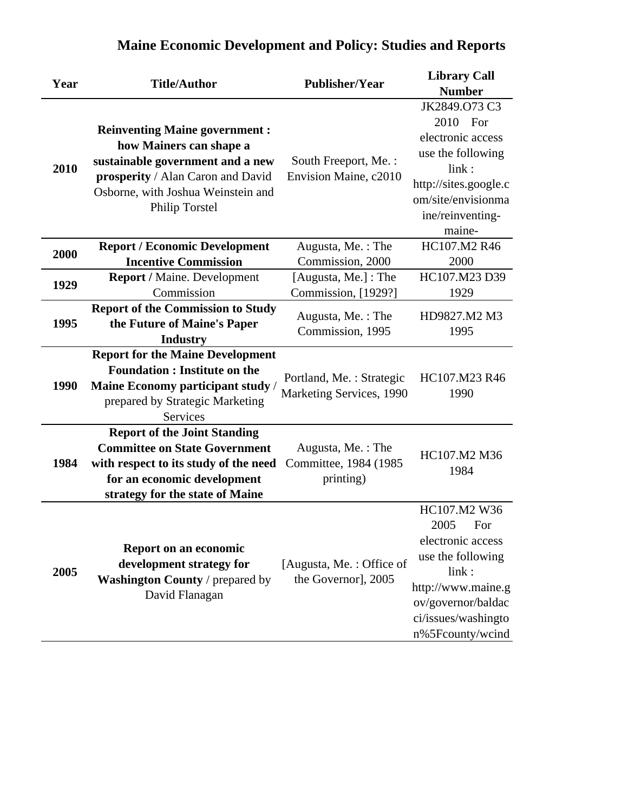| Year | <b>Title/Author</b>                                                                                                                                                                              | <b>Publisher/Year</b>                                    | <b>Library Call</b><br><b>Number</b>                                                                                                                                  |
|------|--------------------------------------------------------------------------------------------------------------------------------------------------------------------------------------------------|----------------------------------------------------------|-----------------------------------------------------------------------------------------------------------------------------------------------------------------------|
| 2010 | <b>Reinventing Maine government:</b><br>how Mainers can shape a<br>sustainable government and a new<br>prosperity / Alan Caron and David<br>Osborne, with Joshua Weinstein and<br>Philip Torstel | South Freeport, Me.:<br>Envision Maine, c2010            | JK2849.073 C3<br>2010 For<br>electronic access<br>use the following<br>link:<br>http://sites.google.c<br>om/site/envisionma<br>ine/reinventing-<br>maine-             |
| 2000 | <b>Report / Economic Development</b><br><b>Incentive Commission</b>                                                                                                                              | Augusta, Me.: The<br>Commission, 2000                    | HC107.M2 R46<br>2000                                                                                                                                                  |
| 1929 | Report / Maine. Development<br>Commission                                                                                                                                                        | [Augusta, Me.] : The<br>Commission, [1929?]              | HC107.M23 D39<br>1929                                                                                                                                                 |
| 1995 | <b>Report of the Commission to Study</b><br>the Future of Maine's Paper<br><b>Industry</b>                                                                                                       | Augusta, Me.: The<br>Commission, 1995                    | HD9827.M2 M3<br>1995                                                                                                                                                  |
| 1990 | <b>Report for the Maine Development</b><br><b>Foundation : Institute on the</b><br>Maine Economy participant study /<br>prepared by Strategic Marketing<br>Services                              | Portland, Me.: Strategic<br>Marketing Services, 1990     | HC107.M23 R46<br>1990                                                                                                                                                 |
| 1984 | <b>Report of the Joint Standing</b><br><b>Committee on State Government</b><br>with respect to its study of the need<br>for an economic development<br>strategy for the state of Maine           | Augusta, Me.: The<br>Committee, 1984 (1985)<br>printing) | HC107.M2 M36<br>1984                                                                                                                                                  |
| 2005 | Report on an economic<br>development strategy for<br>Washington County / prepared by<br>David Flanagan                                                                                           | [Augusta, Me.: Office of<br>the Governor], 2005          | HC107.M2 W36<br>2005<br>For<br>electronic access<br>use the following<br>link:<br>http://www.maine.g<br>ov/governor/baldac<br>ci/issues/washingto<br>n%5Fcounty/wcind |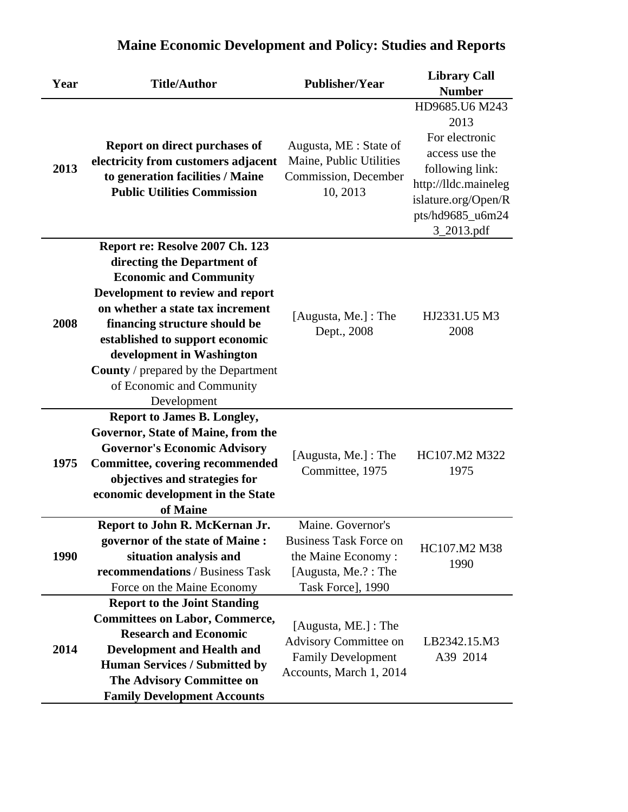| Year | <b>Title/Author</b>                                                                                                                                                                                                                                                                                                                                                | <b>Publisher/Year</b>                                                                                                | <b>Library Call</b><br><b>Number</b>                                                                                                                           |
|------|--------------------------------------------------------------------------------------------------------------------------------------------------------------------------------------------------------------------------------------------------------------------------------------------------------------------------------------------------------------------|----------------------------------------------------------------------------------------------------------------------|----------------------------------------------------------------------------------------------------------------------------------------------------------------|
| 2013 | Report on direct purchases of<br>electricity from customers adjacent<br>to generation facilities / Maine<br><b>Public Utilities Commission</b>                                                                                                                                                                                                                     | Augusta, ME : State of<br>Maine, Public Utilities<br>Commission, December<br>10, 2013                                | HD9685.U6 M243<br>2013<br>For electronic<br>access use the<br>following link:<br>http://lldc.maineleg<br>islature.org/Open/R<br>pts/hd9685_u6m24<br>3_2013.pdf |
| 2008 | Report re: Resolve 2007 Ch. 123<br>directing the Department of<br><b>Economic and Community</b><br>Development to review and report<br>on whether a state tax increment<br>financing structure should be<br>established to support economic<br>development in Washington<br><b>County</b> / prepared by the Department<br>of Economic and Community<br>Development | [Augusta, Me.] : The<br>Dept., 2008                                                                                  | HJ2331.U5 M3<br>2008                                                                                                                                           |
| 1975 | <b>Report to James B. Longley,</b><br>Governor, State of Maine, from the<br><b>Governor's Economic Advisory</b><br><b>Committee, covering recommended</b><br>objectives and strategies for<br>economic development in the State<br>of Maine                                                                                                                        | [Augusta, Me.] : The<br>Committee, 1975                                                                              | HC107.M2 M322<br>1975                                                                                                                                          |
| 1990 | Report to John R. McKernan Jr.<br>governor of the state of Maine:<br>situation analysis and<br>recommendations / Business Task<br>Force on the Maine Economy                                                                                                                                                                                                       | Maine. Governor's<br><b>Business Task Force on</b><br>the Maine Economy:<br>[Augusta, Me.?: The<br>Task Force], 1990 | HC107.M2 M38<br>1990                                                                                                                                           |
| 2014 | <b>Report to the Joint Standing</b><br><b>Committees on Labor, Commerce,</b><br><b>Research and Economic</b><br><b>Development and Health and</b><br><b>Human Services / Submitted by</b><br>The Advisory Committee on<br><b>Family Development Accounts</b>                                                                                                       | [Augusta, ME.] : The<br>Advisory Committee on<br><b>Family Development</b><br>Accounts, March 1, 2014                | LB2342.15.M3<br>A39 2014                                                                                                                                       |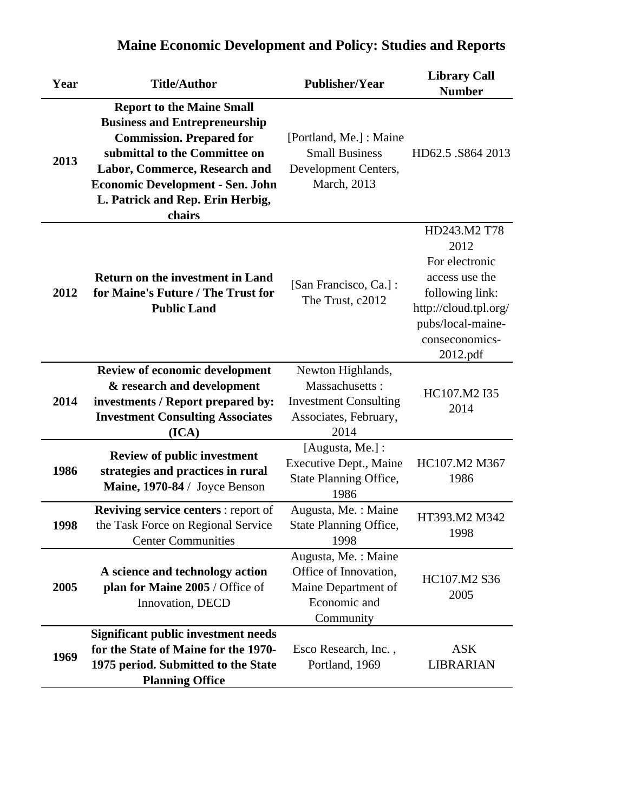| Year | <b>Title/Author</b>                                                                                                                                                                                                                                                    | <b>Publisher/Year</b>                                                                                | <b>Library Call</b><br><b>Number</b>                                                                                                                    |
|------|------------------------------------------------------------------------------------------------------------------------------------------------------------------------------------------------------------------------------------------------------------------------|------------------------------------------------------------------------------------------------------|---------------------------------------------------------------------------------------------------------------------------------------------------------|
| 2013 | <b>Report to the Maine Small</b><br><b>Business and Entrepreneurship</b><br><b>Commission. Prepared for</b><br>submittal to the Committee on<br>Labor, Commerce, Research and<br><b>Economic Development - Sen. John</b><br>L. Patrick and Rep. Erin Herbig,<br>chairs | [Portland, Me.] : Maine<br><b>Small Business</b><br>Development Centers,<br>March, 2013              | HD62.5 .S864 2013                                                                                                                                       |
| 2012 | <b>Return on the investment in Land</b><br>for Maine's Future / The Trust for<br><b>Public Land</b>                                                                                                                                                                    | [San Francisco, Ca.]:<br>The Trust, c2012                                                            | HD243.M2 T78<br>2012<br>For electronic<br>access use the<br>following link:<br>http://cloud.tpl.org/<br>pubs/local-maine-<br>conseconomics-<br>2012.pdf |
| 2014 | <b>Review of economic development</b><br>& research and development<br>investments / Report prepared by:<br><b>Investment Consulting Associates</b><br>(ICA)                                                                                                           | Newton Highlands,<br>Massachusetts:<br><b>Investment Consulting</b><br>Associates, February,<br>2014 | HC107.M2 I35<br>2014                                                                                                                                    |
| 1986 | <b>Review of public investment</b><br>strategies and practices in rural<br>Maine, 1970-84 / Joyce Benson                                                                                                                                                               | [Augusta, Me.] :<br>Executive Dept., Maine<br>State Planning Office,<br>1986                         | HC107.M2 M367<br>1986                                                                                                                                   |
| 1998 | <b>Reviving service centers: report of</b><br>the Task Force on Regional Service<br><b>Center Communities</b>                                                                                                                                                          | Augusta, Me. : Maine<br><b>State Planning Office,</b><br>1998                                        | HT393.M2 M342<br>1998                                                                                                                                   |
| 2005 | A science and technology action<br>plan for Maine 2005 / Office of<br>Innovation, DECD                                                                                                                                                                                 | Augusta, Me.: Maine<br>Office of Innovation,<br>Maine Department of<br>Economic and<br>Community     | HC107.M2 S36<br>2005                                                                                                                                    |
| 1969 | <b>Significant public investment needs</b><br>for the State of Maine for the 1970-<br>1975 period. Submitted to the State<br><b>Planning Office</b>                                                                                                                    | Esco Research, Inc.,<br>Portland, 1969                                                               | <b>ASK</b><br>LIBRARIAN                                                                                                                                 |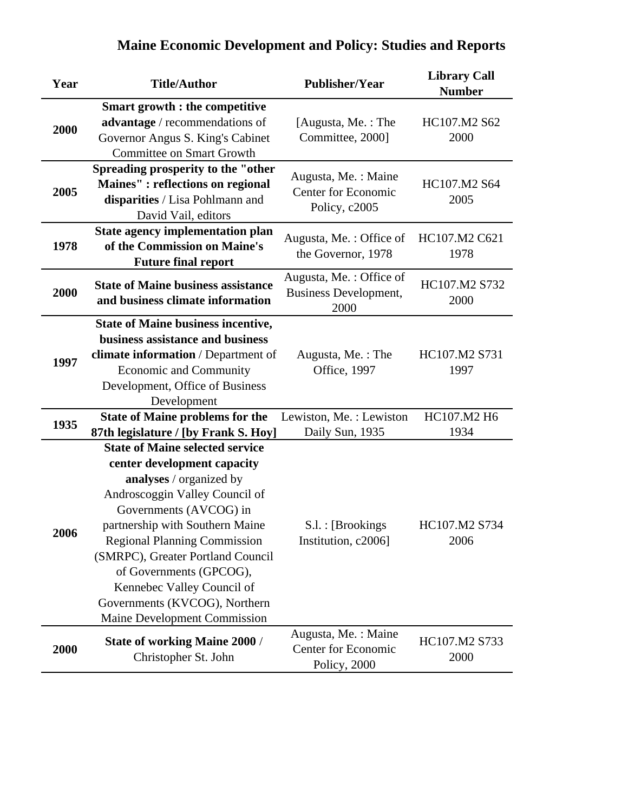| Year | <b>Title/Author</b>                                                                                                                                                                                                                                                                                                                                                                                   | <b>Publisher/Year</b>                                              | <b>Library Call</b><br><b>Number</b> |
|------|-------------------------------------------------------------------------------------------------------------------------------------------------------------------------------------------------------------------------------------------------------------------------------------------------------------------------------------------------------------------------------------------------------|--------------------------------------------------------------------|--------------------------------------|
| 2000 | <b>Smart growth : the competitive</b><br>advantage / recommendations of<br>Governor Angus S. King's Cabinet<br><b>Committee on Smart Growth</b>                                                                                                                                                                                                                                                       | [Augusta, Me.: The<br>Committee, 2000]                             | HC107.M2 S62<br>2000                 |
| 2005 | Spreading prosperity to the "other<br>Maines" : reflections on regional<br>disparities / Lisa Pohlmann and<br>David Vail, editors                                                                                                                                                                                                                                                                     | Augusta, Me.: Maine<br><b>Center for Economic</b><br>Policy, c2005 | HC107.M2 S64<br>2005                 |
| 1978 | <b>State agency implementation plan</b><br>of the Commission on Maine's<br><b>Future final report</b>                                                                                                                                                                                                                                                                                                 | Augusta, Me.: Office of<br>the Governor, 1978                      | HC107.M2 C621<br>1978                |
| 2000 | <b>State of Maine business assistance</b><br>and business climate information                                                                                                                                                                                                                                                                                                                         | Augusta, Me.: Office of<br><b>Business Development,</b><br>2000    | HC107.M2 S732<br>2000                |
| 1997 | <b>State of Maine business incentive,</b><br>business assistance and business<br>climate information / Department of<br><b>Economic and Community</b><br>Development, Office of Business<br>Development                                                                                                                                                                                               | Augusta, Me.: The<br>Office, 1997                                  | HC107.M2 S731<br>1997                |
| 1935 | <b>State of Maine problems for the</b><br>87th legislature / [by Frank S. Hoy]                                                                                                                                                                                                                                                                                                                        | Lewiston, Me.: Lewiston<br>Daily Sun, 1935                         | HC107.M2 H6<br>1934                  |
| 2006 | <b>State of Maine selected service</b><br>center development capacity<br>analyses / organized by<br>Androscoggin Valley Council of<br>Governments (AVCOG) in<br>partnership with Southern Maine<br><b>Regional Planning Commission</b><br>(SMRPC), Greater Portland Council<br>of Governments (GPCOG),<br>Kennebec Valley Council of<br>Governments (KVCOG), Northern<br>Maine Development Commission | S.l. : [Brookings]<br>Institution, c2006]                          | HC107.M2 S734<br>2006                |
| 2000 | <b>State of working Maine 2000 /</b><br>Christopher St. John                                                                                                                                                                                                                                                                                                                                          | Augusta, Me.: Maine<br><b>Center for Economic</b><br>Policy, 2000  | HC107.M2 S733<br>2000                |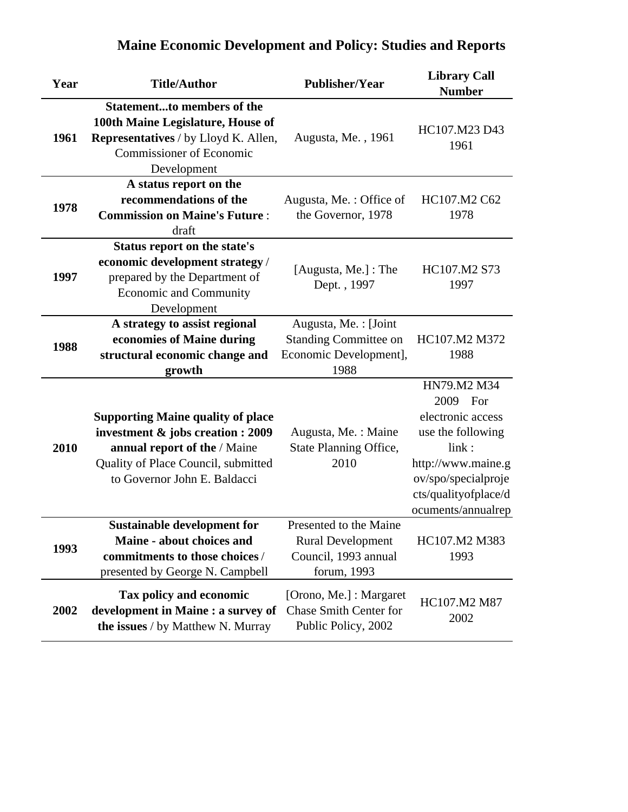| Year | <b>Title/Author</b>                                                                                                                                                                  | <b>Publisher/Year</b>                                                                     | <b>Library Call</b><br><b>Number</b>                                                                                                                                  |
|------|--------------------------------------------------------------------------------------------------------------------------------------------------------------------------------------|-------------------------------------------------------------------------------------------|-----------------------------------------------------------------------------------------------------------------------------------------------------------------------|
| 1961 | <b>Statementto members of the</b><br>100th Maine Legislature, House of<br><b>Representatives</b> / by Lloyd K. Allen,<br><b>Commissioner of Economic</b><br>Development              | Augusta, Me., 1961                                                                        | HC107.M23 D43<br>1961                                                                                                                                                 |
| 1978 | A status report on the<br>recommendations of the<br><b>Commission on Maine's Future:</b><br>draft                                                                                    | Augusta, Me.: Office of<br>the Governor, 1978                                             | HC107.M2 C62<br>1978                                                                                                                                                  |
| 1997 | Status report on the state's<br>economic development strategy /<br>prepared by the Department of<br>Economic and Community<br>Development                                            | [Augusta, Me.] : The<br>Dept., 1997                                                       | HC107.M2 S73<br>1997                                                                                                                                                  |
| 1988 | A strategy to assist regional<br>economies of Maine during<br>structural economic change and<br>growth                                                                               | Augusta, Me.: [Joint<br><b>Standing Committee on</b><br>Economic Development],<br>1988    | HC107.M2 M372<br>1988                                                                                                                                                 |
| 2010 | <b>Supporting Maine quality of place</b><br>investment & jobs creation : 2009<br>annual report of the / Maine<br>Quality of Place Council, submitted<br>to Governor John E. Baldacci | Augusta, Me.: Maine<br>State Planning Office,<br>2010                                     | HN79.M2 M34<br>2009 For<br>electronic access<br>use the following<br>link:<br>http://www.maine.g<br>ov/spo/specialproje<br>cts/qualityofplace/d<br>ocuments/annualrep |
| 1993 | <b>Sustainable development for</b><br>Maine - about choices and<br>commitments to those choices /<br>presented by George N. Campbell                                                 | Presented to the Maine<br><b>Rural Development</b><br>Council, 1993 annual<br>forum, 1993 | HC107.M2 M383<br>1993                                                                                                                                                 |
| 2002 | Tax policy and economic<br>development in Maine : a survey of<br>the issues / by Matthew N. Murray                                                                                   | [Orono, Me.] : Margaret<br>Chase Smith Center for<br>Public Policy, 2002                  | HC107.M2 M87<br>2002                                                                                                                                                  |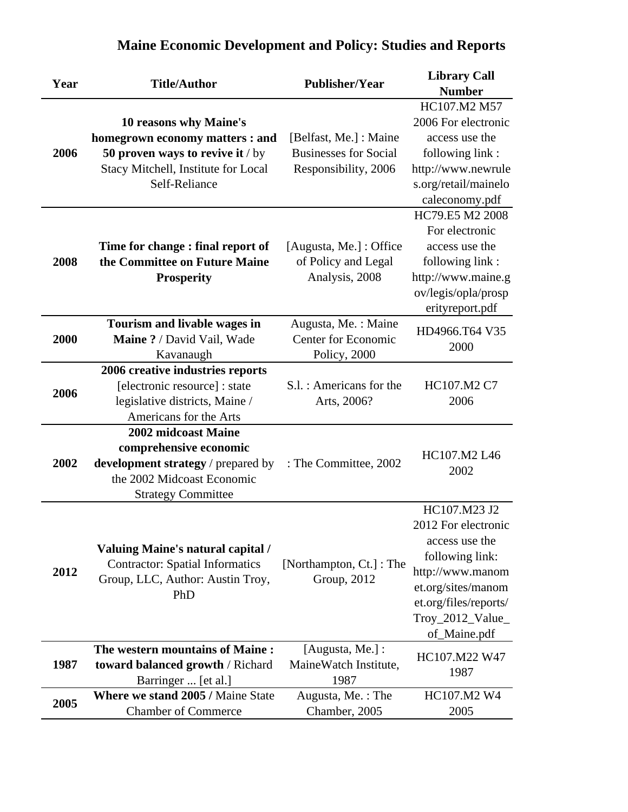| Year | <b>Title/Author</b>                                                                                                    | <b>Publisher/Year</b>                   | <b>Library Call</b>   |
|------|------------------------------------------------------------------------------------------------------------------------|-----------------------------------------|-----------------------|
|      |                                                                                                                        |                                         | <b>Number</b>         |
|      |                                                                                                                        |                                         | HC107.M2 M57          |
|      | 10 reasons why Maine's                                                                                                 |                                         | 2006 For electronic   |
|      | homegrown economy matters : and                                                                                        | [Belfast, Me.] : Maine                  | access use the        |
| 2006 | 50 proven ways to revive it / by                                                                                       | <b>Businesses for Social</b>            | following link:       |
|      | Stacy Mitchell, Institute for Local                                                                                    | Responsibility, 2006                    | http://www.newrule    |
|      | Self-Reliance                                                                                                          |                                         | s.org/retail/mainelo  |
|      |                                                                                                                        |                                         | caleconomy.pdf        |
|      |                                                                                                                        |                                         | HC79.E5 M2 2008       |
|      |                                                                                                                        |                                         | For electronic        |
|      | Time for change: final report of                                                                                       | [Augusta, Me.] : Office                 | access use the        |
| 2008 | the Committee on Future Maine                                                                                          | of Policy and Legal                     | following link:       |
|      | <b>Prosperity</b>                                                                                                      | Analysis, 2008                          | http://www.maine.g    |
|      |                                                                                                                        |                                         | ov/legis/opla/prosp   |
|      |                                                                                                                        |                                         | erityreport.pdf       |
|      | Tourism and livable wages in                                                                                           | Augusta, Me.: Maine                     |                       |
| 2000 | Maine ? / David Vail, Wade                                                                                             | <b>Center for Economic</b>              | HD4966.T64 V35        |
|      | Kavanaugh                                                                                                              | Policy, 2000                            | 2000                  |
|      | 2006 creative industries reports                                                                                       |                                         |                       |
|      | [electronic resource] : state                                                                                          | S.l. : Americans for the                | HC107.M2 C7           |
| 2006 | legislative districts, Maine /                                                                                         | Arts, 2006?                             | 2006                  |
|      | Americans for the Arts                                                                                                 |                                         |                       |
|      | 2002 midcoast Maine                                                                                                    |                                         |                       |
|      | comprehensive economic                                                                                                 |                                         | HC107.M2 L46          |
| 2002 | development strategy / prepared by                                                                                     | : The Committee, 2002                   |                       |
|      | the 2002 Midcoast Economic                                                                                             |                                         | 2002                  |
|      | <b>Strategy Committee</b>                                                                                              |                                         |                       |
|      |                                                                                                                        |                                         | HC107.M23 J2          |
|      | <b>Valuing Maine's natural capital /</b><br><b>Contractor: Spatial Informatics</b><br>Group, LLC, Author: Austin Troy, | [Northampton, Ct.] : The<br>Group, 2012 | 2012 For electronic   |
|      |                                                                                                                        |                                         | access use the        |
|      |                                                                                                                        |                                         | following link:       |
| 2012 |                                                                                                                        |                                         | http://www.manom      |
|      |                                                                                                                        |                                         | et.org/sites/manom    |
|      | PhD                                                                                                                    |                                         | et.org/files/reports/ |
|      |                                                                                                                        |                                         | Troy_2012_Value_      |
|      |                                                                                                                        |                                         | of_Maine.pdf          |
|      | The western mountains of Maine:                                                                                        | [Augusta, Me.] :                        | HC107.M22 W47         |
| 1987 | toward balanced growth / Richard                                                                                       | MaineWatch Institute,                   | 1987                  |
|      | Barringer  [et al.]                                                                                                    | 1987                                    |                       |
|      | Where we stand 2005 / Maine State                                                                                      | Augusta, Me.: The                       | HC107.M2 W4           |
| 2005 | <b>Chamber of Commerce</b>                                                                                             | Chamber, 2005                           | 2005                  |